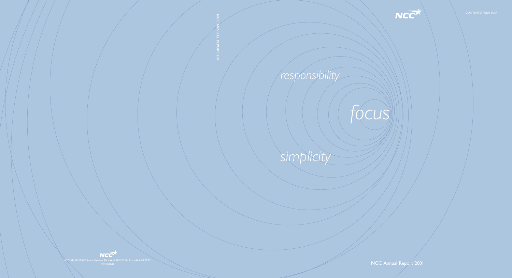# *focus*

NCC Annual Report 2001





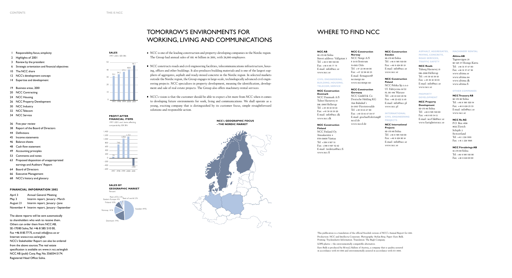- 1 Responsibility,focus,simplicity
- 2 Highlights of 2001
- 3 Review by the president
- 6 Strategic orientation and financial objectives
- 10 The NCC share
- 12 NCC's development concept
- 14 Expertise and development
- 19 Business areas, 2001
- 20 NCC Contracting
- 24 NCC Housing
- 26 NCC Property Development
- 30 NCC Industry
- 32 NCC Telecom
- 34 NCC Service
- 36 Five-year review
- 38 Report of the Board of Directors
- 44 Definitions
- 45 Income statements
- 46 Balance sheets
- 48 Cash flow statement
- 49 Accounting principles
- 53 Comments and notes
- 63 Proposed disposition of unappropriated earnings and Auditors' Report
- 64 Board of Directors
- 66 Executive Management
- 68 NCC's history and glossary

## **FINANCIAL INFORMATION 2002**

## NCC is one of the leading construction and property-developing companies in the Nordic region. The Group had annual sales of SEK 46 billion in 2001, with 28,000 employees.

April 3 Annual General Meeting May 3 Interim report, January-March August 21 Interim report, January–June November 4 Interim report, January–September

The above reports will be sent automatically to shareholders who wish to receive them. Others can order them from: NCC AB, SE-170 80 Solna,Tel: +46 8 585 510 00, Fax +46 8 85 77 75, e-mail: info@ncc.se or Internet: www.ir.ncc.se/english NCC's Stakeholder Report can also be ordered from the above sources.The real estate specification is available on: www.ir.ncc.se/english NCC AB (publ) Corp. Reg. No. 556034-5174. Registered Head Office: Solna.

- NCC constructs roads and civil engineering facilities, telecommunications infrastructure, housing, offices and other buildings. It also produces building materials and is one of the largest suppliers of aggregates, asphalt and ready-mixed concrete in the Nordic region. In selected markets outside the Nordic region, the Group engages in large-scale, technologically advanced civil engineering projects. NCC specializes in property development, meaning the identification, development and sale of real estate projects. The Group also offers machinery-rental services.
- NCC's vision is that the customer should be able to expect a bit more from NCC when it comes to developing future environments for work, living and communications. We shall operate as a young, exciting company that is distinguished by its customer focus, simple straightforward solutions and responsible action.

## TOMORROW'S ENVIRONMENTS FOR WORKING, LIVING AND COMMUNICATIONS

**NCC's GEOGRAPHIC FOCUS – THE NORDIC MARKET**



## WHERE TO FIND NCC

## **NCC AB**

se-170 80 Solna Street address: Vallgatan 3 Tel: +46 8 585 510 00 Fax: +46 8 85 77 75 E-mail: info@ncc.se www.ncc.se

## **CIVIL ENGINEERING, BUILDING, HOUSING, TELECOM, SERVICE**

## **NCC Construction Denmark**

NCC Danmark A/S Tubor Havnevej 15 DK-2900 Hellerup Tel: +45 39 10 39 10 Fax: +45 39 10 39 20 E-mail: info@ncc.dk www.ncc.dk

## **NCC Construction Finland**

NCC Finland Oy Jönsaksentie 4 fin-01600 Vantaa Tel: +358 9 507 51 Fax: +358 9 507 52 62 E-mail: tiedotus@ncc.fi www.ncc.fi

## **NCC Construction**

**Norway** NCC Norge A/S p.b 93 Sentrum n-0101 Oslo Tel: +47 22 98 68 00 Fax: +47 22 98 69 23 E-mail: firmapost@ nccnorge.no www.nccnorge.no

## **NCC Construction Germany**

NCC GmbH & Co Deutsche Holding KG Am Bahnhof 1 d-15517 Fürstenwalde Tel: +49 33 61 67 00 Fax: +49 33 61 67 04 57 E-mail: geschaeftsleitung@ nccd.de www.nccd.de

## **NCC Construction Sweden** se-170 80 Solna

Tel: +46 8 585 510 00 Fax: +46 8 624 05 19 E-mail: info@ncc.se www.ncc.se

## **NCC Construction Poland**

NCC Polska Sp.z.o.o Ul. Fabryczna 16/22 pl 00-446 Warsaw Tel: +48 22 622 20 56 Fax: +48 22 622 11 65 E-mail: info@ncc.pl www.ncc.pl

## **INTERNATIONAL CIVIL ENGINEERING PROJECTS**

**NCC International Projects** se-170 80 Solna  $T_{e}$  $\cdot$  +46 8 585 510 00  $Fax: +4686240014$ E-mail: info@ncc.se www.ncc.se

## **ASPHALT, AGGREGATES, MACHINERY RENTAL PAVING, CONCRETE, ROAD SERVICES, TRAFFIC SAFETY**

**NCC Roads**

Tuborg Havnevej 15 DK-2900 Hellerup Tel: +45 39 10 39 10 Fax: +45 39 10 39 93 E-mail: info@ncc.se www.ncc.se

## **PROPERTY DEVELOPMENT**

**NCC Property Development** se-170 80 Solna Tel: +46 8 585 510 00 Fax: +46 8 85 54 11 E-mail: nccf.hk@ncc.se www.fastigheter.ncc.se

**Altima AB** Tagenevägen 25 se-425 37 Hisings Kärra Tel: +46 31 57 67 00 Fax: +46 31 57 67 50 www.altima.se www.altima.no

www.altima.dk www.altima.fi

## **OTHER COMPANIES**

## **NCC Treasury AB**

se-170 80 Solna Tel: +46 8 585 520 54 Fax: +46 8 624 23 33 E-mail: info@ncc.se www.ncc.se

## **NCC Re AG**

P.O. Box 4558 8022 Zürich Schipfe 2 Switzerland Tel: +41 1 226 5555 Fax: +41 1 226 5565

## **NCC Försäkrings AB**

SE-170 80 Solna Tel: +46 8 585 510 00 Fax: +46 8 624 09 09

This publication is a translation of the official Swedish version of NCC's Annual Report for 2001.

Production: NCC and Intellecta Corporate. Photography: Stefan Berg. Paper: Euro Bulk. Printing: Tryckindustri Information. Translation: The Bugli Company.

LDPE-plastic – the environmentally compatible alternative.

Euro Bulk is produced by M-real, Hallein of Austria, a company that is quality assured in accordance with ISO 9001 and environmentally assured in accordance with ISO 14001.



### **SALES** 1997–2001, SEK BN





1997–2001, excl. items affecting comparability, SEK BN

**SALES BY GEOGRAPHIC MARKET** Percent

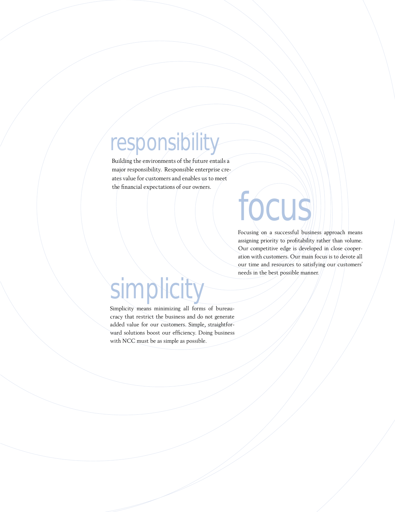## *responsibility*

Building the environments of the future entails a major responsibility. Responsible enterprise creates value for customers and enables us to meet the financial expectations of our owners.

## *focus*

Focusing on a successful business approach means assigning priority to profitability rather than volume. Our competitive edge is developed in close cooperation with customers. Our main focus is to devote all our time and resources to satisfying our customers' needs in the best possible manner.

## *simplicity*

Simplicity means minimizing all forms of bureaucracy that restrict the business and do not generate added value for our customers. Simple, straightforward solutions boost our efficiency. Doing business with NCC must be as simple as possible.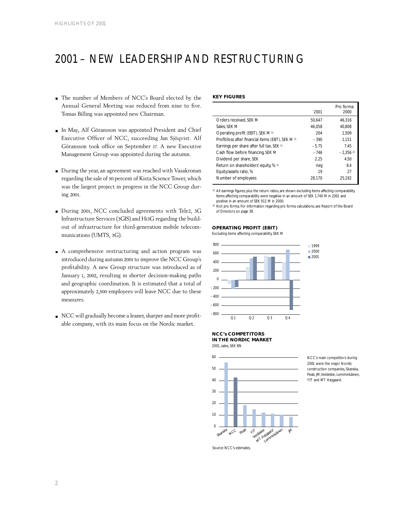## 2001 – NEW LEADERSHIP AND RESTRUCTURING

- The number of Members of NCC's Board elected by the Annual General Meeting was reduced from nine to five. Tomas Billing was appointed new Chairman.
- In May, Alf Göransson was appointed President and Chief Executive Officer of NCC, succeeding Jan Sjöqvist. Alf Göransson took office on September 17. A new Executive Management Group was appointed during the autumn.
- During the year, an agreement was reached with Vasakronan regarding the sale of 50 percent of Kista Science Tower, which was the largest project in progress in the NCC Group during 2001.
- During 2001, NCC concluded agreements with Tele2, 3G Infrastructure Services (3GIS) and Hi3G regarding the buildout of infrastructure for third-generation mobile telecommunications (UMTS, 3G).
- A comprehensive restructuring and action program was introduced during autumn 2001 to improve the NCC Group's profitability. A new Group structure was introduced as of January 1, 2002, resulting in shorter decision-making paths and geographic coordination. It is estimated that a total of approximately 2,500 employees will leave NCC due to these measures.
- NCC will gradually become a leaner, sharper and more profitable company, with its main focus on the Nordic market.

## **KEY FIGURES**

|                                                   | 2001    | Pro forma<br>2000 |
|---------------------------------------------------|---------|-------------------|
| Orders received. SEK M                            | 50.647  | 46.316            |
| Sales. SEK M                                      | 46.058  | 40.808            |
| Operating profit (EBIT), SEK M 1)                 | 204     | 1.509             |
| Profit/loss after financial items (EBT), SEK M 1) | $-390$  | 1.151             |
| Earnings per share after full tax, SEK 1)         | $-5.75$ | 7.45              |
| Cash flow before financing, SEK M                 | $-746$  | $-2.3562$         |
| Dividend per share, SEK                           | 2.25    | 4.50              |
| Return on shareholders' equity, % 1)              | neg     | 8.4               |
| Equity/assets ratio, %                            | 19      | 27                |
| Number of employees                               | 28.170  | 25.192            |
|                                                   |         |                   |

1) All earnings figures, plus the return ratios, are shown excluding items affecting comparability. Items affecting comparability were negative in an amount of SEK 1,740 M in 2001 and positive in an amount of SEK 912 M in 2000.

2) Not pro forma. For information regarding pro forma calculations, see Report of the Board of Directors on page 38.

## **OPERATING PROFIT (EBIT)**

Excluding items affecting comparability, SEK M



**NCC's COMPETITORS** 

**IN THE NORDIC MARKET** 2001, sales, SEK BN



NCC's main competitors during 2001 were the major Nordic construction companies, Skanska, Peab, JM,Veidekke, Lemminkäinen, YIT and MT Højgaard.

Source: NCC's estimates.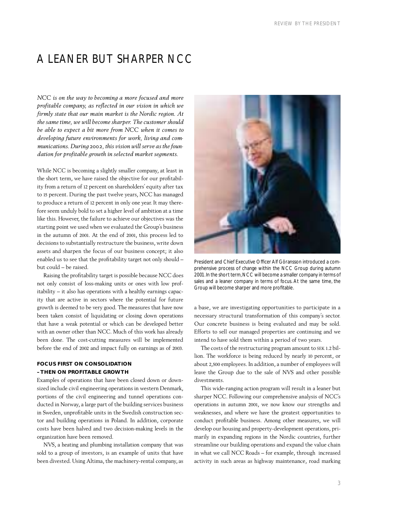## A LEANER BUT SHARPER NCC

*NCC is on the way to becoming a more focused and more profitable company, as reflected in our vision in which we firmly state that our main market is the Nordic region. At the same time, we will become sharper. The customer should be able to expect a bit more from NCC when it comes to developing future environments for work, living and communications. During 2002, this vision will serve as the foundation for profitable growth in selected market segments.*

While NCC is becoming a slightly smaller company, at least in the short term, we have raised the objective for our profitability from a return of 12 percent on shareholders' equity after tax to 15 percent. During the past twelve years, NCC has managed to produce a return of 12 percent in only one year. It may therefore seem unduly bold to set a higher level of ambition at a time like this. However, the failure to achieve our objectives was the starting point we used when we evaluated the Group's business in the autumn of 2001. At the end of 2001, this process led to decisions to substantially restructure the business, write down assets and sharpen the focus of our business concept; it also enabled us to see that the profitability target not only should – but could – be raised.

Raising the profitability target is possible because NCC does not only consist of loss-making units or ones with low profitability – it also has operations with a healthy earnings capacity that are active in sectors where the potential for future growth is deemed to be very good. The measures that have now been taken consist of liquidating or closing down operations that have a weak potential or which can be developed better with an owner other than NCC. Much of this work has already been done. The cost-cutting measures will be implemented before the end of 2002 and impact fully on earnings as of 2003.

## **FOCUS FIRST ON CONSOLIDATION – THEN ON PROFITABLE GROWTH**

Examples of operations that have been closed down or downsized include civil engineering operations in western Denmark, portions of the civil engineering and tunnel operations conducted in Norway, a large part of the building services business in Sweden, unprofitable units in the Swedish construction sector and building operations in Poland. In addition, corporate costs have been halved and two decision-making levels in the organization have been removed.

NVS, a heating and plumbing installation company that was sold to a group of investors, is an example of units that have been divested. Using Altima, the machinery-rental company, as



President and Chief Executive Officer Alf Göransson introduced a comprehensive process of change within the NCC Group during autumn 2001. In the short term, NCC will become a smaller company in terms of sales and a leaner company in terms of focus. At the same time, the Group will become sharper and more profitable.

a base, we are investigating opportunities to participate in a necessary structural transformation of this company's sector. Our concrete business is being evaluated and may be sold. Efforts to sell our managed properties are continuing and we intend to have sold them within a period of two years.

The costs of the restructuring program amount to SEK 1.2 billion. The workforce is being reduced by nearly 10 percent, or about 2,500 employees. In addition, a number of employees will leave the Group due to the sale of NVS and other possible divestments.

This wide-ranging action program will result in a leaner but sharper NCC. Following our comprehensive analysis of NCC's operations in autumn 2001, we now know our strengths and weaknesses, and where we have the greatest opportunities to conduct profitable business. Among other measures, we will develop our housing and property-development operations, primarily in expanding regions in the Nordic countries, further streamline our building operations and expand the value chain in what we call NCC Roads – for example, through increased activity in such areas as highway maintenance, road marking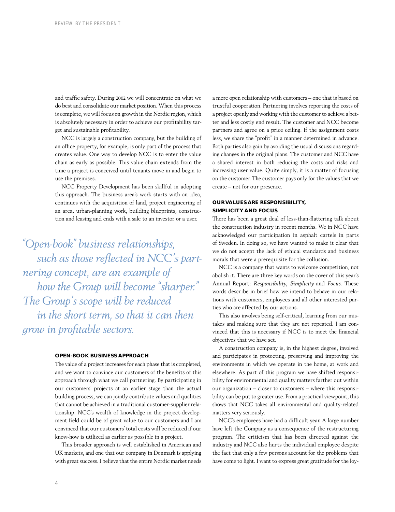and traffic safety. During 2002 we will concentrate on what we do best and consolidate our market position. When this process is complete, we will focus on growth in the Nordic region, which is absolutely necessary in order to achieve our profitability target and sustainable profitability.

NCC is largely a construction company, but the building of an office property, for example, is only part of the process that creates value. One way to develop NCC is to enter the value chain as early as possible. This value chain extends from the time a project is conceived until tenants move in and begin to use the premises.

NCC Property Development has been skillful in adopting this approach. The business area's work starts with an idea, continues with the acquisition of land, project engineering of an area, urban-planning work, building blueprints, construction and leasing and ends with a sale to an investor or a user.

*"Open-book" business relationships, such as those reflected in NCC's partnering concept, are an example of how the Group will become "sharper." The Group's scope will be reduced in the short term, so that it can then grow in profitable sectors.*

## **OPEN-BOOK BUSINESS APPROACH**

The value of a project increases for each phase that is completed, and we want to convince our customers of the benefits of this approach through what we call partnering. By participating in our customers' projects at an earlier stage than the actual building process, we can jointly contribute values and qualities that cannot be achieved in a traditional customer-supplier relationship. NCC's wealth of knowledge in the project-development field could be of great value to our customers and I am convinced that our customers' total costs will be reduced if our know-how is utilized as earlier as possible in a project.

This broader approach is well established in American and UK markets, and one that our company in Denmark is applying with great success. I believe that the entire Nordic market needs

a more open relationship with customers – one that is based on trustful cooperation. Partnering involves reporting the costs of a project openly and working with the customer to achieve a better and less costly end result. The customer and NCC become partners and agree on a price ceiling. If the assignment costs less, we share the "profit" in a manner determined in advance. Both parties also gain by avoiding the usual discussions regarding changes in the original plans. The customer and NCC have a shared interest in both reducing the costs and risks and increasing user value. Quite simply, it is a matter of focusing on the customer. The customer pays only for the values that we create – not for our presence.

## **OUR VALUES ARE RESPONSIBILITY, SIMPLICITY AND FOCUS**

There has been a great deal of less-than-flattering talk about the construction industry in recent months. We in NCC have acknowledged our participation in asphalt cartels in parts of Sweden. In doing so, we have wanted to make it clear that we do not accept the lack of ethical standards and business morals that were a prerequisite for the collusion.

NCC is a company that wants to welcome competition, not abolish it. There are three key words on the cover of this year's Annual Report: *Responsibility*, *Simplicity* and *Focus*. These words describe in brief how we intend to behave in our relations with customers, employees and all other interested parties who are affected by our actions.

This also involves being self-critical, learning from our mistakes and making sure that they are not repeated. I am convinced that this is necessary if NCC is to meet the financial objectives that we have set.

A construction company is, in the highest degree, involved and participates in protecting, preserving and improving the environments in which we operate in the home, at work and elsewhere. As part of this program we have shifted responsibility for environmental and quality matters farther out within our organization – closer to customers – where this responsibility can be put to greater use. From a practical viewpoint, this shows that NCC takes all environmental and quality-related matters very seriously.

NCC's employees have had a difficult year. A large number have left the Company as a consequence of the restructuring program. The criticism that has been directed against the industry and NCC also hurts the individual employee despite the fact that only a few persons account for the problems that have come to light. I want to express great gratitude for the loy-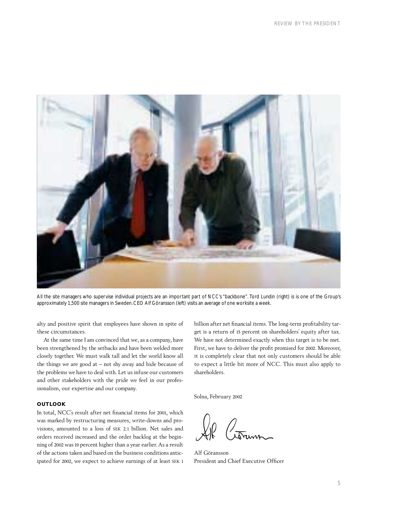

All the site managers who supervise individual projects are an important part of NCC's "backbone". Tord Lundin (right) is is one of the Group's approximately 1,500 site managers in Sweden. CEO Alf Göransson (left) visits an average of one worksite a week.

alty and positive spirit that employees have shown in spite of these circumstances.

At the same time I am convinced that we, as a company, have been strengthened by the setbacks and have been welded more closely together. We must walk tall and let the world know all the things we are good at – not shy away and hide because of the problems we have to deal with. Let us infuse our customers and other stakeholders with the pride we feel in our professionalism, our expertise and our company.

## **OUTLOOK**

In total, NCC's result after net financial items for 2001, which was marked by restructuring measures, write-downs and provisions, amounted to a loss of SEK 2.1 billion. Net sales and orders received increased and the order backlog at the beginning of 2002 was 19 percent higher than a year earlier. As a result of the actions taken and based on the business conditions anticipated for 2002, we expect to achieve earnings of at least SEK 1 billion after net financial items. The long-term profitability target is a return of 15 percent on shareholders' equity after tax. We have not determined exactly when this target is to be met. First, we have to deliver the profit promised for 2002. Moreover, it is completely clear that not only customers should be able to expect a little bit more of NCC. This must also apply to shareholders.

Solna, February 2002

Alf Göransson President and Chief Executive Officer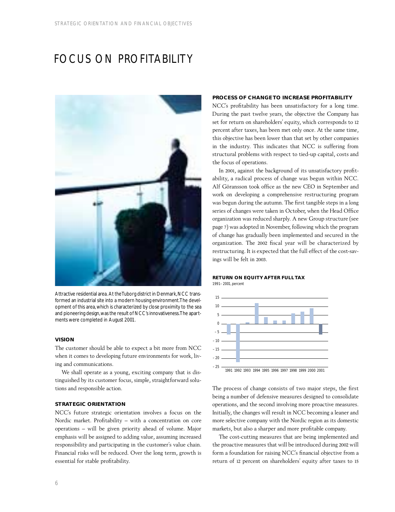## FOCUS ON PROFITABILITY



Attractive residential area. At the Tuborg district in Denmark, NCC transformed an industrial site into a modern housing environment.The development of this area, which is characterized by close proximity to the sea and pioneering design,was the result of NCC's innovativeness.The apartments were completed in August 2001.

## **VISION**

The customer should be able to expect a bit more from NCC when it comes to developing future environments for work, living and communications.

We shall operate as a young, exciting company that is distinguished by its customer focus, simple, straightforward solutions and responsible action.

## **STRATEGIC ORIENTATION**

NCC's future strategic orientation involves a focus on the Nordic market. Profitability – with a concentration on core operations – will be given priority ahead of volume. Major emphasis will be assigned to adding value, assuming increased responsibility and participating in the customer's value chain. Financial risks will be reduced. Over the long term, growth is essential for stable profitability.

## **PROCESS OF CHANGE TO INCREASE PROFITABILITY**

NCC's profitability has been unsatisfactory for a long time. During the past twelve years, the objective the Company has set for return on shareholders' equity, which corresponds to 12 percent after taxes, has been met only once. At the same time, this objective has been lower than that set by other companies in the industry. This indicates that NCC is suffering from structural problems with respect to tied-up capital, costs and the focus of operations.

In 2001, against the background of its unsatisfactory profitability, a radical process of change was begun within NCC. Alf Göransson took office as the new CEO in September and work on developing a comprehensive restructuring program was begun during the autumn. The first tangible steps in a long series of changes were taken in October, when the Head Office organization was reduced sharply. A new Group structure (see page 7) was adopted in November, following which the program of change has gradually been implemented and secured in the organization. The 2002 fiscal year will be characterized by restructuring. It is expected that the full effect of the cost-savings will be felt in 2003.

### **RETURN ON EQUITY AFTER FULL TAX** 1991– 2001, percent



The process of change consists of two major steps, the first being a number of defensive measures designed to consolidate operations, and the second involving more proactive measures. Initially, the changes will result in NCC becoming a leaner and more selective company with the Nordic region as its domestic markets, but also a sharper and more profitable company.

The cost-cutting measures that are being implemented and the proactive measures that will be introduced during 2002 will form a foundation for raising NCC's financial objective from a return of 12 percent on shareholders' equity after taxes to 15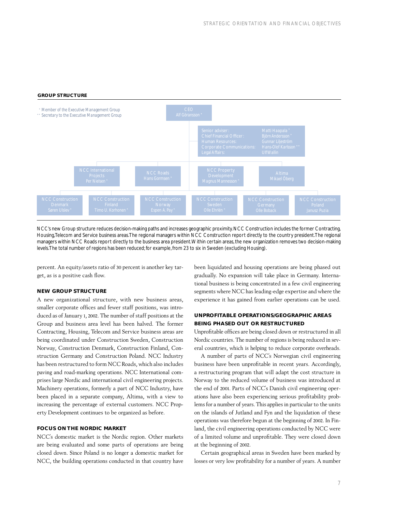## **GROUP STRUCTURE**



NCC's new Group structure reduces decision-making paths and increases geographic proximity. NCC Construction includes the former Contracting, Housing,Telecom and Service business areas.The regional managers within NCC Construction report directly to the country president.The regional managers within NCC Roads report directly to the business area president.Within certain areas, the new organization removes two decision-making levels.The total number of regions has been reduced; for example, from 23 to six in Sweden (excluding Housing).

percent. An equity/assets ratio of 30 percent is another key target, as is a positive cash flow.

## **NEW GROUP STRUCTURE**

A new organizational structure, with new business areas, smaller corporate offices and fewer staff positions, was introduced as of January 1, 2002. The number of staff positions at the Group and business area level has been halved. The former Contracting, Housing, Telecom and Service business areas are being coordinated under Construction Sweden, Construction Norway, Construction Denmark, Construction Finland, Construction Germany and Construction Poland. NCC Industry has been restructured to form NCC Roads, which also includes paving and road-marking operations. NCC International comprises large Nordic and international civil engineering projects. Machinery operations, formerly a part of NCC Industry, have been placed in a separate company, Altima, with a view to increasing the percentage of external customers. NCC Property Development continues to be organized as before.

## **FOCUS ON THE NORDIC MARKET**

NCC's domestic market is the Nordic region. Other markets are being evaluated and some parts of operations are being closed down. Since Poland is no longer a domestic market for NCC, the building operations conducted in that country have been liquidated and housing operations are being phased out gradually. No expansion will take place in Germany. International business is being concentrated in a few civil engineering segments where NCC has leading-edge expertise and where the experience it has gained from earlier operations can be used.

## **UNPROFITABLE OPERATIONS/GEOGRAPHIC AREAS BEING PHASED OUT OR RESTRUCTURED**

Unprofitable offices are being closed down or restructured in all Nordic countries. The number of regions is being reduced in several countries, which is helping to reduce corporate overheads.

A number of parts of NCC's Norwegian civil engineering business have been unprofitable in recent years. Accordingly, a restructuring program that will adapt the cost structure in Norway to the reduced volume of business was introduced at the end of 2001. Parts of NCC's Danish civil engineering operations have also been experiencing serious profitability problems for a number of years. This applies in particular to the units on the islands of Jutland and Fyn and the liquidation of these operations was therefore begun at the beginning of 2002. In Finland, the civil engineering operations conducted by NCC were of a limited volume and unprofitable. They were closed down at the beginning of 2002.

Certain geographical areas in Sweden have been marked by losses or very low profitability for a number of years. A number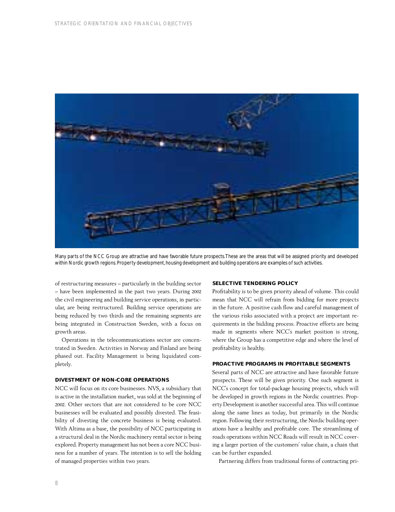

Many parts of the NCC Group are attractive and have favorable future prospects.These are the areas that will be assigned priority and developed within Nordic growth regions. Property development, housing development and building operations are examples of such activities.

of restructuring measures – particularly in the building sector – have been implemented in the past two years. During 2002 the civil engineering and building service operations, in particular, are being restructured. Building service operations are being reduced by two thirds and the remaining segments are being integrated in Construction Sweden, with a focus on growth areas.

Operations in the telecommunications sector are concentrated in Sweden. Activities in Norway and Finland are being phased out. Facility Management is being liquidated completely.

## **DIVESTMENT OF NON-CORE OPERATIONS**

NCC will focus on its core businesses. NVS, a subsidiary that is active in the installation market, was sold at the beginning of 2002. Other sectors that are not considered to be core NCC businesses will be evaluated and possibly divested. The feasibility of divesting the concrete business is being evaluated. With Altima as a base, the possibility of NCC participating in a structural deal in the Nordic machinery rental sector is being explored. Property management has not been a core NCC business for a number of years. The intention is to sell the holding of managed properties within two years.

## **SELECTIVE TENDERING POLICY**

Profitability is to be given priority ahead of volume. This could mean that NCC will refrain from bidding for more projects in the future. A positive cash flow and careful management of the various risks associated with a project are important requirements in the bidding process. Proactive efforts are being made in segments where NCC's market position is strong, where the Group has a competitive edge and where the level of profitability is healthy.

## **PROACTIVE PROGRAMS IN PROFITABLE SEGMENTS**

Several parts of NCC are attractive and have favorable future prospects. These will be given priority. One such segment is NCC's concept for total-package housing projects, which will be developed in growth regions in the Nordic countries. Property Development is another successful area. This will continue along the same lines as today, but primarily in the Nordic region. Following their restructuring, the Nordic building operations have a healthy and profitable core. The streamlining of roads operations within NCC Roads will result in NCC covering a larger portion of the customers' value chain, a chain that can be further expanded.

Partnering differs from traditional forms of contracting pri-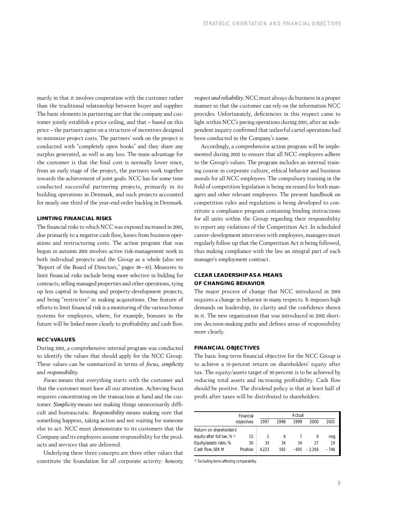marily in that it involves cooperation with the customer rather than the traditional relationship between buyer and supplier. The basic elements in partnering are that the company and customer jointly establish a price ceiling, and that – based on this price – the partners agree on a structure of incentives designed to minimize project costs. The partners' work on the project is conducted with "completely open books" and they share any surplus generated, as well as any loss. The main advantage for the customer is that the final cost is normally lower since, from an early stage of the project, the partners work together towards the achievement of joint goals. NCC has for some time conducted successful partnering projects, primarily in its building operations in Denmark, and such projects accounted for nearly one third of the year-end order backlog in Denmark.

## **LIMITING FINANCIAL RISKS**

The financial risks to which NCC was exposed increased in 2001, due primarily to a negative cash flow, losses from business operations and restructuring costs. The action program that was begun in autumn 2001 involves active risk-management work in both individual projects and the Group as a whole (also see "Report of the Board of Directors," pages 38–43). Measures to limit financial risks include being more selective in bidding for contracts, selling managed properties and other operations, tying up less capital in housing and property-development projects, and being "restrictive" in making acquisitions. One feature of efforts to limit financial risk is a monitoring of the various bonus systems for employees, where, for example, bonuses in the future will be linked more clearly to profitability and cash flow.

## **NCC's VALUES**

During 2001, a comprehensive internal program was conducted to identify the values that should apply for the NCC Group. These values can be summarized in terms of *focus*, *simplicity* and *responsibility*.

*Focus* means that everything starts with the customer and that the customer must have all our attention. Achieving focus requires concentrating on the transaction at hand and the customer. *Simplicity* means not making things unnecessarily difficult and bureaucratic. *Responsibility* means making sure that something happens, taking action and not waiting for someone else to act. NCC must demonstrate to its customers that the Company and its employees assume responsibility for the products and services that are delivered.

Underlying these three concepts are three other values that constitute the foundation for all corporate activity: *honesty,*

*respect and reliability*. NCC must always do business in a proper manner so that the customer can rely on the information NCC provides. Unfortunately, deficiencies in this respect came to light within NCC's paving operations during 2001, after an independent inquiry confirmed that unlawful cartel operations had been conducted in the Company's name.

Accordingly, a comprehensive action program will be implemented during 2002 to ensure that all NCC employees adhere to the Group's values. The program includes an internal training course in corporate culture, ethical behavior and business morals for all NCC employees. The compulsory training in the field of competition legislation is being increased for both managers and other relevant employees. The present handbook on competition rules and regulations is being developed to constitute a compliance program containing binding instructions for all units within the Group regarding their responsibility to report any violations of the Competition Act. In scheduled career-development interviews with employees, managers must regularly follow up that the Competition Act is being followed, thus making compliance with the law an integral part of each manager's employment contract.

## **CLEAR LEADERSHIP AS A MEANS OF CHANGING BEHAVIOR**

The major process of change that NCC introduced in 2001 requires a change in behavior in many respects. It imposes high demands on leadership, its clarity and the confidence shown in it. The new organization that was introduced in 2002 shortens decision-making paths and defines areas of responsibility more clearly.

## **FINANCIAL OBJECTIVES**

The basic long-term financial objective for the NCC Group is to achieve a 15-percent return on shareholders' equity after tax. The equity/assets target of 30 percent is to be achieved by reducing total assets and increasing profitability. Cash flow should be positive. The dividend policy is that at least half of profit after taxes will be distributed to shareholders.

|                             |            |       | Actual |        |          |        |
|-----------------------------|------------|-------|--------|--------|----------|--------|
|                             | objectives | 1997  | 1998   | 1999   | 2000     | 2001   |
| Return on shareholders'     |            |       |        |        |          |        |
| equity after full tax, % 1) | 15         |       | 6      |        |          | neg    |
| Equity/assets ratio, %      | 30         | 33    | 34     | 34     | 27       | 19     |
| Cash flow, SEK M            | Positive   | 4.223 | 592    | $-605$ | $-2.356$ | $-746$ |

1) Excluding items affecting comparability.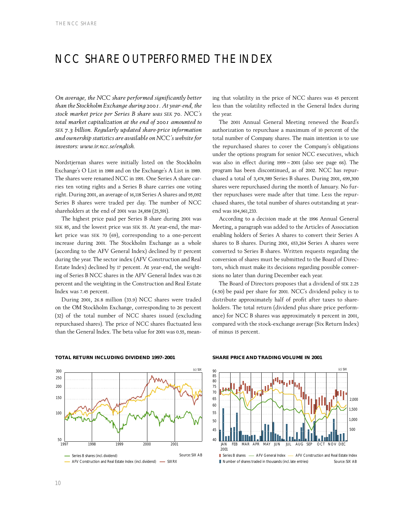## NCC SHARE OUTPERFORMED THE INDEX

*On average, the NCC share performed significantly better than the Stockholm Exchange during 2001. At year-end, the stock market price per Series B share was SEK 70. NCC's total market capitalization at the end of 2001 amounted to SEK 7.3 billion. Regularly updated share-price information and ownership statistics are available on NCC's website for investors: www.ir.ncc.se/english.*

Nordstjernan shares were initially listed on the Stockholm Exchange's O List in 1988 and on the Exchange's A List in 1989. The shares were renamed NCC in 1991. One Series A share carries ten voting rights and a Series B share carries one voting right. During 2001, an average of 16,118 Series A shares and 95,092 Series B shares were traded per day. The number of NCC shareholders at the end of 2001 was 24,858 (25,591).

The highest price paid per Series B share during 2001 was SEK 85, and the lowest price was SEK 55. At year-end, the market price was SEK 70 (69), corresponding to a one-percent increase during 2001. The Stockholm Exchange as a whole (according to the AFV General Index) declined by 17 percent during the year. The sector index (AFV Construction and Real Estate Index) declined by 17 percent. At year-end, the weighting of Series B NCC shares in the AFV General Index was 0.26 percent and the weighting in the Construction and Real Estate Index was 7.45 percent.

During 2001, 26.8 million (33.9) NCC shares were traded on the OM Stockholm Exchange, corresponding to 26 percent (32) of the total number of NCC shares issued (excluding repurchased shares). The price of NCC shares fluctuated less than the General Index. The beta value for 2001 was 0.55, meaning that volatility in the price of NCC shares was 45 percent less than the volatility reflected in the General Index during the year.

The 2001 Annual General Meeting renewed the Board's authorization to repurchase a maximum of 10 percent of the total number of Company shares. The main intention is to use the repurchased shares to cover the Company's obligations under the options program for senior NCC executives, which was also in effect during 1999 – 2001 (also see page 66). The program has been discontinued, as of 2002. NCC has repurchased a total of 3,474,589 Series B shares. During 2001, 699,300 shares were repurchased during the month of January. No further repurchases were made after that time. Less the repurchased shares, the total number of shares outstanding at yearend was 104,961,233.

According to a decision made at the 1996 Annual General Meeting, a paragraph was added to the Articles of Association enabling holders of Series A shares to convert their Series A shares to B shares. During 2001, 653,264 Series A shares were converted to Series B shares. Written requests regarding the conversion of shares must be submitted to the Board of Directors, which must make its decisions regarding possible conversions no later than during December each year.

The Board of Directors proposes that a dividend of SEK 2.25 (4.50) be paid per share for 2001. NCC's dividend policy is to distribute approximately half of profit after taxes to shareholders. The total return (dividend plus share price performance) for NCC B shares was approximately 8 percent in 2001, compared with the stock-exchange average (Six Return Index) of minus 15 percent.



## **TOTAL RETURN INCLUDING DIVIDEND 1997–2001**

### **SHARE PRICE AND TRADING VOLUME IN 2001**



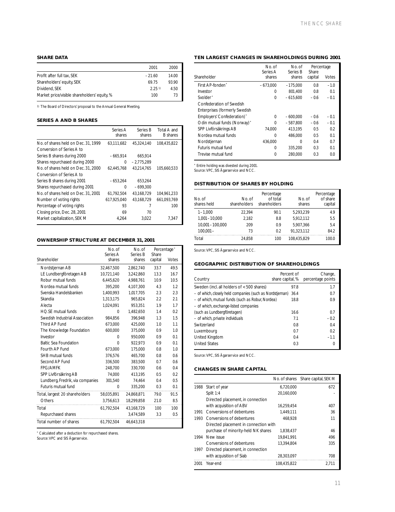## **SHARE DATA**

|                                              | 2001     | 2000  |
|----------------------------------------------|----------|-------|
| Profit after full tax, SEK                   | $-21.60$ | 14.00 |
| Shareholders' equity, SEK                    | 69.75    | 9390  |
| Dividend, SEK                                | 2.251    | 4.50  |
| Market price/visible shareholders' equity, % | 100      | 73    |

1) The Board of Directors' proposal to the Annual General Meeting.

## **SERIES A AND B SHARES**

|                                     | Series A<br>shares | Series B<br>shares | Total A and<br><b>B</b> shares |
|-------------------------------------|--------------------|--------------------|--------------------------------|
| No. of shares held on Dec. 31, 1999 | 63.111.682         | 45.324.140         | 108.435.822                    |
| Conversion of Series A to           |                    |                    |                                |
| Series B shares during 2000         | $-665,914$         | 665,914            |                                |
| Shares repurchased during 2000      | 0                  | $-2.775.289$       |                                |
| No. of shares held on Dec. 31, 2000 | 62.445.768         | 43.214.765         | 105.660.533                    |
| Conversion of Series A to           |                    |                    |                                |
| Series B shares during 2001         | $-653.264$         | 653.264            |                                |
| Shares repurchased during 2001      | 0                  | $-699.300$         |                                |
| No. of shares held on Dec. 31, 2001 | 61,792,504         | 43,168,729         | 104,961,233                    |
| Number of voting rights             | 617.925.040        | 43.168.729         | 661.093.769                    |
| Percentage of voting rights         | 93                 |                    | 100                            |
| Closing price, Dec. 28, 2001        | 69                 | 70                 |                                |
| Market capitalization, SEK M        | 4.264              | 3.022              | 7.347                          |

## **OWNERSHIP STRUCTURE AT DECEMBER 31, 2001**

|                                  | No. of<br>Series A | No. of<br>Series B | Share   | Percentage* |
|----------------------------------|--------------------|--------------------|---------|-------------|
| Shareholder                      | shares             | shares             | capital | Votes       |
| Nordstjernan AB                  | 32,467,500         | 2.862.740          | 33.7    | 49.5        |
| LE Lundbergföretagen AB          | 10,721,140         | 3,242,860          | 13.3    | 16.7        |
| Robur mutual funds               | 6,445,620          | 4.988.761          | 10.9    | 10.5        |
| Nordea mutual funds              | 395,200            | 4,107,300          | 4.3     | 1.2         |
| Svenska Handelsbanken            | 1,400,993          | 1,017,705          | 2.3     | 2.3         |
| Skandia                          | 1,313,175          | 965,824            | 2.2     | 2.1         |
| Alecta                           | 1,024,091          | 953,351            | 1.9     | 1.7         |
| HO.SE mutual funds               | 0                  | 1,482,650          | 1.4     | 0.2         |
| Swedish Industrial Association   | 984,856            | 396,948            | 1.3     | 1.5         |
| Third AP Fund                    | 673,000            | 425,000            | 1.0     | 1.1         |
| The Knowledge Foundation         | 600,000            | 375.000            | 0.9     | 1.0         |
| Investor                         | 0                  | 950,000            | 0.9     | 0.1         |
| <b>Baltic Sea Foundation</b>     | $\Omega$           | 922,973            | 0.9     | 0.1         |
| Fourth AP Fund                   | 673,000            | 175.000            | 0.8     | 1.0         |
| SHB mutual funds                 | 376,576            | 465,700            | 0.8     | 0.6         |
| Second AP Fund                   | 336,500            | 383,500            | 0.7     | 0.6         |
| <b>FPG/AMFK</b>                  | 248,700            | 330,700            | 0.6     | 0.4         |
| SPP Livförsäkring AB             | 74,000             | 413,195            | 0.5     | 0.2         |
| Lundberg, Fredrik, via companies | 301,540            | 74,464             | 0.4     | 0.5         |
| Futuris mutual fund              | 0                  | 335,200            | 0.3     | 0.1         |
| Total, largest 20 shareholders   | 58,035,891         | 24,868,871         | 79.0    | 91.5        |
| Others                           | 3,756,613          | 18,299,858         | 21.0    | 8.5         |
| Total                            | 61,792,504         | 43,168,729         | 100     | 100         |
| Repurchased shares               |                    | 3,474,589          | 3.3     | 0.5         |
| Total number of shares           | 61.792.504         | 46.643.318         |         |             |

\* Calculated after a deduction for repurchased shares.

Source: VPC and SIS Ägarservice.

## **TEN LARGEST CHANGES IN SHAREHOLDINGS DURING 2001**

|                               | No. of<br>Series A | No. of<br>Series B | Percentage<br>Share |        |
|-------------------------------|--------------------|--------------------|---------------------|--------|
| Shareholder                   | shares             | shares             | capital             | Votes  |
| First AP-fonden <sup>*</sup>  | $-673.000$         | $-175.000$         | 0.8                 | $-1.0$ |
| Investor                      | 0                  | 801.400            | 0.8                 | 0.1    |
| Svolder <sup>*</sup>          | $\Omega$           | $-615.600$         | $-0.6$              | $-0.1$ |
| Confederation of Swedish      |                    |                    |                     |        |
| Enterprises (formerly Swedish |                    |                    |                     |        |
| Employers' Confederation)*    | $\Omega$           | $-600,000$         | $-0.6$              | $-0.1$ |
| Odin mutual funds (Norway)*   | $\cap$             | $-587.800$         | $-0.6$              | $-0.1$ |
| SPP Livförsäkrings AB         | 74,000             | 413.195            | 0.5                 | 0.2    |
| Nordea mutual funds           | ∩                  | 486.000            | 0.5                 | 0.1    |
| Nordstjernan                  | 436.000            | O                  | 0.4                 | 0.7    |
| Futuris mutual fund           | O                  | 335,200            | 0.3                 | 0.1    |
| Trevise mutual fund           | 0                  | 280.000            | 0.3                 | 0.0    |

\* Entire holding was divested during 2001. Source: VPC, SIS Ägarservice and NCC.

## **DISTRIBUTION OF SHARES BY HOLDING**

| No. of<br>shares held | No. of<br>shareholders | Percentage<br>of total<br>shareholders | No. of<br>shares | Percentage<br>of share<br>capital |
|-----------------------|------------------------|----------------------------------------|------------------|-----------------------------------|
| $1 - 1.000$           | 22.394                 | 90.1                                   | 5.293.239        | 4.9                               |
| $1.001 - 10.000$      | 2.182                  | 8.8                                    | 5.912.112        | 5.5                               |
| 10.001-100.000        | 209                    | 09                                     | 5.907.366        | 5.4                               |
| $100.001 -$           | 73                     | 0.2                                    | 91.323.112       | 84.2                              |
| Total                 | 24.858                 | 100                                    | 108.435.829      | 100.0                             |

Source: VPC, SIS Ägarservice and NCC.

## **GEOGRAPHIC DISTRIBUTION OF SHAREHOLDINGS**

| Country                                                   | Percent of<br>share capital, % | Change,<br>percentage points |
|-----------------------------------------------------------|--------------------------------|------------------------------|
| Sweden (incl. all holders of <500 shares)                 | 97.8                           | 1.7                          |
| - of which, closely held companies (such as Nordstjernan) | 36.4                           | 0.7                          |
| - of which, mutual funds (such as Robur, Nordea)          | 18.8                           | 0.9                          |
| - of which, exchange-listed companies                     |                                |                              |
| (such as Lundbergföretagen)                               | 16.6                           | 0.7                          |
| - of which, private individuals                           | 7.1                            | $-0.2$                       |
| Switzerland                                               | 0.8                            | 0.4                          |
| Luxembourg                                                | 0.7                            | 0.2                          |
| United Kingdom                                            | 0.4                            | $-1.1$                       |
| <b>United States</b>                                      | 0.3                            | 0                            |

Source: VPC, SIS Ägarservice and NCC.

## **CHANGES IN SHARE CAPITAL**

|      |                                       |             | No. of shares Share capital, SEK M |
|------|---------------------------------------|-------------|------------------------------------|
|      | 1988 Start of year                    | 6.720.000   | 672                                |
|      | Split 1:4                             | 20.160.000  |                                    |
|      | Directed placement, in connection     |             |                                    |
|      | with acquisition of ABV               | 16,259,454  | 407                                |
| 1991 | Conversions of debentures             | 1.449.111   | 36                                 |
| 1993 | Conversions of debentures             | 468.928     | 11                                 |
|      | Directed placement in connection with |             |                                    |
|      | purchase of minority-held NK shares   | 1.838.437   | 46                                 |
| 1994 | New issue                             | 19.841.991  | 496                                |
|      | Conversions of debentures             | 13.394.804  | 335                                |
| 1997 | Directed placement, in connection     |             |                                    |
|      | with acquisition of Siab              | 28,303,097  | 708                                |
| 2001 | Year-end                              | 108.435.822 | 2.711                              |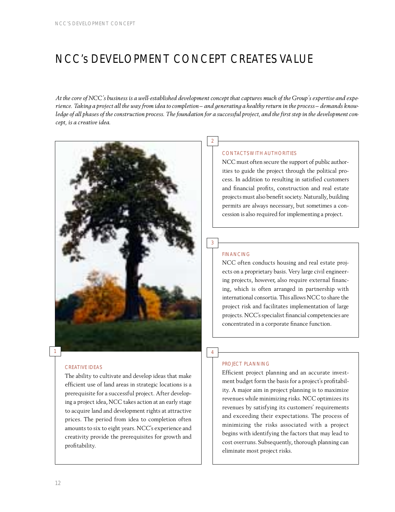## NCC's DEVELOPMENT CONCEPT CREATES VALUE

*At the core of NCC's business is a well-established development concept that captures much of the Group's expertise and experience. Taking a project all the way from idea to completion – and generating a healthy return in the process – demands knowledge of all phases of the construction process. The foundation for a successful project, and the first step in the development concept, is a creative idea.*



## CREATIVE IDEAS

The ability to cultivate and develop ideas that make efficient use of land areas in strategic locations is a prerequisite for a successful project. After developing a project idea, NCC takes action at an early stage to acquire land and development rights at attractive prices. The period from idea to completion often amounts to six to eight years. NCC's experience and creativity provide the prerequisites for growth and profitability.

 $\overline{2}$ 

## CONTACTS WITH AUTHORITIES

NCC must often secure the support of public authorities to guide the project through the political process. In addition to resulting in satisfied customers and financial profits, construction and real estate projects must also benefit society. Naturally, building permits are always necessary, but sometimes a concession is also required for implementing a project.

## FINANCING

3

4

NCC often conducts housing and real estate projects on a proprietary basis. Very large civil engineering projects, however, also require external financing, which is often arranged in partnership with international consortia. This allows NCC to share the project risk and facilitates implementation of large projects. NCC's specialist financial competencies are concentrated in a corporate finance function.

## PROJECT PLANNING

Efficient project planning and an accurate investment budget form the basis for a project's profitability. A major aim in project planning is to maximize revenues while minimizing risks. NCC optimizes its revenues by satisfying its customers' requirements and exceeding their expectations. The process of minimizing the risks associated with a project begins with identifying the factors that may lead to cost overruns. Subsequently, thorough planning can eliminate most project risks.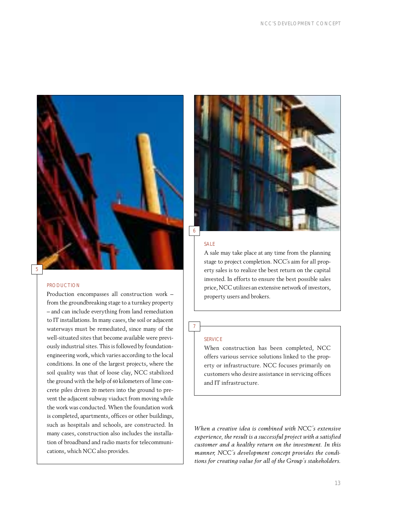

## PRODUCTION

Production encompasses all construction work – from the groundbreaking stage to a turnkey property – and can include everything from land remediation to IT installations. In many cases, the soil or adjacent waterways must be remediated, since many of the well-situated sites that become available were previously industrial sites. This is followed by foundationengineering work, which varies according to the local conditions. In one of the largest projects, where the soil quality was that of loose clay, NCC stabilized the ground with the help of 60 kilometers of lime concrete piles driven 20 meters into the ground to prevent the adjacent subway viaduct from moving while the work was conducted. When the foundation work is completed, apartments, offices or other buildings, such as hospitals and schools, are constructed. In many cases, construction also includes the installation of broadband and radio masts for telecommunications, which NCC also provides.



## SALE

A sale may take place at any time from the planning stage to project completion. NCC's aim for all property sales is to realize the best return on the capital invested. In efforts to ensure the best possible sales price, NCC utilizes an extensive network of investors, property users and brokers.

## **SERVICE**

7

When construction has been completed, NCC offers various service solutions linked to the property or infrastructure. NCC focuses primarily on customers who desire assistance in servicing offices and IT infrastructure.

*When a creative idea is combined with NCC's extensive experience, the result is a successful project with a satisfied customer and a healthy return on the investment. In this manner, NCC's development concept provides the conditions for creating value for all of the Group's stakeholders.*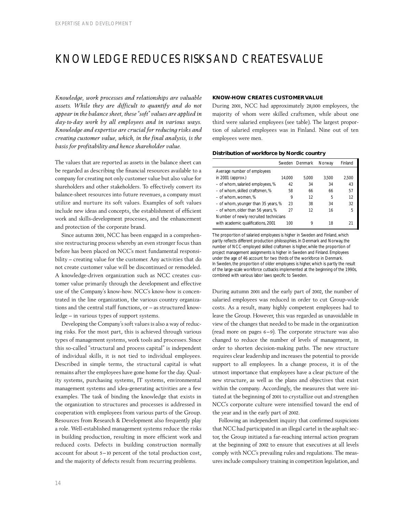## KNOWLEDGE REDUCES RISKS AND CREATES VALUE

*Knowledge, work processes and relationships are valuable assets. While they are difficult to quantify and do not appear in the balance sheet, these "soft" values are applied in day-to-day work by all employees and in various ways. Knowledge and expertise are crucial for reducing risks and creating customer value, which, in the final analysis, is the basis for profitability and hence shareholder value.*

The values that are reported as assets in the balance sheet can be regarded as describing the financial resources available to a company for creating not only customer value but also value for shareholders and other stakeholders. To effectively convert its balance-sheet resources into future revenues, a company must utilize and nurture its soft values. Examples of soft values include new ideas and concepts, the establishment of efficient work and skills-development processes, and the enhancement and protection of the corporate brand.

Since autumn 2001, NCC has been engaged in a comprehensive restructuring process whereby an even stronger focus than before has been placed on NCC's most fundamental responsibility – creating value for the customer. Any activities that do not create customer value will be discontinued or remodeled. A knowledge-driven organization such as NCC creates customer value primarily through the development and effective use of the Company's know-how. NCC's know-how is concentrated in the line organization, the various country organizations and the central staff functions, or – as structured knowledge – in various types of support systems.

Developing the Company's soft values is also a way of reducing risks. For the most part, this is achieved through various types of management systems, work tools and processes. Since this so-called "structural and process capital" is independent of individual skills, it is not tied to individual employees. Described in simple terms, the structural capital is what remains after the employees have gone home for the day. Quality systems, purchasing systems, IT systems, environmental management systems and idea-generating activities are a few examples. The task of binding the knowledge that exists in the organization to structures and processes is addressed in cooperation with employees from various parts of the Group. Resources from Research & Development also frequently play a role. Well-established management systems reduce the risks in building production, resulting in more efficient work and reduced costs. Defects in building construction normally account for about 5–10 percent of the total production cost, and the majority of defects result from recurring problems.

## **KNOW-HOW CREATES CUSTOMER VALUE**

During 2001, NCC had approximately 28,000 employees, the majority of whom were skilled craftsmen, while about one third were salaried employees (see table). The largest proportion of salaried employees was in Finland. Nine out of ten employees were men.

## **Distribution of workforce by Nordic country**

|                                       |        | Sweden Denmark | Norway | Finland |
|---------------------------------------|--------|----------------|--------|---------|
| Average number of employees           |        |                |        |         |
| in 2001 (approx.)                     | 14.000 | 5.000          | 3.500  | 2.500   |
| - of whom, salaried employees, %      | 42     | 34             | 34     | 43      |
| - of whom, skilled craftsmen, %       | 58     | 66             | 66     | 57      |
| - of whom, women, %                   | 9      | 12             | 5      | 12      |
| - of whom, younger than 35 years, %   | 23     | 38             | 34     | 32      |
| - of whom, older than 56 years, %     | 27     | 12             | 16     | 5       |
| Number of newly recruited technicians |        |                |        |         |
| with academic qualifications, 2001    | 100    | Q              | 18     |         |

The proportion of salaried employees is higher in Sweden and Finland, which partly reflects different production philosophies. In Denmark and Norway, the number of NCC-employed skilled craftsmen is higher, while the proportion of project management assignments is higher in Sweden and Finland. Employees under the age of 46 account for two thirds of the workforce in Denmark. In Sweden, the proportion of older employees is higher, which is partly the result of the large-scale workforce cutbacks implemented at the beginning of the 1990s, combined with various labor laws specific to Sweden.

During autumn 2001 and the early part of 2002, the number of salaried employees was reduced in order to cut Group-wide costs. As a result, many highly competent employees had to leave the Group. However, this was regarded as unavoidable in view of the changes that needed to be made in the organization (read more on pages 6–9). The corporate structure was also changed to reduce the number of levels of management, in order to shorten decision-making paths. The new structure requires clear leadership and increases the potential to provide support to all employees. In a change process, it is of the utmost importance that employees have a clear picture of the new structure, as well as the plans and objectives that exist within the company. Accordingly, the measures that were initiated at the beginning of 2001 to crystallize out and strengthen NCC's corporate culture were intensified toward the end of the year and in the early part of 2002.

Following an independent inquiry that confirmed suspicions that NCC had participated in an illegal cartel in the asphalt sector, the Group initiated a far-reaching internal action program at the beginning of 2002 to ensure that executives at all levels comply with NCC's prevailing rules and regulations. The measures include compulsory training in competition legislation, and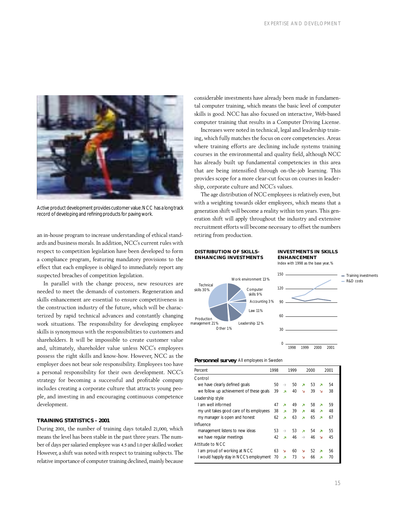

Active product development provides customer value.NCC has a long track record of developing and refining products for paving work.

an in-house program to increase understanding of ethical standards and business morals. In addition, NCC's current rules with respect to competition legislation have been developed to form a compliance program, featuring mandatory provisions to the effect that each employee is obliged to immediately report any suspected breaches of competition legislation.

In parallel with the change process, new resources are needed to meet the demands of customers. Regeneration and skills enhancement are essential to ensure competitiveness in the construction industry of the future, which will be characterized by rapid technical advances and constantly changing work situations. The responsibility for developing employee skills is synonymous with the responsibilities to customers and shareholders. It will be impossible to create customer value and, ultimately, shareholder value unless NCC's employees possess the right skills and know-how. However, NCC as the employer does not bear sole responsibility. Employees too have a personal responsibility for their own development. NCC's strategy for becoming a successful and profitable company includes creating a corporate culture that attracts young people, and investing in and encouraging continuous competence development.

## **TRAINING STATISTICS – 2001**

During 2001, the number of training days totaled 21,000, which means the level has been stable in the past three years. The number of days per salaried employee was 4.5 and 1.0 per skilled worker. However, a shift was noted with respect to training subjects. The relative importance of computer training declined, mainly because

considerable investments have already been made in fundamental computer training, which means the basic level of computer skills is good. NCC has also focused on interactive, Web-based computer training that results in a Computer Driving License.

Increases were noted in technical, legal and leadership training, which fully matches the focus on core competencies. Areas where training efforts are declining include systems training courses in the environmental and quality field, although NCC has already built up fundamental competencies in this area that are being intensified through on-the-job learning. This provides scope for a more clear-cut focus on courses in leadership, corporate culture and NCC's values.

The age distribution of NCC employees is relatively even, but with a weighting towards older employees, which means that a generation shift will become a reality within ten years. This generation shift will apply throughout the industry and extensive recruitment efforts will become necessary to offset the numbers retiring from production.

## **DISTRIBUTION OF SKILLS-ENHANCING INVESTMENTS**

## **INVESTMENTS IN SKILLS ENHANCEMENT**

Index with 1998 as the base year, %



## **Personnel survey** All employees in Sweden

| Percent                                  | 1998 |                          | 1999 |               | 2000 |                         | 2001 |
|------------------------------------------|------|--------------------------|------|---------------|------|-------------------------|------|
| Control                                  |      |                          |      |               |      |                         |      |
| we have clearly defined goals            | 50   | $\rightarrow$            | 50   | я             | 53   | λ                       | 54   |
| we follow up achievement of these goals  | 39   | <b>A</b>                 | 40   | Ñ             | 39   | N                       | 38   |
| Leadership style                         |      |                          |      |               |      |                         |      |
| Lam well informed                        | 47   | $\overline{\mathbf{z}}$  | 49   | я             | 58   | я                       | 59   |
| my unit takes good care of its employees | 38   | я                        | 39   | я             | 46   | λ                       | 48   |
| my manager is open and honest            | 62   | ×                        | 63   | ×             | 65   | $\overline{\mathbf{z}}$ | 67   |
| Influence                                |      |                          |      |               |      |                         |      |
| management listens to new ideas          | 53   | $\rightarrow$            | 53   | Σ             | 54   | λ                       | 55   |
| we have regular meetings                 | 42   | $\overline{\phantom{a}}$ | 46   | $\rightarrow$ | 46   | N                       | 45   |
| Attitude to NCC                          |      |                          |      |               |      |                         |      |
| I am proud of working at NCC             | 63   | N                        | 60   | N             | 52   | $\overline{\mathbf{z}}$ | 56   |
| I would happily stay in NCC's employment | 70   | λ                        | 73   | Ñ             | 66   | z                       | 70   |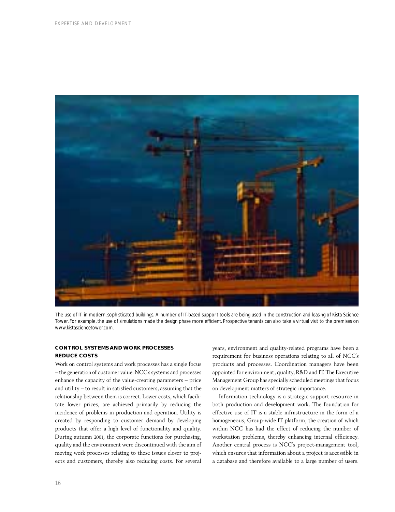

The use of IT in modern, sophisticated buildings. A number of IT-based support tools are being used in the construction and leasing of Kista Science Tower. For example, the use of simulations made the design phase more efficient. Prospective tenants can also take a virtual visit to the premises on www.kistasciencetower.com.

## **CONTROL SYSTEMS AND WORK PROCESSES REDUCE COSTS**

Work on control systems and work processes has a single focus – the generation of customer value. NCC's systems and processes enhance the capacity of the value-creating parameters – price and utility – to result in satisfied customers, assuming that the relationship between them is correct. Lower costs, which facilitate lower prices, are achieved primarily by reducing the incidence of problems in production and operation. Utility is created by responding to customer demand by developing products that offer a high level of functionality and quality. During autumn 2001, the corporate functions for purchasing, quality and the environment were discontinued with the aim of moving work processes relating to these issues closer to projects and customers, thereby also reducing costs. For several years, environment and quality-related programs have been a requirement for business operations relating to all of NCC's products and processes. Coordination managers have been appointed for environment, quality, R&D and IT. The Executive Management Group has specially scheduled meetings that focus on development matters of strategic importance.

Information technology is a strategic support resource in both production and development work. The foundation for effective use of IT is a stable infrastructure in the form of a homogeneous, Group-wide IT platform, the creation of which within NCC has had the effect of reducing the number of workstation problems, thereby enhancing internal efficiency. Another central process is NCC's project-management tool, which ensures that information about a project is accessible in a database and therefore available to a large number of users.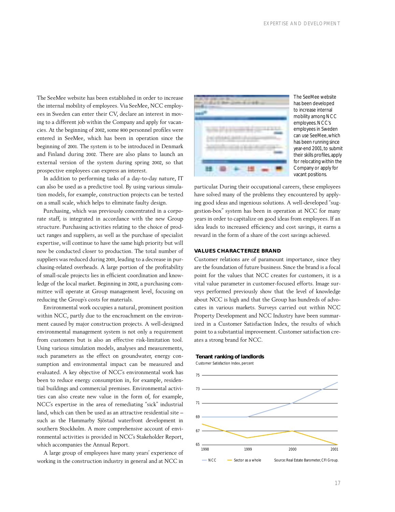The SeeMee website has been established in order to increase the internal mobility of employees. Via SeeMee, NCC employees in Sweden can enter their CV, declare an interest in moving to a different job within the Company and apply for vacancies. At the beginning of 2002, some 800 personnel profiles were entered in SeeMee, which has been in operation since the beginning of 2001. The system is to be introduced in Denmark and Finland during 2002. There are also plans to launch an external version of the system during spring 2002, so that prospective employees can express an interest.

In addition to performing tasks of a day-to-day nature, IT can also be used as a predictive tool. By using various simulation models, for example, construction projects can be tested on a small scale, which helps to eliminate faulty design.

Purchasing, which was previously concentrated in a corporate staff, is integrated in accordance with the new Group structure. Purchasing activities relating to the choice of product ranges and suppliers, as well as the purchase of specialist expertise, will continue to have the same high priority but will now be conducted closer to production. The total number of suppliers was reduced during 2001, leading to a decrease in purchasing-related overheads. A large portion of the profitability of small-scale projects lies in efficient coordination and knowledge of the local market. Beginning in 2002, a purchasing committee will operate at Group management level, focusing on reducing the Group's costs for materials.

Environmental work occupies a natural, prominent position within NCC, partly due to the encroachment on the environment caused by major construction projects. A well-designed environmental management system is not only a requirement from customers but is also an effective risk-limitation tool. Using various simulation models, analyses and measurements, such parameters as the effect on groundwater, energy consumption and environmental impact can be measured and evaluated. A key objective of NCC's environmental work has been to reduce energy consumption in, for example, residential buildings and commercial premises. Environmental activities can also create new value in the form of, for example, NCC's expertise in the area of remediating "sick" industrial land, which can then be used as an attractive residential site – such as the Hammarby Sjöstad waterfront development in southern Stockholm. A more comprehensive account of environmental activities is provided in NCC's Stakeholder Report, which accompanies the Annual Report.

A large group of employees have many years' experience of working in the construction industry in general and at NCC in



The SeeMee website has been developed to increase internal mobility among NCC employees. NCC's employees in Sweden can use SeeMee, which has been running since year-end 2001, to submit their skills profiles, apply for relocating within the Company or apply for vacant positions.

particular. During their occupational careers, these employees have solved many of the problems they encountered by applying good ideas and ingenious solutions. A well-developed "suggestion-box" system has been in operation at NCC for many years in order to capitalize on good ideas from employees. If an idea leads to increased efficiency and cost savings, it earns a reward in the form of a share of the cost savings achieved.

## **VALUES CHARACTERIZE BRAND**

Customer relations are of paramount importance, since they are the foundation of future business. Since the brand is a focal point for the values that NCC creates for customers, it is a vital value parameter in customer-focused efforts. Image surveys performed previously show that the level of knowledge about NCC is high and that the Group has hundreds of advocates in various markets. Surveys carried out within NCC Property Development and NCC Industry have been summarized in a Customer Satisfaction Index, the results of which point to a substantial improvement. Customer satisfaction creates a strong brand for NCC.

## **Tenant ranking of landlords**

Customer Satisfaction Index, percent

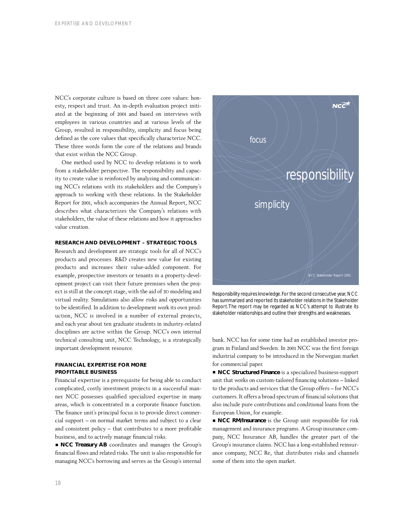NCC's corporate culture is based on three core values: honesty, respect and trust. An in-depth evaluation project initiated at the beginning of 2001 and based on interviews with employees in various countries and at various levels of the Group, resulted in responsibility, simplicity and focus being defined as the core values that specifically characterize NCC. These three words form the core of the relations and brands that exist within the NCC Group.

One method used by NCC to develop relations is to work from a stakeholder perspective. The responsibility and capacity to create value is reinforced by analyzing and communicating NCC's relations with its stakeholders and the Company's approach to working with these relations. In the Stakeholder Report for 2001, which accompanies the Annual Report, NCC describes what characterizes the Company's relations with stakeholders, the value of these relations and how it approaches value creation.

## **RESEARCH AND DEVELOPMENT – STRATEGIC TOOLS**

Research and development are strategic tools for all of NCC's products and processes. R&D creates new value for existing products and increases their value-added component. For example, prospective investors or tenants in a property-development project can visit their future premises when the project is still at the concept stage, with the aid of 3D modeling and virtual reality. Simulations also allow risks and opportunities to be identified. In addition to development work its own production, NCC is involved in a number of external projects, and each year about ten graduate students in industry-related disciplines are active within the Group. NCC's own internal technical consulting unit, NCC Technology, is a strategically important development resource.

## **FINANCIAL EXPERTISE FOR MORE PROFITABLE BUSINESS**

Financial expertise is a prerequisite for being able to conduct complicated, costly investment projects in a successful manner. NCC possesses qualified specialized expertise in many areas, which is concentrated in a corporate finance function. The finance unit's principal focus is to provide direct commercial support – on normal market terms and subject to a clear and consistent policy – that contributes to a more profitable business, and to actively manage financial risks.

■ **NCC Treasury AB** coordinates and manages the Group's financial flows and related risks. The unit is also responsible for managing NCC's borrowing and serves as the Group's internal



Responsibility requires knowledge.For the second consecutive year, NCC has summarized and reported its stakeholder relations in the Stakeholder Report.The report may be regarded as NCC's attempt to illustrate its stakeholder relationships and outline their strengths and weaknesses.

bank. NCC has for some time had an established investor program in Finland and Sweden. In 2001 NCC was the first foreign industrial company to be introduced in the Norwegian market for commercial paper.

■ **NCC Structured Finance** is a specialized business-support unit that works on custom-tailored financing solutions – linked to the products and services that the Group offers – for NCC's customers. It offers a broad spectrum of financial solutions that also include pure contributions and conditional loans from the European Union, for example.

**NCC RM/Insurance** is the Group unit responsible for risk management and insurance programs. A Group insurance company, NCC Insurance AB, handles the greater part of the Group's insurance claims. NCC has a long-established reinsurance company, NCC Re, that distributes risks and channels some of them into the open market.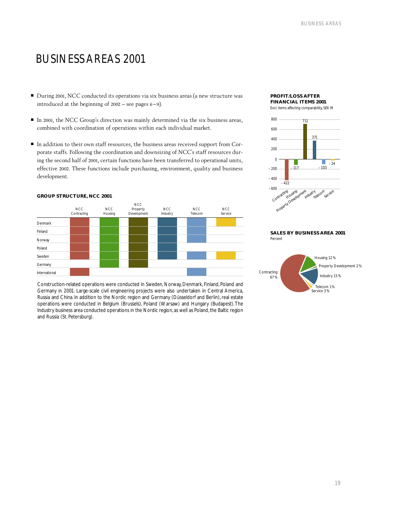## BUSINESS AREAS 2001

- During 2001, NCC conducted its operations via six business areas (a new structure was introduced at the beginning of 2002 – see pages 6–9).
- In 2001, the NCC Group's direction was mainly determined via the six business areas, combined with coordination of operations within each individual market.
- In addition to their own staff resources, the business areas received support from Corporate staffs. Following the coordination and downsizing of NCC's staff resources during the second half of 2001, certain functions have been transferred to operational units, effective 2002. These functions include purchasing, environment, quality and business development.





Construction-related operations were conducted in Sweden, Norway, Denmark, Finland, Poland and Germany in 2001. Large-scale civil engineering projects were also undertaken in Central America, Russia and China. In addition to the Nordic region and Germany (Düsseldorf and Berlin), real estate operations were conducted in Belgium (Brussels), Poland (Warsaw) and Hungary (Budapest). The Industry business area conducted operations in the Nordic region, as well as Poland, the Baltic region and Russia (St. Petersburg).

## **PROFIT/LOSS AFTER FINANCIAL ITEMS 2001** Excl. items affecting comparability, SEK M



## **SALES BY BUSINESS AREA 2001** Percent

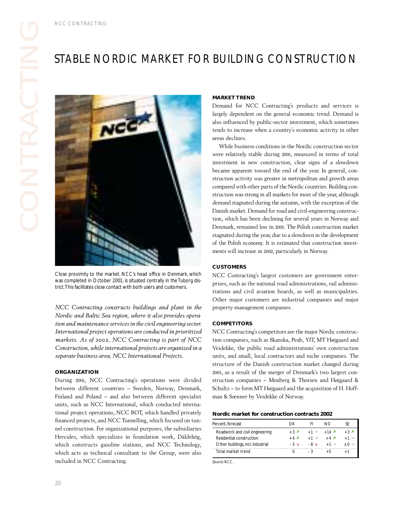

Close proximity to the market. NCC's head office in Denmark, which was completed in October 2001, is situated centrally in the Tuborg district.This facilitates close contact with both users and customers.

*NCC Contracting constructs buildings and plant in the Nordic and Baltic Sea region, where it also provides operation and maintenance services in the civil engineering sector. International project operations are conducted in prioritized markets. As of 2002, NCC Contracting is part of NCC Construction, while international projects are organized in a separate business area, NCC International Projects.*

## **ORGANIZATION**

During 2001, NCC Contracting's operations were divided between different countries – Sweden, Norway, Denmark, Finland and Poland – and also between different specialist units, such as NCC International, which conducted international project operations, NCC BOT, which handled privately financed projects, and NCC Tunnelling, which focused on tunnel construction. For organizational purposes, the subsidiaries Hercules, which specializes in foundation work, Däldehög, which constructs gasoline stations, and NCC Technology, which acts as technical consultant to the Group, were also included in NCC Contracting.

## **MARKET TREND**

Demand for NCC Contracting's products and services is largely dependent on the general economic trend. Demand is also influenced by public-sector investment, which sometimes tends to increase when a country's economic activity in other areas declines.

for NC<br>ependent<br>uenced by<br>increase<br>clines.<br>business the pussiness<br>ativity standard and the variance<br>stromarket. De<br>chase be has been carried and the stromarket. De<br>chase been and the stromarket. De While business conditions in the Nordic construction sector were relatively stable during 2001, measured in terms of total investment in new construction, clear signs of a slowdown became apparent toward the end of the year. In general, construction activity was greater in metropolitan and growth areas compared with other parts of the Nordic countries. Building construction was strong in all markets for most of the year, although demand stagnated during the autumn, with the exception of the Danish market. Demand for road and civil-engineering construction, which has been declining for several years in Norway and Denmark, remained low in 2001. The Polish construction market stagnated during the year, due to a slowdown in the development of the Polish economy. It is estimated that construction investments will increase in 2002, particularly in Norway.

## **CUSTOMERS**

NCC Contracting's largest customers are government enterprises, such as the national road administrations, rail administrations and civil aviation boards, as well as municipalities. Other major customers are industrial companies and major property-management companies.

## **COMPETITORS**

NCC Contracting's competitors are the major Nordic construction companies, such as Skanska, Peab, YIT, MT Højgaard and Veidekke, the public road administrations' own construction units, and small, local contractors and niche companies. The structure of the Danish construction market changed during 2001, as a result of the merger of Denmark's two largest construction companies – Monberg & Thorsen and Højgaard & Schultz – to form MT Højgaard and the acquisition of H. Hoffman & Sœnner by Veidekke of Norway.

## **Nordic market for construction contracts 2002**

| Percent. forecast                 | l ) K          |                   | NO.                 |                  |
|-----------------------------------|----------------|-------------------|---------------------|------------------|
| Roadwork and civil engineering    | $+3$ $\lambda$ | $+1 \rightarrow$  | $+14$ $7$           | $+3$ $7$         |
| Residential construction          | $+4$ $7$       | $+1 \rightarrow$  | $+4$ $\overline{ }$ | $+1 \rightarrow$ |
| Other buildings, incl. industrial | $-3$ $\lambda$ | $-8$ $\mathbf{v}$ | $+1 \rightarrow$    | $+0 \rightarrow$ |
| Total market trend                |                |                   |                     |                  |
|                                   |                |                   |                     |                  |

Source: NCC.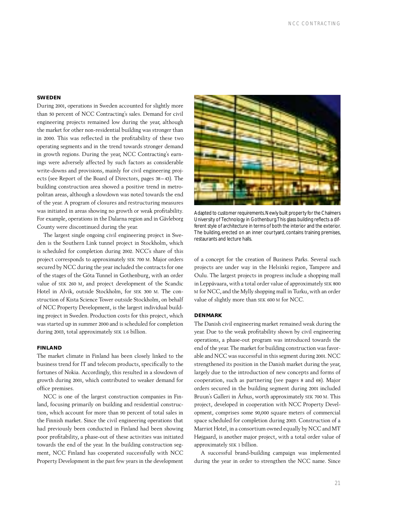## **SWEDEN**

During 2001, operations in Sweden accounted for slightly more than 50 percent of NCC Contracting's sales. Demand for civil engineering projects remained low during the year, although the market for other non-residential building was stronger than in 2000. This was reflected in the profitability of these two operating segments and in the trend towards stronger demand in growth regions. During the year, NCC Contracting's earnings were adversely affected by such factors as considerable write-downs and provisions, mainly for civil engineering projects (see Report of the Board of Directors, pages 38–43). The building construction area showed a positive trend in metropolitan areas, although a slowdown was noted towards the end of the year. A program of closures and restructuring measures was initiated in areas showing no growth or weak profitability. For example, operations in the Dalarna region and in Gävleborg County were discontinued during the year.

The largest single ongoing civil engineering project in Sweden is the Southern Link tunnel project in Stockholm, which is scheduled for completion during 2002. NCC's share of this project corresponds to approximately SEK 700 M. Major orders secured by NCC during the year included the contracts for one of the stages of the Göta Tunnel in Gothenburg, with an order value of SEK 260 M, and project development of the Scandic Hotel in Alvik, outside Stockholm, for SEK 300 M. The construction of Kista Science Tower outside Stockholm, on behalf of NCC Property Development, is the largest individual building project in Sweden. Production costs for this project, which was started up in summer 2000 and is scheduled for completion during 2003, total approximately SEK 1.6 billion.

## **FINLAND**

The market climate in Finland has been closely linked to the business trend for IT and telecom products, specifically to the fortunes of Nokia. Accordingly, this resulted in a slowdown of growth during 2001, which contributed to weaker demand for office premises.

NCC is one of the largest construction companies in Finland, focusing primarily on building and residential construction, which account for more than 90 percent of total sales in the Finnish market. Since the civil engineering operations that had previously been conducted in Finland had been showing poor profitability, a phase-out of these activities was initiated towards the end of the year. In the building construction segment, NCC Finland has cooperated successfully with NCC Property Development in the past few years in the development



Adapted to customer requirements.Newly built property for the Chalmers University of Technology in Gothenburg.This glass building reflects a different style of architecture in terms of both the interior and the exterior. The building, erected on an inner courtyard, contains training premises, restaurants and lecture halls.

of a concept for the creation of Business Parks. Several such projects are under way in the Helsinki region, Tampere and Oulu. The largest projects in progress include a shopping mall in Leppävaara, with a total order value of approximately SEK 800 M for NCC, and the Mylly shopping mall in Turku, with an order value of slightly more than SEK 600 M for NCC.

## **DENMARK**

The Danish civil engineering market remained weak during the year. Due to the weak profitability shown by civil engineering operations, a phase-out program was introduced towards the end of the year. The market for building construction was favorable and NCC was successful in this segment during 2001. NCC strengthened its position in the Danish market during the year, largely due to the introduction of new concepts and forms of cooperation, such as partnering (see pages 8 and 68). Major orders secured in the building segment during 2001 included Bruun's Galleri in Århus, worth approximately SEK 700 M. This project, developed in cooperation with NCC Property Development, comprises some 90,000 square meters of commercial space scheduled for completion during 2003. Construction of a Marriot Hotel, in a consortium owned equally by NCC and MT Højgaard, is another major project, with a total order value of approximately SEK 1 billion.

A successful brand-building campaign was implemented during the year in order to strengthen the NCC name. Since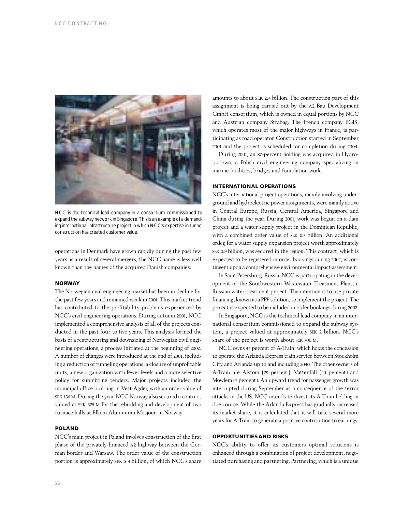

NCC is the technical lead company in a consortium commissioned to expand the subway network in Singapore.This is an example of a demanding international infrastructure project in which NCC's expertise in tunnel construction has created customer value.

operations in Denmark have grown rapidly during the past few years as a result of several mergers, the NCC name is less well known than the names of the acquired Danish companies.

## **NORWAY**

The Norwegian civil engineering market has been in decline for the past few years and remained weak in 2001. This market trend has contributed to the profitability problems experienced by NCC's civil engineering operations. During autumn 2001, NCC implemented a comprehensive analysis of all of the projects conducted in the past four to five years. This analysis formed the basis of a restructuring and downsizing of Norwegian civil engineering operations, a process initiated at the beginning of 2002. A number of changes were introduced at the end of 2001, including a reduction of tunneling operations, a closure of unprofitable units, a new organization with fewer levels and a more selective policy for submitting tenders. Major projects included the municipal office building in Vest-Agder, with an order value of SEK 136 M. During the year, NCC Norway also secured a contract valued at SEK 325 M for the rebuilding and development of two furnace halls at Elkem Aluminium Mosjoen in Norway.

## **POLAND**

NCC's main project in Poland involves construction of the first phase of the privately financed A2 highway between the German border and Warsaw. The order value of the construction portion is approximately SEK 5.4 billion, of which NCC's share amounts to about SEK 2.4 billion. The construction part of this assignment is being carried out by the A2 Bau Development GmbH consortium, which is owned in equal portions by NCC and Austrian company Strabag. The French company EGIS, which operates most of the major highways in France, is participating as road operator. Construction started in September 2001 and the project is scheduled for completion during 2004.

During 2001, an 87-percent holding was acquired in Hydrobudowa, a Polish civil engineering company specializing in marine facilities, bridges and foundation work.

## **INTERNATIONAL OPERATIONS**

NCC's international project operations, mainly involving underground and hydroelectric power assignments, were mainly active in Central Europe, Russia, Central America, Singapore and China during the year. During 2001, work was begun on a dam project and a water supply project in the Dominican Republic, with a combined order value of SEK 0.7 billion. An additional order, for a water supply expansion project worth approximately SEK 0.9 billion, was secured in the region. This contract, which is expected to be registered in order bookings during 2002, is contingent upon a comprehensive environmental impact assessment.

In Saint Petersburg, Russia, NCC is participating in the development of the Southwestern Wastewater Treatment Plant, a Russian water-treatment project. The intention is to use private financing, known as a PPP solution, to implement the project. The project is expected to be included in order bookings during 2002.

In Singapore, NCC is the technical lead company in an international consortium commissioned to expand the subway system, a project valued at approximately SEK 2 billion. NCC's share of the project is worth about SEK 700 M.

NCC owns 44 percent of A-Train, which holds the concession to operate the Arlanda Express train service between Stockholm City and Arlanda up to and including 2040. The other owners of A-Train are Alstom (29 percent), Vattenfall (20 percent) and Mowlem (7 percent). An upward trend for passenger growth was interrupted during September as a consequence of the terror attacks in the US. NCC intends to divest its A-Train holding in due course. While the Arlanda Express has gradually increased its market share, it is calculated that it will take several more years for A-Train to generate a positive contribution to earnings.

## **OPPORTUNITIES AND RISKS**

NCC's ability to offer its customers optimal solutions is enhanced through a combination of project development, negotiated purchasing and partnering. Partnering, which is a unique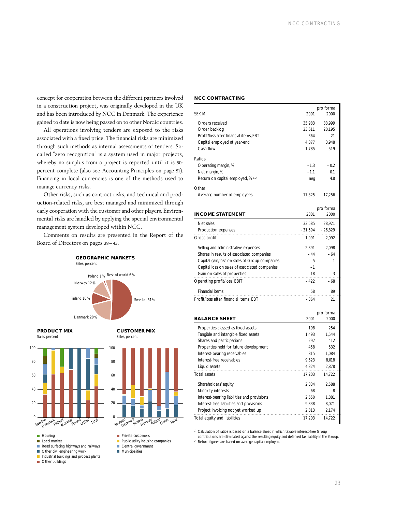concept for cooperation between the different partners involved in a construction project, was originally developed in the UK and has been introduced by NCC in Denmark. The experience gained to date is now being passed on to other Nordic countries.

All operations involving tenders are exposed to the risks associated with a fixed price. The financial risks are minimized through such methods as internal assessments of tenders. Socalled "zero recognition" is a system used in major projects, whereby no surplus from a project is reported until it is 50 percent complete (also see Accounting Principles on page 51). Financing in local currencies is one of the methods used to manage currency risks.

Other risks, such as contract risks, and technical and production-related risks, are best managed and minimized through early cooperation with the customer and other players. Environmental risks are handled by applying the special environmental management system developed within NCC.

Comments on results are presented in the Report of the Board of Directors on pages 38–43.



0

Sweden

**Private customers Public utility housing companies** Central government **Municipalities** 

20

40

 $60$ 

 $80$ 

100

**PRODUCT MIX** Sales, percent

**CUSTOMER MIX** Sales, percent

Jen<sub>mark</sub> <sub>Finland</sup> over a later total</sub>



- Industrial buildings and process plants
- 
- **Other buildings**

## **NCC CONTRACTING**

| <b>SEK M</b>                                  | 2001             | pro forma<br>2000 |
|-----------------------------------------------|------------------|-------------------|
| Orders received                               |                  |                   |
| Order backlog                                 | 35,983<br>23,611 | 33,999<br>20,195  |
| Profit/loss after financial items, EBT        | $-364$           | 21                |
| Capital employed at year-end                  | 4,877            | 3,948             |
| Cash flow                                     | 1,785            | $-519$            |
| Ratios                                        |                  |                   |
| Operating margin, %                           | $-1.3$           | $-0.2$            |
| Net margin, %                                 | $-1.1$           | 0.1               |
| Return on capital employed, % 1.2)            | neg              | 4.8               |
| Other                                         |                  |                   |
| Average number of employees                   | 17,825           | 17,256            |
|                                               |                  |                   |
|                                               |                  | pro forma         |
| <b>INCOME STATEMENT</b>                       | 2001             | 2000              |
| Net sales                                     | 33,585           | 28,921            |
| Production expenses                           | $-31,594$        | - 26,829          |
| Gross profit                                  | 1,991            | 2,092             |
| Selling and administrative expenses           | $-2,391$         | $-2,098$          |
| Shares in results of associated companies     | $-44$            | $-64$             |
| Capital gain/loss on sales of Group companies | 5                | $-1$              |
| Capital loss on sales of associated companies | $-1$             |                   |
| Gain on sales of properties<br>.              | 18               | 3                 |
| Operating profit/loss, EBIT                   | $-422$           | -68               |
| Financial items                               | 58               | 89                |
| Profit/loss after financial items, EBT        | $-364$           | 21                |
|                                               |                  | pro forma         |
| <b>BALANCE SHEET</b>                          | 2001             | 2000              |
| Properties classed as fixed assets            | 198              | 254               |
| Tangible and intangible fixed assets          | 1,493            | 1,544             |
| Shares and participations                     | 292              | 412               |
| Properties held for future development        | 458              | 532               |
| Interest-bearing receivables                  | 815              | 1,084             |
| Interest-free receivables                     | 9,623            | 8,018             |
| Liquid assets                                 | 4,324            | 2,878             |
| <b>Total assets</b>                           | 17,203           | 14,722            |
| Shareholders' equity                          | 2,334            | 2,588             |
| Minority interests                            | 68               | 8                 |
| Interest-bearing liabilities and provisions   | 2,650            | 1,881             |
| Interest-free liabilities and provisions      | 9,338            | 8,071             |
| Project invoicing not yet worked up           | 2,813            | 2,174             |
| Total equity and liabilities                  | 17,203           | 14,722            |

1) Calculation of ratios is based on a balance sheet in which taxable interest-free Group

contributions are eliminated against the resulting equity and deferred tax liability in the Group. 2) Return figures are based on average capital employed.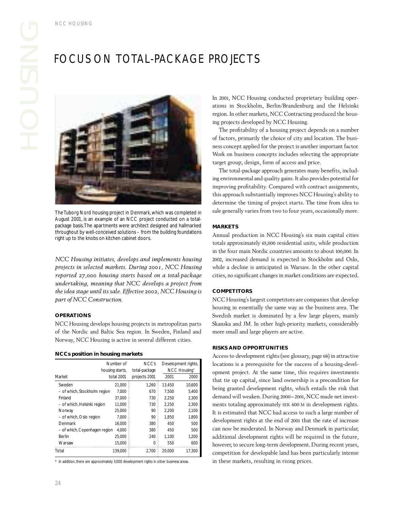## FOCUS ON TOTAL-PACKAGE PROJECTS



The Tuborg Nord housing project in Denmark, which was completed in August 2001, is an example of an NCC project conducted on a totalpackage basis.The apartments were architect designed and hallmarked throughout by well-conceived solutions – from the building foundations right up to the knobs on kitchen cabinet doors.

*NCC Housing initiates, develops and implements housing projects in selected markets. During 2001, NCC Housing reported 27,000 housing starts based on a total-package undertaking, meaning that NCC develops a project from the idea stage until its sale. Effective 2002, NCC Housing is part of NCC Construction.*

## **OPERATIONS**

NCC Housing develops housing projects in metropolitan parts of the Nordic and Baltic Sea region. In Sweden, Finland and Norway, NCC Housing is active in several different cities.

## **NCCs position in housing markets**

| Market                        | Number of<br>housing starts,<br>total 2001 | NCC's<br>total-package<br>projects 2001 | 2001   | Development rights,<br>NCC Housing*<br>2000 |
|-------------------------------|--------------------------------------------|-----------------------------------------|--------|---------------------------------------------|
| Sweden                        | 21.000                                     | 1,260                                   | 13,450 | 10,600                                      |
| - of which, Stockholm region  | 7.000                                      | 670                                     | 7.500  | 5.400                                       |
| Finland                       | 37.000                                     | 730                                     | 2.250  | 2.300                                       |
| - of which, Helsinki region   | 11.000                                     | 730                                     | 2.250  | 2,300                                       |
| Norway                        | 25.000                                     | 90                                      | 2.200  | 2,100                                       |
| - of which, Oslo region       | 7.000                                      | 90                                      | 1.850  | 1.800                                       |
| Denmark                       | 16.000                                     | 380                                     | 450    | 500                                         |
| - of which, Copenhagen region | 4.000                                      | 380                                     | 450    | 500                                         |
| Berlin                        | 25.000                                     | 240                                     | 1,100  | 1,200                                       |
| Warsaw                        | 15.000                                     | Ω                                       | 550    | 600                                         |
| Total                         | 139.000                                    | 2.700                                   | 20.000 | 17.300                                      |

\* In addition, there are approximately 3,000 development rights in other business areas.

POJEC<br>Pool, NCC<br>Pons in St<br>projects<br>The profit<br>actors, pr<br>s concept nducted<br>Tin/Brand<br>CC Cont<br>NCC Hou<br>busing pro<br>to e project In 2001, NCC Housing conducted proprietary building operations in Stockholm, Berlin/Brandenburg and the Helsinki region. In other markets, NCC Contracting produced the housing projects developed by NCC Housing.

The profitability of a housing project depends on a number of factors, primarily the choice of city and location. The business concept applied for the project is another important factor. Work on business concepts includes selecting the appropriate target group, design, form of access and price.

The total-package approach generates many benefits, including environmental and quality gains. It also provides potential for improving profitability. Compared with contract assignments, this approach substantially improves NCC Housing's ability to determine the timing of project starts. The time from idea to sale generally varies from two to four years, occasionally more.

## **MARKETS**

Annual production in NCC Housing's six main capital cities totals approximately 65,000 residential units, while production in the four main Nordic countries amounts to about 100,000. In 2002, increased demand is expected in Stockholm and Oslo, while a decline is anticipated in Warsaw. In the other capital cities, no significant changes in market conditions are expected.

## **COMPETITORS**

NCC Housing's largest competitors are companies that develop housing in essentially the same way as the business area. The Swedish market is dominated by a few large players, mainly Skanska and JM. In other high-priority markets, considerably more small and large players are active.

## **RISKS AND OPPORTUNITIES**

Access to development rights (see glossary, page 68) in attractive locations is a prerequisite for the success of a housing-development project. At the same time, this requires investments that tie up capital, since land ownership is a precondition for being granted development rights, which entails the risk that demand will weaken. During 2000–2001, NCC made net investments totaling approximately SEK 600 M in development rights. It is estimated that NCC had access to such a large number of development rights at the end of 2001 that the rate of increase can now be moderated. In Norway and Denmark in particular, additional development rights will be required in the future, however, to secure long-term development. During recent years, competition for developable land has been particularly intense in these markets, resulting in rising prices.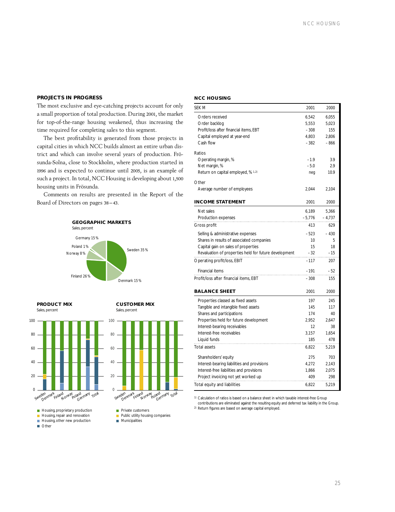## **PROJECTS IN PROGRESS**

The most exclusive and eye-catching projects account for only a small proportion of total production. During 2001, the market for top-of-the-range housing weakened, thus increasing the time required for completing sales to this segment.

The best profitability is generated from those projects in capital cities in which NCC builds almost an entire urban district and which can involve several years of production. Frösunda-Solna, close to Stockholm, where production started in 1996 and is expected to continue until 2005, is an example of such a project. In total, NCC Housing is developing about 1,500 housing units in Frösunda.

Comments on results are presented in the Report of the Board of Directors on pages 38–43.



**PRODUCT MIX** Sales, percent

**CUSTOMER MIX** Sales, percent



## **NCC HOUSING**

| <b>SEK M</b>                                          | 2001     | 2000     |
|-------------------------------------------------------|----------|----------|
| Orders received                                       | 6,542    | 6,055    |
| Order backlog                                         | 5,553    | 5,023    |
| Profit/loss after financial items, EBT                | $-308$   | 155      |
| Capital employed at year-end                          | 4,803    | 2.806    |
| Cash flow                                             | $-382$   | $-866$   |
| Ratios                                                |          |          |
|                                                       | $-1.9$   | 3.9      |
| Operating margin, %                                   | $-5.0$   | 2.9      |
| Net margin, %                                         |          |          |
| Return on capital employed, % 1.2)                    | neg      | 10.9     |
| Other                                                 |          |          |
| Average number of employees                           | 2,044    | 2,104    |
| <b>INCOME STATEMENT</b>                               | 2001     | 2000     |
| Net sales                                             | 6,189    | 5,366    |
| Production expenses                                   | $-5,776$ | $-4,737$ |
|                                                       | 413      | 629      |
| Gross profit                                          |          |          |
| Selling & administrative expenses                     | $-523$   | $-430$   |
| Shares in results of associated companies             | 10       | 5        |
| Capital gain on sales of properties                   | 15       | 18       |
| Revaluation of properties held for future development | $-32$    | $-15$    |
| Operating profit/loss, EBIT                           | $-117$   | 207      |
| Financial items                                       | $-191$   | $-52$    |
| Profit/loss after financial items, EBT                | -308     | 155      |
|                                                       |          |          |
| <b>BALANCE SHEET</b>                                  | 2001     | 2000     |
| Properties classed as fixed assets                    | 197      | 245      |
| Tangible and intangible fixed assets                  | 145      | 117      |
| Shares and participations                             | 174      | 40       |
| Properties held for future development                | 2,952    | 2,647    |
| Interest-bearing receivables                          | 12       | 38       |
| Interest-free receivables                             | 3,157    | 1,654    |
| Liquid funds                                          | 185      | 478      |
| <b>Total assets</b>                                   | 6,822    | 5,219    |
| Shareholders' equity                                  | 275      | 703      |
| Interest-bearing liabilities and provisions           | 4,272    | 2,143    |
| Interest-free liabilities and provisions              | 1,866    | 2,075    |
| Project invoicing not yet worked up                   | 409      | 298      |
| Total equity and liabilities                          | 6,822    | 5,219    |
|                                                       |          |          |

1) Calculation of ratios is based on a balance sheet in which taxable interest-free Group contributions are eliminated against the resulting equity and deferred tax liability in the Group.

2) Return figures are based on average capital employed.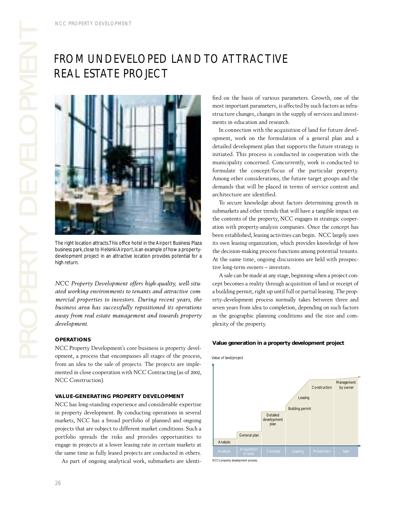## FROM UNDEVELOPED LAND TO ATTRACTIVE REAL ESTATE PROJECT



The right location attracts. This office hotel in the Airport Business Plaza business park, close to Helsinki Airport, is an example of how a propertydevelopment project in an attractive location provides potential for a high return.

ht location<br>s park, clos<br>pment pro<br>turn.<br>Property<br>al prope<br>ess area<br>from rea<br>pment.<br>ATIONS<br>Property<br>it, a proc *NCC Property Development offers high-quality, well-situated working environments to tenants and attractive commercial properties to investors. During recent years, the business area has successfully repositioned its operations away from real estate management and towards property development.*

## **OPERATIONS**

NCC Property Development's core business is property development, a process that encompasses all stages of the process, from an idea to the sale of projects. The projects are implemented in close cooperation with NCC Contracting (as of 2002, NCC Construction).

## **VALUE-GENERATING PROPERTY DEVELOPMENT**

NCC has long-standing experience and considerable expertise in property development. By conducting operations in several markets, NCC has a broad portfolio of planned and ongoing projects that are subject to different market conditions. Such a portfolio spreads the risks and provides opportunities to engage in projects at a lower leasing rate in certain markets at the same time as fully leased projects are conducted in others.

As part of ongoing analytical work, submarkets are identi-

fied on the basis of various parameters. Growth, one of the most important parameters, is affected by such factors as infrastructure changes, changes in the supply of services and investments in education and research.

In connection with the acquisition of land for future development, work on the formulation of a general plan and a detailed development plan that supports the future strategy is initiated. This process is conducted in cooperation with the municipality concerned. Concurrently, work is conducted to formulate the concept/focus of the particular property. Among other considerations, the future target groups and the demands that will be placed in terms of service content and architecture are identified.

To secure knowledge about factors determining growth in submarkets and other trends that will have a tangible impact on the contents of the property, NCC engages in strategic cooperation with property-analysis companies. Once the concept has been established, leasing activities can begin. NCC largely uses its own leasing organization, which provides knowledge of how the decision-making process functions among potential tenants. At the same time, ongoing discussions are held with prospective long-term owners – investors.

A sale can be made at any stage, beginning when a project concept becomes a reality through acquisition of land or receipt of a building permit, right up until full or partial leasing. The property-development process normally takes between three and seven years from idea to completion, depending on such factors as the geographic planning conditions and the size and complexity of the property.

## **Value generation in a property development project**



of land **Concept Leasing Production Sale**<br>of land **Concept Leasing** 

Management by owner

*NCC's property development process.*

Analysis

Analysis  $\left\{\n \begin{array}{c}\n \text{Acquistion} \\
 \text{of land}\n \end{array}\n\right\}$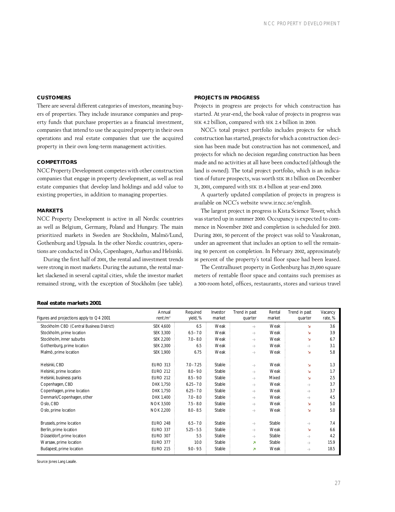## **CUSTOMERS**

There are several different categories of investors, meaning buyers of properties. They include insurance companies and property funds that purchase properties as a financial investment, companies that intend to use the acquired property in their own operations and real estate companies that use the acquired property in their own long-term management activities.

## **COMPETITORS**

NCC Property Development competes with other construction companies that engage in property development, as well as real estate companies that develop land holdings and add value to existing properties, in addition to managing properties.

## **MARKETS**

NCC Property Development is active in all Nordic countries as well as Belgium, Germany, Poland and Hungary. The main prioritized markets in Sweden are Stockholm, Malmö/Lund, Gothenburg and Uppsala. In the other Nordic countries, operations are conducted in Oslo, Copenhagen, Aarhus and Helsinki.

During the first half of 2001, the rental and investment trends were strong in most markets. During the autumn, the rental market slackened in several capital cities, while the investor market remained strong, with the exception of Stockholm (see table).

## **PROJECTS IN PROGRESS**

Projects in progress are projects for which construction has started. At year-end, the book value of projects in progress was SEK 4.2 billion, compared with SEK 2.4 billion in 2000.

NCC's total project portfolio includes projects for which construction has started, projects for which a construction decision has been made but construction has not commenced, and projects for which no decision regarding construction has been made and no activities at all have been conducted (although the land is owned). The total project portfolio, which is an indication of future prospects, was worth SEK 18.1 billion on December 31, 2001, compared with SEK 15.4 billion at year-end 2000.

A quarterly updated compilation of projects in progress is available on NCC's website www.ir.ncc.se/english.

The largest project in progress is Kista Science Tower, which was started up in summer 2000. Occupancy is expected to commence in November 2002 and completion is scheduled for 2003. During 2001, 50 percent of the project was sold to Vasakronan, under an agreement that includes an option to sell the remaining 50 percent on completion. In February 2002, approximately 16 percent of the property's total floor space had been leased.

The Centralhuset property in Gothenburg has 25,000 square meters of rentable floor space and contains such premises as a 300-room hotel, offices, restaurants, stores and various travel

## **Real estate markets 2001**

| Figures and projections apply to $Q4$ 2001 | Annual<br>rent/m <sup>2</sup> | Required<br>yield, % | Investor<br>market | Trend in past<br>quarter | Rental<br>market | Trend in past<br>quarter | Vacancy<br>rate, % |
|--------------------------------------------|-------------------------------|----------------------|--------------------|--------------------------|------------------|--------------------------|--------------------|
| Stockholm CBD (Central Business District)  | SEK 4,600                     | 6.5                  | Weak               | $\rightarrow$            | Weak             | N                        | 3.6                |
| Stockholm, prime location                  | SEK 3,300                     | $6.5 - 7.0$          | Weak               | $\rightarrow$            | Weak             | У                        | 3.9                |
| Stockholm, inner suburbs                   | SEK 2,200                     | $7.0 - 8.0$          | Weak               | $\rightarrow$            | Weak             | Я                        | 6.7                |
| Gothenburg, prime location                 | SEK 2,300                     | 6.5                  | Weak               | $\rightarrow$            | Weak             | $\rightarrow$            | 3.1                |
| Malmö, prime location                      | SEK 1,900                     | 6.75                 | Weak               | $\rightarrow$            | Weak             | Ñ                        | 5.8                |
|                                            |                               |                      |                    |                          |                  |                          |                    |
| Helsinki, CBD                              | <b>EURO 313</b>               | $7.0 - 7.25$         | Stable             | $\rightarrow$            | Weak             | л                        | 1.3                |
| Helsinki, prime location                   | <b>EURO 212</b>               | $8.0 - 9.0$          | Stable             | $\rightarrow$            | Weak             | Ñ                        | 1.7                |
| Helsinki, business parks                   | <b>EURO 212</b>               | $8.5 - 9.0$          | Stable             | $\rightarrow$            | Mixed            | Я                        | 2.5                |
| Copenhagen, CBD                            | DKK 1,750                     | $6.25 - 7.0$         | Stable             | $\rightarrow$            | Weak             | $\rightarrow$            | 3.7                |
| Copenhagen, prime location                 | DKK 1,750                     | $6.25 - 7.0$         | Stable             | $\rightarrow$            | Weak             | $\rightarrow$            | 3.7                |
| Denmark/Copenhagen, other                  | DKK 1,400                     | $7.0 - 8.0$          | Stable             | $\rightarrow$            | Weak             | $\rightarrow$            | 4.5                |
| Oslo, CBD                                  | <b>NOK 3,500</b>              | $7.5 - 8.0$          | Stable             | $\rightarrow$            | Weak             | л                        | 5.0                |
| Oslo, prime location                       | <b>NOK 2,200</b>              | $8.0 - 8.5$          | Stable             | $\rightarrow$            | Weak             | Ñ                        | 5.0                |
|                                            |                               |                      |                    |                          |                  |                          |                    |
| Brussels, prime location                   | <b>EURO 248</b>               | $6.5 - 7.0$          | Stable             | $\rightarrow$            | Stable           | $\rightarrow$            | 7.4                |
| Berlin, prime location                     | <b>EURO 337</b>               | $5.25 - 5.5$         | Stable             | $\rightarrow$            | Weak             | Ñ                        | 6.6                |
| Düsseldorf, prime location                 | <b>EURO 307</b>               | 5.5                  | Stable             | $\rightarrow$            | Stable           | $\rightarrow$            | 4.2                |
| Warsaw, prime location                     | <b>EURO 377</b>               | 10.0                 | Stable             | Ζ                        | Stable           | $\rightarrow$            | 15.9               |
| Budapest, prime location                   | <b>EURO 215</b>               | $9.0 - 9.5$          | Stable             | z                        | Weak             | $\rightarrow$            | 18.5               |

Source: Jones Lang Lasalle.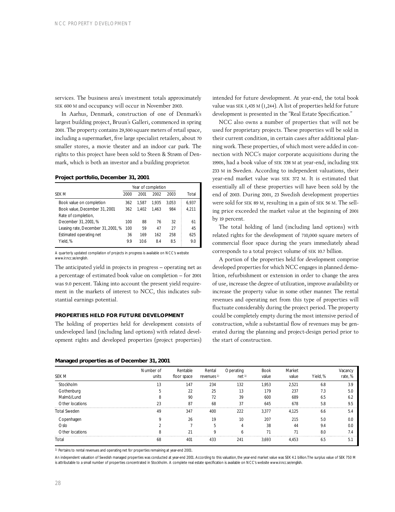services. The business area's investment totals approximately SEK 600 M and occupancy will occur in November 2003.

In Aarhus, Denmark, construction of one of Denmark's largest building project, Bruun's Galleri, commenced in spring 2001. The property contains 29,500 square meters of retail space, including a supermarket, five large specialist retailers, about 70 smaller stores, a movie theater and an indoor car park. The rights to this project have been sold to Steen & Strøm of Denmark, which is both an investor and a building proprietor.

## **Project portfolio, December 31, 2001**

| 2000 | 2001  | 2002  | 2003  | Total              |
|------|-------|-------|-------|--------------------|
| 362  | 1.587 | 1.935 | 3.053 | 6.937              |
| 362  | 1.402 | 1.463 | 984   | 4.211              |
|      |       |       |       |                    |
| 100  | 88    | 76    | 32    | 61                 |
| 100  | 59    | 47    | 27    | 45                 |
| 36   | 169   | 162   | 258   | 625                |
| 9.9  | 10.6  | 8.4   | 8.5   | 9.0                |
|      |       |       |       | Year of completion |

A quarterly updated compilation of projects in progress is available on NCC's website www.ir.ncc.se/english

The anticipated yield in projects in progress – operating net as a percentage of estimated book value on completion – for 2001 was 9.0 percent. Taking into account the present yield requirement in the markets of interest to NCC, this indicates substantial earnings potential.

## **PROPERTIES HELD FOR FUTURE DEVELOPMENT**

The holding of properties held for development consists of undeveloped land (including land options) with related development rights and developed properties (project properties)

## **Managed properties as of December 31, 2001**

intended for future development. At year-end, the total book value was SEK 1,435 M (1,244). A list of properties held for future development is presented in the "Real Estate Specification."

NCC also owns a number of properties that will not be used for proprietary projects. These properties will be sold in their current condition, in certain cases after additional planning work. These properties, of which most were added in connection with NCC's major corporate acquisitions during the 1990s, had a book value of SEK 338 M at year-end, including SEK 233 M in Sweden. According to independent valuations, their year-end market value was SEK 372 M. It is estimated that essentially all of these properties will have been sold by the end of 2003. During 2001, 23 Swedish development properties were sold for SEK 89 M, resulting in a gain of SEK 56 M. The selling price exceeded the market value at the beginning of 2001 by 19 percent.

The total holding of land (including land options) with related rights for the development of 710,000 square meters of commercial floor space during the years immediately ahead corresponds to a total project volume of SEK 10.7 billion.

A portion of the properties held for development comprise developed properties for which NCC engages in planned demolition, refurbishment or extension in order to change the area of use, increase the degree of utilization, improve availability or increase the property value in some other manner. The rental revenues and operating net from this type of properties will fluctuate considerably during the project period. The property could be completely empty during the most intensive period of construction, while a substantial flow of revenues may be generated during the planning and project-design period prior to the start of construction.

| SEK M               | Number of<br>units | Rentable<br>floor space | Rental<br>revenues <sup>1)</sup> | Operating<br>net <sup>1</sup> | <b>Book</b><br>value | Market<br>value | Yield, % | Vacancy<br>rate, % |
|---------------------|--------------------|-------------------------|----------------------------------|-------------------------------|----------------------|-----------------|----------|--------------------|
| <b>Stockholm</b>    | 13                 | 147                     | 234                              | 132                           | 1.953                | 2,521           | 6.8      | 3.9                |
| Gothenburg          |                    | 22                      | 25                               | 13                            | 179                  | 237             | 7.3      | 5.0                |
| Malmö/Lund          |                    | 90                      | 72                               | 39                            | 600                  | 689             | 6.5      | 62                 |
| Other locations     | つつ                 | 87                      | 68                               | 37                            | 645                  | 678             | 5.8      | 9.5                |
| <b>Total Sweden</b> | 49                 | 347                     | 400                              | 222                           | 3.377                | 4.125           | 6.6      | 5.4                |
| Copenhagen          |                    | 26                      | 19                               | 10                            | 207                  | 215             | 5.0      |                    |
| Oslo                |                    |                         |                                  |                               | 38                   | 44              | 9.4      |                    |
| Other locations     |                    | 21                      | O                                |                               | 71                   |                 | 8.0      |                    |
| Total               | 68                 | 401                     | 433                              | 241                           | 3.693                | 4.453           | 6.5      | 5.                 |

1) Pertains to rental revenues and operating net for properties remaining at year-end 2001.

An independent valuation of Swedish managed properties was conducted at year-end 2001. According to this valuation, the year-end market value was SEK 4.1 billion. The surplus value of SEK 750 M is attributable to a small number of properties concentrated in Stockholm. A complete real estate specification is available on NCC's website www.ir.ncc.se/english.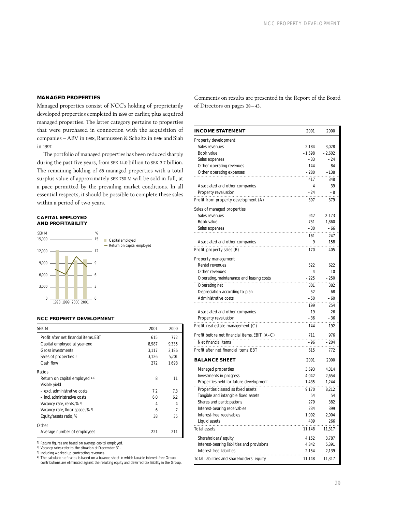## **MANAGED PROPERTIES**

Managed properties consist of NCC's holding of proprietarily developed properties completed in 1999 or earlier, plus acquired managed properties. The latter category pertains to properties that were purchased in connection with the acquisition of companies – ABV in 1988, Rasmussen & Schøltz in 1996 and Siab in 1997.

The portfolio of managed properties has been reduced sharply during the past five years, from SEK 14.0 billion to SEK 3.7 billion. The remaining holding of 68 managed properties with a total surplus value of approximately SEK 750 M will be sold in full, at a pace permitted by the prevailing market conditions. In all essential respects, it should be possible to complete these sales within a period of two years.

## **CAPITAL EMPLOYED AND PROFITABILITY**



## **NCC PROPERTY DEVELOPMENT**

| <b>SEK M</b>                          | 2001  | 2000  |
|---------------------------------------|-------|-------|
| Profit after net financial items. EBT | 615   | 772   |
| Capital employed at year-end          | 8,987 | 9.335 |
| <b>Gross investments</b>              | 3,117 | 3,186 |
| Sales of properties 3)                | 3,126 | 5.201 |
| Cash flow                             | 272   | 1.698 |
| Ratios                                |       |       |
| Return on capital employed 1.4)       | 8     | 11    |
| Visible yield                         |       |       |
| - excl. administrative costs          | 7.2   | 7.3   |
| - incl. administrative costs          | 6.0   | 6.2   |
| Vacancy rate, rents, % 2)             | 4     | 4     |
| Vacancy rate, floor space, % 2)       | 6     | 7     |
| Equity/assets ratio, %                | 38    | 35    |
| Other                                 |       |       |
| Average number of employees           | 221   | 211   |

1) Return figures are based on average capital employed.

2) Vacancy rates refer to the situation at December 31.

3) Including worked up contracting revenues.

Comments on results are presented in the Report of the Board of Directors on pages 38–43.

| <b>INCOME STATEMENT</b>                       | 2001     | 2000     |
|-----------------------------------------------|----------|----------|
| Property development                          |          |          |
| Sales revenues                                | 2,184    | 3,028    |
| Book value                                    | $-1,598$ | $-2,602$ |
| Sales expenses                                | -33      | $-24$    |
| Other operating revenues                      | 144      | 84       |
| Other operating expenses                      | $-280$   | $-138$   |
|                                               | 417      | 348      |
| Associated and other companies                | 4        | 39       |
| Property revaluation                          | -24      | -8       |
| Profit from property development (A)          | 397      | 379      |
| Sales of managed properties                   |          |          |
| Sales revenues                                | 942      | 2 1 7 3  |
| Book value                                    | $-751$   | $-1,860$ |
| Sales expenses                                | $-30$    | -66      |
|                                               | 161      | 247      |
| Associated and other companies                | 9        | 158      |
| Profit, property sales (B)                    | 170      | 405      |
| Property management                           |          |          |
| Rental revenues                               | 522      | 622      |
| Other revenues                                | 4        | 10       |
| Operating, maintenance and leasing costs      | -225     | - 250    |
| Operating net                                 | 301      | 382      |
| Depreciation according to plan                | $-52$    | -68      |
| Administrative costs                          | -50      | - 60     |
|                                               | 199      | 254      |
| Associated and other companies                | $-19$    | $-26$    |
| Property revaluation                          | -36      | -36      |
| Profit, real estate management (C)            | 144      | 192      |
| Profit before net financial items, EBIT (A–C) | 711      | 976      |
| Net financial items                           | -96      |          |
|                                               |          | - 204    |
| Profit after net financial items, EBT         | 615      | 772      |
| <b>BALANCE SHEET</b>                          | 2001     | 2000     |
| Managed properties                            | 3,693    | 4,314    |
| Investments in progress                       | 4,042    | 2,654    |
| Properties held for future development        | 1,435    | 1,244    |
| Properties classed as fixed assets            | 9,170    | 8,212    |
| Tangible and intangible fixed assets          | 54       | 54       |
| Shares and participations                     | 279      | 382      |
| Interest-bearing receivables                  | 234      | 399      |
| Interest-free receivables                     | 1,002    | 2,004    |
| Liquid assets                                 | 409      | 266      |
| Total assets                                  | 11,148   | 11,317   |
| Shareholders' equity                          | 4,152    | 3,787    |
| Interest-bearing liabilities and provisions   | 4,842    | 5,391    |
| Interest-free liabilities                     | 2,154    | 2,139    |
| Total liabilities and shareholders' equity    | 11,148   | 11,317   |
|                                               |          |          |

<sup>4)</sup> The calculation of ratios is based on a balance sheet in which taxable interest-free Group contributions are eliminated against the resulting equity and deferred tax liability in the Group.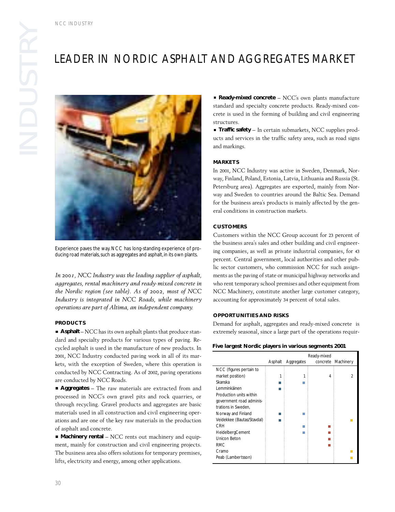## LEADER IN NORDIC ASPHALT AND AGGREGATES MARKET



Experience paves the way. NCC has long-standing experience of producing road materials, such as aggregates and asphalt, in its own plants.

*In 2001, NCC Industry was the leading supplier of asphalt, aggregates, rental machinery and ready-mixed concrete in the Nordic region (see table). As of 2002, most of NCC Industry is integrated in NCC Roads, while machinery operations are part of Altima, an independent company.*

## **PRODUCTS**

**Asphalt** – NCC has its own asphalt plants that produce standard and specialty products for various types of paving. Recycled asphalt is used in the manufacture of new products. In 2001, NCC Industry conducted paving work in all of its markets, with the exception of Sweden, where this operation is conducted by NCC Contracting. As of 2002, paving operations are conducted by NCC Roads.

**Aggregates** – The raw materials are extracted from and processed in NCC's own gravel pits and rock quarries, or through recycling. Gravel products and aggregates are basic materials used in all construction and civil engineering operations and are one of the key raw materials in the production of asphalt and concrete.

**Machinery rental** – NCC rents out machinery and equipment, mainly for construction and civil engineering projects. The business area also offers solutions for temporary premises, lifts, electricity and energy, among other applications.

**Ready-mixed concrete** – NCC's own plants manufacture standard and specialty concrete products. Ready-mixed concrete is used in the forming of building and civil engineering structures.

**Traffic safety** – In certain submarkets, NCC supplies products and services in the traffic safety area, such as road signs and markings.

## **MARKETS**

In 2001, NCC Industry was active in Sweden, Denmark, Norway, Finland, Poland, Estonia, Latvia, Lithuania and Russia (St. Petersburg area). Aggregates are exported, mainly from Norway and Sweden to countries around the Baltic Sea. Demand for the business area's products is mainly affected by the general conditions in construction markets.

## **CUSTOMERS**

Customers within the NCC Group account for 23 percent of the business area's sales and other building and civil engineering companies, as well as private industrial companies, for 43 percent. Central government, local authorities and other public sector customers, who commission NCC for such assignments as the paving of state or municipal highway networks and who rent temporary school premises and other equipment from NCC Machinery, constitute another large customer category, accounting for approximately 34 percent of total sales.

## **OPPORTUNITIES AND RISKS**

Demand for asphalt, aggregates and ready-mixed concrete is extremely seasonal, since a large part of the operations requir-

## **Five largest Nordic players in various segments 2001**

|                            | Asphalt | Aggregates | Ready-mixed<br>concrete | Machinery |
|----------------------------|---------|------------|-------------------------|-----------|
| NCC (figures pertain to    |         |            |                         |           |
| market position)           |         |            |                         | 2         |
| Skanska                    |         |            |                         |           |
| I emminkäinen              |         |            |                         |           |
| Production units within    |         |            |                         |           |
| government road adminis-   |         |            |                         |           |
| trations in Sweden.        |         |            |                         |           |
| Norway and Finland         |         |            |                         |           |
| Veidekkee (Bautas/Stavdal) |         |            |                         |           |
| CRH                        |         |            |                         |           |
| HeidelbergCement           |         |            |                         |           |
| Unicon Beton               |         |            |                         |           |
| <b>RMC</b>                 |         |            |                         |           |
| Cramo                      |         |            |                         |           |
| Peab (Lambertsson)         |         |            |                         |           |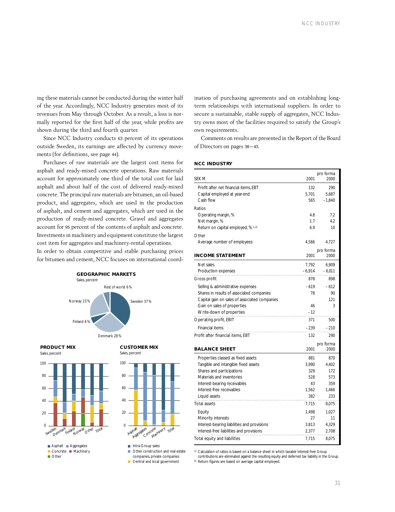ing these materials cannot be conducted during the winter half of the year. Accordingly, NCC Industry generates most of its revenues from May through October. As a result, a loss is normally reported for the first half of the year, while profits are shown during the third and fourth quarter.

Since NCC Industry conducts 63 percent of its operations outside Sweden, its earnings are affected by currency movements (for definitions, see page 44).

Purchases of raw materials are the largest cost items for asphalt and ready-mixed concrete operations. Raw materials account for approximately one third of the total cost for laid asphalt and about half of the cost of delivered ready-mixed concrete. The principal raw materials are bitumen, an oil-based product, and aggregates, which are used in the production of asphalt, and cement and aggregates, which are used in the production of ready-mixed concrete. Gravel and aggregates account for 95 percent of the contents of asphalt and concrete. Investments in machinery and equipment constitute the largest cost item for aggregates and machinery-rental operations.

In order to obtain competitive and stable purchasing prices for bitumen and cement, NCC focuses on international coord-



**PRODUCT MIX**



## Sales, percent  $\overline{0}$ 20 40 60 80 100 Total Aggregates Concrete Machinery Asphalt

**CUSTOMER MIX** 

**Intra-Group sales** Other construction and real estate companies, private companies

Central and local government

ination of purchasing agreements and on establishing longterm relationships with international suppliers. In order to secure a sustainable, stable supply of aggregates, NCC Industry owns most of the facilities required to satisfy the Group's own requirements.

Comments on results are presented in the Report of the Board of Directors on pages 38–43.

## **NCC INDUSTRY**

| SEK M                                                                 | 2001     | pro forma<br>2000 |
|-----------------------------------------------------------------------|----------|-------------------|
|                                                                       | 132      |                   |
| Profit after net financial items, EBT<br>Capital employed at year-end | 5,701    | 290<br>5.687      |
| Cash flow                                                             | 565      | $-1,840$          |
| Ratios                                                                |          |                   |
| Operating margin, %                                                   | 4.8      | 7.2               |
| Net margin, %                                                         | 1.7      | 4.2               |
| Return on capital employed, % 1.2)                                    | 6.9      | 10                |
|                                                                       |          |                   |
| Other                                                                 | 4,566    | 4,727             |
| Average number of employees                                           |          |                   |
| <b>INCOME STATEMENT</b>                                               | 2001     | pro forma<br>2000 |
| Net sales                                                             | 7,792    | 6,909             |
| Production expenses                                                   | $-6,914$ | $-6,011$          |
| Gross profit                                                          | 878      | 898               |
| Selling & administrative expenses                                     | $-619$   | $-612$            |
| Shares in results of associated companies                             | 78       | 90                |
| Capital gain on sales of associated companies                         |          | 121               |
| Gain on sales of properties                                           | 46       | 3                 |
| Write-down of properties                                              | $-12$    |                   |
| Operating profit, EBIT                                                | 371      | 500               |
| Financial items                                                       | $-239$   | $-210$            |
| Profit after financial items, EBT                                     | 132      | 290               |
|                                                                       |          | pro forma         |
| <b>BALANCE SHEET</b>                                                  | 2001     | 2000              |
| Properties classed as fixed assets                                    | 881      | 870               |
| Tangible and intangible fixed assets                                  | 3,990    | 4,402             |
| Shares and participations                                             | 329      | 172               |
| Materials and inventories                                             | 528      | 573               |
| Interest-bearing receivables                                          | 43       | 359               |
| Interest-free receivables                                             | 1,562    | 1,466             |
| Liquid assets                                                         | 382      | 233               |
| <b>Total assets</b>                                                   | 7,715    | 8,075             |
| Equity                                                                | 1,498    | 1,027             |
| Minority interests                                                    | 27       | 11                |
| Interest-bearing liabilities and provisions                           | 3,813    | 4,329             |
| Interest-free liabilities and provisions                              | 2,377    | 2,708             |
| Total equity and liabilities                                          | 7,715    | 8.075             |

1) Calculation of ratios is based on a balance sheet in which taxable interest-free Group

contributions are eliminated against the resulting equity and deferred tax liability in the Group.

2) Return figures are based on average capital employed.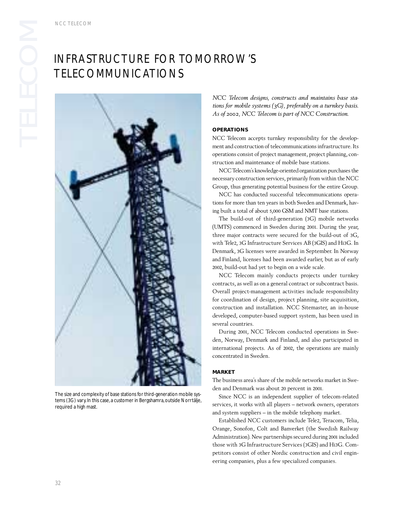## INFRASTRUCTURE FOR TOMORROW'S TELECOMMUNICATIONS



The size and complexity of base stations for third-generation mobile systems (3G) vary. In this case, a customer in Bergshamra, outside Norrtälje, required a high mast.

*NCC Telecom designs, constructs and maintains base stations for mobile systems (3G), preferably on a turnkey basis. As of 2002, NCC Telecom is part of NCC Construction.*

## **OPERATIONS**

NCC Telecom accepts turnkey responsibility for the development and construction of telecommunications infrastructure. Its operations consist of project management, project planning, construction and maintenance of mobile base stations.

NCC Telecom's knowledge-oriented organization purchases the necessary construction services, primarily from within the NCC Group, thus generating potential business for the entire Group.

NCC has conducted successful telecommunications operations for more than ten years in both Sweden and Denmark, having built a total of about 5,000 GSM and NMT base stations.

The build-out of third-generation (3G) mobile networks (UMTS) commenced in Sweden during 2001. During the year, three major contracts were secured for the build-out of 3G, with Tele2, 3G Infrastructure Services AB (3GIS) and Hi3G. In Denmark, 3G licenses were awarded in September. In Norway and Finland, licenses had been awarded earlier, but as of early 2002, build-out had yet to begin on a wide scale.

NCC Telecom mainly conducts projects under turnkey contracts, as well as on a general contract or subcontract basis. Overall project-management activities include responsibility for coordination of design, project planning, site acquisition, construction and installation. NCC Sitemaster, an in-house developed, computer-based support system, has been used in several countries.

During 2001, NCC Telecom conducted operations in Sweden, Norway, Denmark and Finland, and also participated in international projects. As of 2002, the operations are mainly concentrated in Sweden.

## **MARKET**

The business area's share of the mobile networks market in Sweden and Denmark was about 20 percent in 2001.

Since NCC is an independent supplier of telecom-related services, it works with all players – network owners, operators and system suppliers – in the mobile telephony market.

Established NCC customers include Tele2, Teracom, Telia, Orange, Sonofon, Colt and Banverket (the Swedish Railway Administration). New partnerships secured during 2001 included those with 3G Infrastructure Services (3GIS) and Hi3G. Competitors consist of other Nordic construction and civil engineering companies, plus a few specialized companies.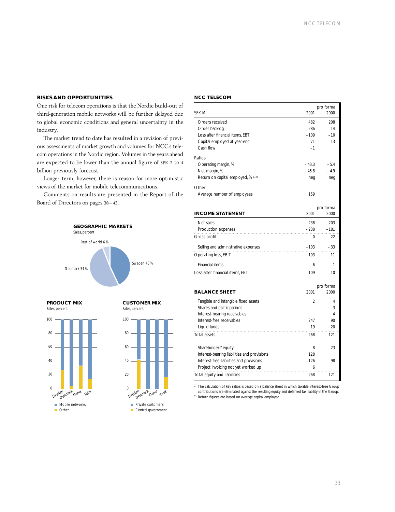## **RISKS AND OPPORTUNITIES**

One risk for telecom operations is that the Nordic build-out of third-generation mobile networks will be further delayed due to global economic conditions and general uncertainty in the industry.

The market trend to date has resulted in a revision of previous assessments of market growth and volumes for NCC's telecom operations in the Nordic region. Volumes in the years ahead are expected to be lower than the annual figure of SEK 2 to 4 billion previously forecast.

Longer term, however, there is reason for more optimistic views of the market for mobile telecommunications.

Comments on results are presented in the Report of the Board of Directors on pages 38–43.



**PRODUCT MIX** Sales, percent



## **CUSTOMER MIX** Sales, percent



Central government

| <b>NCC TELECOM</b> |  |  |  |  |
|--------------------|--|--|--|--|
|                    |  |  |  |  |

|                                             |                | pro forma |
|---------------------------------------------|----------------|-----------|
| <b>SEK M</b>                                | 2001           | 2000      |
|                                             |                |           |
| Orders received                             | 482            | 208       |
| Order backlog                               | 286            | 14        |
| Loss after financial items, EBT             | $-109$         | $-10$     |
| Capital employed at year-end                | 71             | 13        |
| Cash flow                                   | $-1$           |           |
| Ratios                                      |                |           |
| Operating margin, %                         | $-43.3$        | $-5.4$    |
| Net margin, %                               | $-45.8$        | $-4.9$    |
| Return on capital employed, % 1.2)          | neg            | neg       |
|                                             |                |           |
| Other                                       |                |           |
| Average number of employees                 | 159            |           |
|                                             |                |           |
|                                             |                | pro forma |
| <b>INCOME STATEMENT</b>                     | 2001           | 2000      |
| Net sales                                   | 238            | 203       |
| Production expenses                         | $-238$         | $-181$    |
|                                             |                |           |
| Gross profit                                | 0              | 22        |
| Selling and administrative expenses         | $-103$         | $-33$     |
| <b>Operating loss, EBIT</b>                 | $-103$         | $-11$     |
|                                             |                |           |
| Financial items                             | -6             | 1         |
| Loss after financial items, EBT             | $-109$         | $-10$     |
|                                             |                |           |
|                                             |                | pro forma |
| <b>BALANCE SHEET</b>                        | 2001           | 2000      |
| Tangible and intangible fixed assets        | $\overline{2}$ | 4         |
| Shares and participations                   |                | 3         |
| Interest-bearing receivables                |                | 4         |
| Interest-free receivables                   | 247            | 90        |
|                                             | 19             | 20        |
| Liquid funds                                |                |           |
| <b>Total assets</b>                         | 268            | 121       |
|                                             |                |           |
| Shareholders' equity                        | 8              | 23        |
| Interest-bearing liabilities and provisions | 128            |           |
| Interest-free liabilities and provisions    | 126            | 98        |
| Project invoicing not yet worked up         | 6              |           |
| Total equity and liabilities                | 268            | 121       |
|                                             |                |           |

1) The calculation of key ratios is based on a balance sheet in which taxable interest-free Group contributions are eliminated against the resulting equity and deferred tax liability in the Group. 2) Return figures are based on average capital employed.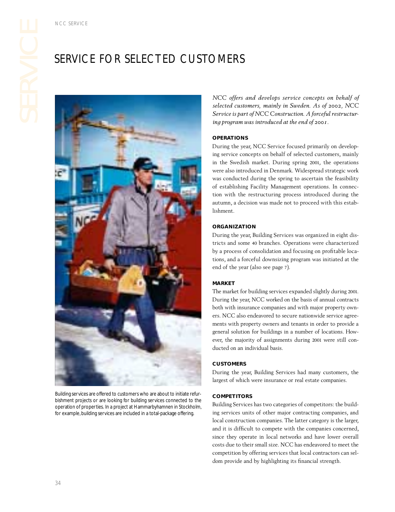## SERVICE FOR SELECTED CUSTOMERS



Building services are offered to customers who are about to initiate refurbishment projects or are looking for building services connected to the operation of properties. In a project at Hammarbyhamnen in Stockholm, for example, building services are included in a total-package offering.

**COMERS<br>
COMERS**<br>
NCC offers and develops service concepts on behalf of<br>
selected customers, mainly in Sweden. As of 2002, NCC<br>
Service is part of NCC Construction. A forceful restructurina program was introduced at the en *selected customers, mainly in Sweden. As of 2002, NCC Service is part of NCC Construction. A forceful restructuring program was introduced at the end of 2001.*

## **OPERATIONS**

During the year, NCC Service focused primarily on developing service concepts on behalf of selected customers, mainly in the Swedish market. During spring 2001, the operations were also introduced in Denmark. Widespread strategic work was conducted during the spring to ascertain the feasibility of establishing Facility Management operations. In connection with the restructuring process introduced during the autumn, a decision was made not to proceed with this establishment.

## **ORGANIZATION**

During the year, Building Services was organized in eight districts and some 40 branches. Operations were characterized by a process of consolidation and focusing on profitable locations, and a forceful downsizing program was initiated at the end of the year (also see page 7).

## **MARKET**

The market for building services expanded slightly during 2001. During the year, NCC worked on the basis of annual contracts both with insurance companies and with major property owners. NCC also endeavored to secure nationwide service agreements with property owners and tenants in order to provide a general solution for buildings in a number of locations. However, the majority of assignments during 2001 were still conducted on an individual basis.

## **CUSTOMERS**

During the year, Building Services had many customers, the largest of which were insurance or real estate companies.

## **COMPETITORS**

Building Services has two categories of competitors: the building services units of other major contracting companies, and local construction companies. The latter category is the larger, and it is difficult to compete with the companies concerned, since they operate in local networks and have lower overall costs due to their small size. NCC has endeavored to meet the competition by offering services that local contractors can seldom provide and by highlighting its financial strength.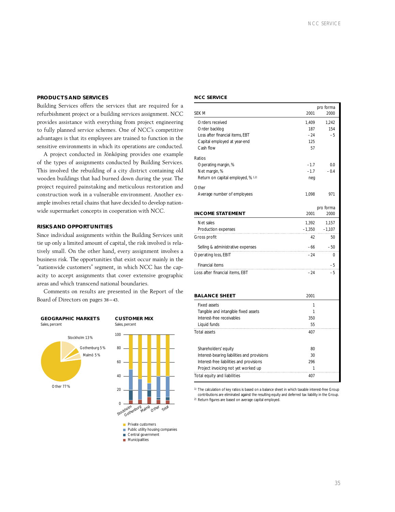## **PRODUCTS AND SERVICES**

Building Services offers the services that are required for a refurbishment project or a building services assignment. NCC provides assistance with everything from project engineering to fully planned service schemes. One of NCC's competitive advantages is that its employees are trained to function in the sensitive environments in which its operations are conducted.

A project conducted in Jönköping provides one example of the types of assignments conducted by Building Services. This involved the rebuilding of a city district containing old wooden buildings that had burned down during the year. The project required painstaking and meticulous restoration and construction work in a vulnerable environment. Another example involves retail chains that have decided to develop nationwide supermarket concepts in cooperation with NCC.

## **RISKS AND OPPORTUNITIES**

Since individual assignments within the Building Services unit tie up only a limited amount of capital, the risk involved is relatively small. On the other hand, every assignment involves a business risk. The opportunities that exist occur mainly in the "nationwide customers" segment, in which NCC has the capacity to accept assignments that cover extensive geographic areas and which transcend national boundaries.

Comments on results are presented in the Report of the Board of Directors on pages 38–43.







**Public utility housing companies** Central government

- **Municipalities**
- 

## **NCC SERVICE**

|                                             |          | pro forma |
|---------------------------------------------|----------|-----------|
| SEK M                                       | 2001     | 2000      |
| Orders received                             | 1.409    | 1.242     |
| Order backlog                               | 187      | 154       |
| Loss after financial items, EBT             | -24      | $-5$      |
| Capital employed at year-end                | 125      |           |
| Cash flow                                   | 57       |           |
| Ratios                                      |          |           |
| Operating margin, %                         | $-1.7$   | 0.0       |
| Net margin, %                               | $-1.7$   | $-0.4$    |
| Return on capital employed, % 1.2)          | neq      |           |
| Other                                       |          |           |
| Average number of employees                 | 1,098    | 971       |
|                                             |          |           |
|                                             |          | pro forma |
| <b>INCOME STATEMENT</b>                     | 2001     | 2000      |
| Net sales                                   | 1,392    | 1,157     |
| Production expenses                         | $-1,350$ | $-1,107$  |
| Gross profit                                | 42       | 50        |
| Selling & administrative expenses           | $-66$    | $-50$     |
| Operating loss, EBIT                        | $-24$    | 0         |
| Financial items                             |          | $-5$      |
| Loss after financial items, EBT             | $-24$    | $-5$      |
|                                             |          |           |
|                                             |          |           |
| <b>BALANCE SHEET</b>                        | 2001     |           |
| <b>Fixed assets</b>                         | 1        |           |
| Tangible and intangible fixed assets        | 1        |           |
| Interest-free receivables                   | 350      |           |
| Liquid funds                                | 55       |           |
| <b>Total assets</b>                         | 407      |           |
|                                             |          |           |
| Shareholders' equity                        | 80       |           |
| Interest-bearing liabilities and provisions | 30       |           |
| Interest-free liabilities and provisions    | 296      |           |
| Project invoicing not yet worked up         | 1        |           |
| Total equity and liabilities                | 407      |           |

<sup>1)</sup> The calculation of key ratios is based on a balance sheet in which taxable interest-free Group contributions are eliminated against the resulting equity and deferred tax liability in the Group. 2) Return figures are based on average capital employed.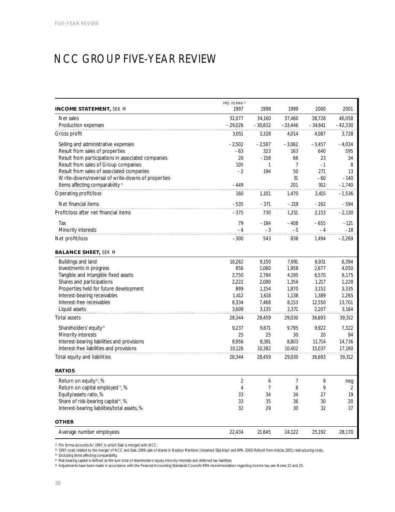## NCC GROUP FIVE-YEAR REVIEW

|                                                    | PRO FORMA <sup>1)</sup> |           |           |           |           |
|----------------------------------------------------|-------------------------|-----------|-----------|-----------|-----------|
| <b>INCOME STATEMENT, SEK M</b>                     | 1997                    | 1998      | 1999      | 2000      | 2001      |
| Net sales                                          | 32,077                  | 34,160    | 37,460    | 38,728    | 46,058    |
| Production expenses                                | $-29,026$               | $-30,832$ | $-33,446$ | $-34,641$ | $-42,330$ |
| Gross profit                                       | 3,051                   | 3,328     | 4,014     | 4,087     | 3,728     |
| Selling and administrative expenses                | $-2,502$                | $-2,587$  | $-3,062$  | $-3,457$  | $-4,034$  |
| Result from sales of properties                    | $-63$                   | 323       | 163       | 640       | 595       |
| Result from participations in associated companies | 20                      | $-158$    | 66        | 23        | 34        |
| Result from sales of Group companies               | 105                     | 1         | 7         | $-1$      | 8         |
| Result from sales of associated companies          | $-2$                    | 194       | 50        | 271       | 13        |
| Write-downs/reversal of write-downs of properties  |                         |           | 31        | $-60$     | $-140$    |
| Items affecting comparability <sup>2)</sup>        | $-449$                  |           | 201       | 912       | $-1,740$  |
| Operating profit/loss                              | 160                     | 1,101     | 1,470     | 2,415     | $-1,536$  |
| Net financial items                                | $-535$                  | $-371$    | $-219$    | $-262$    | $-594$    |
| Profit/loss after net financial items              | $-375$                  | 730       | 1,251     | 2,153     | $-2,130$  |
| Tax                                                | 79                      | $-184$    | $-408$    | $-655$    | $-121$    |
| Minority interests                                 | $-4$                    | $-3$      | $-5$      | $-4$      | $-18$     |
| Net profit/loss                                    | $-300$                  | 543       | 838       | 1,494     | $-2,269$  |
| <b>BALANCE SHEET, SEK M</b>                        |                         |           |           |           |           |
| Buildings and land                                 | 10,262                  | 9,150     | 7,991     | 6,931     | 6,394     |
| Investments in progress                            | 856                     | 1,060     | 1,958     | 2,677     | 4,050     |
| Tangible and intangible fixed assets               | 2,750                   | 2,784     | 4,195     | 6,570     | 6,175     |
| Shares and participations                          | 2,222                   | 2,090     | 1,354     | 1,217     | 1,228     |
| Properties held for future development             | 899                     | 1,154     | 1,870     | 3,152     | 3,335     |
| Interest-bearing receivables                       | 1,412                   | 1,618     | 1,138     | 1,389     | 1,265     |
| Interest-free receivables                          | 6,334                   | 7,468     | 8,153     | 12,550    | 13,701    |
| Liquid assets                                      | 3,609                   | 3,135     | 2,371     | 2,207     | 3,164     |
| <b>Total assets</b>                                | 28,344                  | 28,459    | 29,030    | 36,693    | 39,312    |
| Shareholders' equity <sup>5)</sup>                 | 9,237                   | 9,671     | 9,795     | 9,922     | 7,322     |
| Minority interests                                 | 25                      | 25        | 30        | 20        | 94        |
| Interest-bearing liabilities and provisions        | 8,956                   | 8,381     | 8,803     | 11,714    | 14,736    |
| Interest-free liabilities and provisions           | 10,126                  | 10,382    | 10,402    | 15,037    | 17,160    |
| Total equity and liabilities                       | 28,344                  | 28,459    | 29,030    | 36,693    | 39,312    |
| <b>RATIOS</b>                                      |                         |           |           |           |           |
| Return on equity <sup>3</sup> , %                  | $\overline{2}$          | 6         | 7         | 9         | neg       |
| Return on capital employed 3, %                    | 4                       | 7         | 8         | 9         | 2         |
| Equity/assets ratio, %                             | 33                      | 34        | 34        | 27        | 19        |
| Share of risk-bearing capital <sup>4</sup> , %     | 33                      | 35        | 36        | 30        | 20        |
| Interest-bearing liabilities/total assets, %       | 32                      | 29        | $30\,$    | 32        | 37        |
| <b>OTHER</b>                                       |                         |           |           |           |           |
| Average number employees                           | 22,434                  | 21,645    | 24,122    | 25,192    | 28,170    |

1) Pro forma accounts for 1997, in which Siab is merged with NCC.

2) 1997: costs related to the merger of NCC and Siab. 1999: sale of shares in Neptun Maritime (renamed Silja Abp) and BPA. 2000: Refund from Alecta. 2001: restructuring costs.

3) Excluding items affecting comparability.

4) Risk-bearing capital is defined as the sum total of shareholders' equity, minority interests and deferred tax liabilities.

5) Adjustments have been made in accordance with the Financial Accounting Standards Council's RR9 recommendation regarding income tax; see Notes 22 and 25.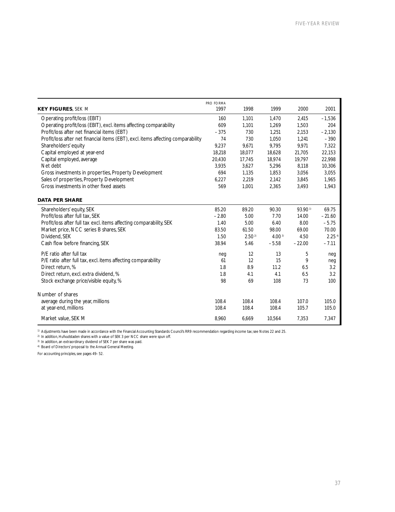|                                                                                  | PRO FORMA |                   |                   |          |                      |
|----------------------------------------------------------------------------------|-----------|-------------------|-------------------|----------|----------------------|
| <b>KEY FIGURES, SEK M</b>                                                        | 1997      | 1998              | 1999              | 2000     | 2001                 |
| Operating profit/loss (EBIT)                                                     | 160       | 1,101             | 1,470             | 2,415    | $-1,536$             |
| Operating profit/loss (EBIT), excl. items affecting comparability                | 609       | 1,101             | 1,269             | 1,503    | 204                  |
| Profit/loss after net financial items (EBT)                                      | $-375$    | 730               | 1,251             | 2,153    | $-2,130$             |
| Profit/loss after net financial items (EBT), excl. items affecting comparability | 74        | 730               | 1,050             | 1,241    | $-390$               |
| Shareholders' equity                                                             | 9,237     | 9,671             | 9,795             | 9,971    | 7,322                |
| Capital employed at year-end                                                     | 18,218    | 18,077            | 18.628            | 21,705   | 22,153               |
| Capital employed, average                                                        | 20,430    | 17,745            | 18,974            | 19,797   | 22,998               |
| Net debt                                                                         | 3,935     | 3,627             | 5,296             | 8,118    | 10,306               |
| Gross investments in properties, Property Development                            | 694       | 1,135             | 1,853             | 3,056    | 3,055                |
| Sales of properties, Property Development                                        | 6,227     | 2,219             | 2,142             | 3,845    | 1,965                |
| Gross investments in other fixed assets                                          | 569       | 1,001             | 2,365             | 3,493    | 1,943                |
| <b>DATA PER SHARE</b>                                                            |           |                   |                   |          |                      |
| Shareholders' equity, SEK                                                        | 85.20     | 89.20             | 90.30             | 93.901)  | 69.75                |
| Profit/loss after full tax. SEK                                                  | $-2.80$   | 5.00              | 7.70              | 14.00    | $-21.60$             |
| Profit/loss after full tax excl. items affecting comparability, SEK              | 1.40      | 5.00              | 6.40              | 8.00     | $-5.75$              |
| Market price, NCC series B shares, SEK                                           | 83.50     | 61.50             | 98.00             | 69.00    | 70.00                |
| Dividend, SEK                                                                    | 1.50      | 2.50 <sup>2</sup> | 4.00 <sup>3</sup> | 4.50     | $2.25$ <sup>4)</sup> |
| Cash flow before financing, SEK                                                  | 38.94     | 5.46              | $-5.58$           | $-22.00$ | $-7.11$              |
| P/E ratio after full tax                                                         | neg       | 12                | 13                | 5        | neg                  |
| P/E ratio after full tax, excl. items affecting comparability                    | 61        | 12                | 15                | 9        | neq                  |
| Direct return, %                                                                 | 1.8       | 8.9               | 11.2              | 6.5      | 3.2                  |
| Direct return, excl. extra dividend, %                                           | 1.8       | 4.1               | 4.1               | 6.5      | 3.2                  |
| Stock exchange price/visible equity, %                                           | 98        | 69                | 108               | 73       | 100                  |
| Number of shares                                                                 |           |                   |                   |          |                      |
| average during the year, millions                                                | 108.4     | 108.4             | 108.4             | 107.0    | 105.0                |
| at year-end, millions                                                            | 108.4     | 108.4             | 108.4             | 105.7    | 105.0                |
| Market value, SEK M                                                              | 8,960     | 6,669             | 10,564            | 7,353    | 7,347                |

<sup>1)</sup> Adjustments have been made in accordance with the Financial Accounting Standards Council's RR9 recommendation regarding income tax; see Notes 22 and 25.

2) In addition, Hufvudstaden shares with a value of SEK 3 per NCC share were spun off.

<sup>3)</sup> In addition, an extraordinary dividend of SEK 7 per share was paid.

4) Board of Directors' proposal to the Annual General Meeting.

For accounting principles, see pages 49–52.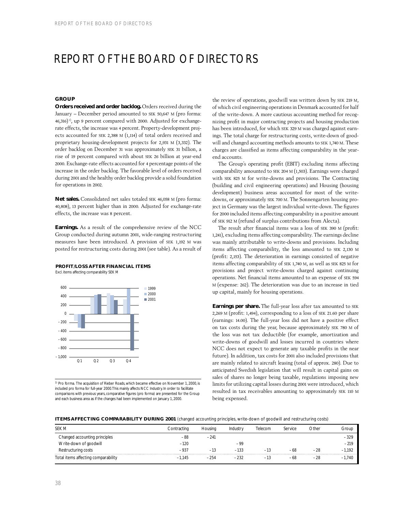## REPORT OF THE BOARD OF DIRECTORS

## **GROUP**

**Orders received and order backlog.** Orders received during the January – December period amounted to SEK 50,647 M (pro forma:  $(46,316)^{1}$ , up 9 percent compared with 2000. Adjusted for exchangerate effects, the increase was 4 percent. Property-development projects accounted for SEK 2,388 M (1,114) of total orders received and proprietary housing-development projects for 2,931 M (3,332). The order backlog on December 31 was approximately SEK 31 billion, a rise of 19 percent compared with about SEK 26 billion at year-end 2000. Exchange-rate effects accounted for 4 percentage points of the increase in the order backlog. The favorable level of orders received during 2001 and the healthy order backlog provide a solid foundation for operations in 2002.

**Net sales.** Consolidated net sales totaled SEK 46,058 M (pro forma: 40,808), 13 percent higher than in 2000. Adjusted for exchange-rate effects, the increase was 8 percent.

**Earnings.** As a result of the comprehensive review of the NCC Group conducted during autumn 2001, wide-ranging restructuring measures have been introduced. A provision of SEK 1,192 M was posted for restructuring costs during 2001 (see table). As a result of



Excl. items affecting comparability SEK M



1) Pro forma. The acquisition of Rieber Roads, which became effective on November 1, 2000, is included pro forma for full-year 2000.This mainly affects NCC Industry. In order to facilitate comparisons with previous years, comparative figures (pro forma) are presented for the Group and each business area as if the changes had been implemented on January 1, 2000.

the review of operations, goodwill was written down by SEK 219 M, of which civil engineering operations in Denmark accounted for half of the write-down. A more cautious accounting method for recognizing profit in major contracting projects and housing production has been introduced, for which SEK 329 M was charged against earnings. The total charge for restructuring costs, write-down of goodwill and changed accounting methods amounts to SEK 1,740 M. These charges are classified as items affecting comparability in the yearend accounts.

The Group's operating profit (EBIT) excluding items affecting comparability amounted to SEK 204 M (1,503). Earnings were charged with SEK 825 M for write-downs and provisions. The Contracting (building and civil engineering operations) and Housing (housing development) business areas accounted for most of the writedowns, or approximately SEK 700 M. The Sonnengarten housing project in Germany was the largest individual write-down. The figures for 2000 included items affecting comparability in a positive amount of SEK 912 M (refund of surplus contributions from Alecta).

The result after financial items was a loss of SEK 390 M (profit: 1,241), excluding items affecting comparability. The earnings decline was mainly attributable to write-downs and provisions. Including items affecting comparability, the loss amounted to SEK 2,130 M (profit: 2,153). The deterioration in earnings consisted of negative items affecting comparability of SEK 1,740 M, as well as SEK 825 M for provisions and project write-downs charged against continuing operations. Net financial items amounted to an expense of SEK 594 M (expense: 262). The deterioration was due to an increase in tied up capital, mainly for housing operations.

**Earnings per share.** The full-year loss after tax amounted to SEK 2,269 M (profit: 1,494), corresponding to a loss of SEK 21.60 per share (earnings: 14.00). The full-year loss did not have a positive effect on tax costs during the year, because approximately SEK 780 M of the loss was not tax deductible (for example, amortization and write-downs of goodwill and losses incurred in countries where NCC does not expect to generate any taxable profits in the near future). In addition, tax costs for 2001 also included provisions that are mainly related to aircraft leasing (total of approx. 280). Due to anticipated Swedish legislation that will result in capital gains on sales of shares no longer being taxable, regulations imposing new limits for utilizing capital losses during 2001 were introduced, which resulted in tax receivables amounting to approximately SEK 110 M being expensed.

## **ITEMS AFFECTING COMPARABILITY DURING 2001** (changed accounting principles, write-down of goodwill and restructuring costs)

| <b>SEK M</b>                        | Contracting | Housing | Industry | Telecom | Service | Other | Group    |
|-------------------------------------|-------------|---------|----------|---------|---------|-------|----------|
| Changed accounting principles       | $-88$       | $-241$  |          |         |         |       | $-329$   |
| Write-down of goodwill              | $-120$      |         | -99      |         |         |       | $-219$   |
| Restructuring costs                 | $-937$      | $-13$   | $-133$   | $-13$   | -68     | -28   | $-1.192$ |
| Total items affecting comparability | $-1.145$    | $-254$  | $-232$   | $-13$   | $-68$   | $-28$ | $-1.740$ |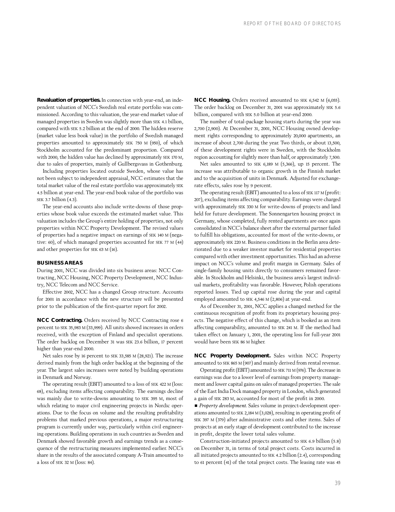**Revaluation of properties.** In connection with year-end, an independent valuation of NCC's Swedish real estate portfolio was commissioned. According to this valuation, the year-end market value of managed properties in Sweden was slightly more than SEK 4.1 billion, compared with SEK 5.2 billion at the end of 2000. The hidden reserve (market value less book value) in the portfolio of Swedish managed properties amounted to approximately SEK 750 M (950), of which Stockholm accounted for the predominant proportion. Compared with 2000, the hidden value has declined by approximately SEK 170 M, due to sales of properties, mainly of Gullbergsvass in Gothenburg.

Including properties located outside Sweden, whose value has not been subject to independent appraisal, NCC estimates that the total market value of the real estate portfolio was approximately SEK 4.5 billion at year-end. The year-end book value of the portfolio was SEK 3.7 billion (4.3).

The year-end accounts also include write-downs of those properties whose book value exceeds the estimated market value. This valuation includes the Group's entire holding of properties, not only properties within NCC Property Development. The revised values of properties had a negative impact on earnings of SEK 140 M (negative: 60), of which managed properties accounted for SEK 77 M (44) and other properties for SEK 63 M (16).

## **BUSINESS AREAS**

During 2001, NCC was divided into six business areas: NCC Contracting, NCC Housing, NCC Property Development, NCC Industry, NCC Telecom and NCC Service.

Effective 2002, NCC has a changed Group structure. Accounts for 2001 in accordance with the new structure will be presented prior to the publication of the first-quarter report for 2002.

**NCC Contracting.** Orders received by NCC Contracting rose 6 percent to SEK 35,983 M (33,999). All units showed increases in orders received, with the exception of Finland and specialist operations. The order backlog on December 31 was SEK 23.6 billion, 17 percent higher than year-end 2000.

Net sales rose by 16 percent to SEK 33,585 M (28,921). The increase derived mainly from the high order backlog at the beginning of the year. The largest sales increases were noted by building operations in Denmark and Norway.

The operating result (EBIT) amounted to a loss of SEK 422 M (loss: 68), excluding items affecting comparability. The earnings decline was mainly due to write-downs amounting to SEK 395 M, most of which relating to major civil engineering projects in Nordic operations. Due to the focus on volume and the resulting profitability problems that marked previous operations, a major restructuring program is currently under way, particularly within civil engineering operations. Building operations in such countries as Sweden and Denmark showed favorable growth and earnings trends as a consequence of the restructuring measures implemented earlier. NCC's share in the results of the associated company A-Train amounted to a loss of SEK 32 M (loss: 84).

**NCC Housing.** Orders received amounted to SEK 6,542 M (6,055). The order backlog on December 31, 2001 was approximately SEK 5.6 billion, compared with SEK 5.0 billion at year-end 2000.

The number of total-package housing starts during the year was 2,700 (2,900). At December 31, 2001, NCC Housing owned development rights corresponding to approximately 20,000 apartments, an increase of about 2,700 during the year. Two thirds, or about 13,500, of these development rights were in Sweden, with the Stockholm region accounting for slightly more than half, or approximately 7,500.

Net sales amounted to SEK 6,189 M (5,366), up 15 percent. The increase was attributable to organic growth in the Finnish market and to the acquisition of units in Denmark. Adjusted for exchangerate effects, sales rose by 9 percent.

The operating result (EBIT) amounted to a loss of SEK 117 M (profit: 207), excluding items affecting comparability. Earnings were charged with approximately SEK 330 M for write-downs of projects and land held for future development. The Sonnengarten housing project in Germany, whose completed, fully rented apartments are once again consolidated in NCC's balance sheet after the external partner failed to fulfill his obligations, accounted for most of the write-downs, or approximately SEK 220 M. Business conditions in the Berlin area deteriorated due to a weaker investor market for residential properties compared with other investment opportunities. This had an adverse impact on NCC's volume and profit margin in Germany. Sales of single-family housing units directly to consumers remained favorable. In Stockholm and Helsinki, the business area's largest individual markets, profitability was favorable. However, Polish operations reported losses. Tied up capital rose during the year and capital employed amounted to SEK 4,546 M (2,806) at year-end.

As of December 31, 2001, NCC applies a changed method for the continuous recognition of profit from its proprietary housing projects. The negative effect of this change, which is booked as an item affecting comparability, amounted to SEK 241 M. If the method had taken effect on January 1, 2001, the operating loss for full-year 2001 would have been SEK 86 M higher.

**NCC Property Development.** Sales within NCC Property amounted to SEK 865 M (907) and mainly derived from rental revenue.

Operating profit (EBIT) amounted to SEK 711 M (976). The decrease in earnings was due to a lower level of earnings from property management and lower capital gains on sales of managed properties. The sale of the East India Dock managed property in London, which generated a gain of SEK 283 M, accounted for most of the profit in 2000.

*Property development*. Sales volume in project-development operations amounted to SEK 2,184 M (3,028), resulting in operating profit of SEK 397 M (379) after administrative costs and other items. Sales of projects at an early stage of development contributed to the increase in profit, despite the lower total sales volume.

Construction-initiated projects amounted to SEK 6.9 billion (5.8) on December 31, in terms of total project costs. Costs incurred in all initiated projects amounted to SEK 4.2 billion (2.4), corresponding to 61 percent (41) of the total project costs. The leasing rate was 45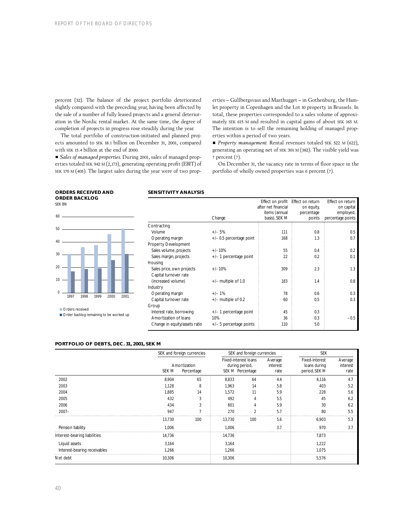percent (32). The balance of the project portfolio deteriorated slightly compared with the preceding year, having been affected by the sale of a number of fully leased projects and a general deterioration in the Nordic rental market. At the same time, the degree of completion of projects in progress rose steadily during the year.

The total portfolio of construction-initiated and planned projects amounted to SEK 18.1 billion on December 31, 2001, compared with SEK 15.4 billion at the end of 2000.

*Sales of managed properties.* During 2001, sales of managed properties totaled SEK 942 M (2,173), generating operating profit (EBIT) of SEK 170 M (405). The largest sales during the year were of two properties – Gullbergsvass and Masthugget – in Gothenburg, the Hamlet property in Copenhagen and the Lot 10 property in Brussels. In total, these properties corresponded to a sales volume of approximately SEK 615 M and resulted in capital gains of about SEK 165 M. The intention is to sell the remaining holding of managed properties within a period of two years.

■ *Property management*. Rental revenues totaled SEK 522 M (622), generating an operating net of SEK 301 M (382). The visible yield was 7 percent (7).

On December 31, the vacancy rate in terms of floor space in the portfolio of wholly owned properties was 6 percent (7).

### **ORDERS RECEIVED AND ORDER BACKLOG**  SEK BN



Order backlog remaining to be worked up

## **SENSITIVITY ANALYSIS**

|                               |                            | Effect on profit    | Effect on return | Effect on return  |
|-------------------------------|----------------------------|---------------------|------------------|-------------------|
|                               |                            | after net financial | on equity,       | on capital        |
|                               |                            | items (annual       | percentage       | employed,         |
|                               | Change                     | basis), SEK M       | points           | percentage points |
| Contracting                   |                            |                     |                  |                   |
| Volume                        | $+/-5%$                    | 111                 | 0.8              | 0.5               |
| Operating margin              | $+/-$ 0.5 percentage point | 168                 | 1.3              | 0.7               |
| Property Development          |                            |                     |                  |                   |
| Sales volume, projects        | $+/-10%$                   | 55                  | 0.4              | 0.2               |
| Sales margin, projects        | $+/-$ 1 percentage point   | 22                  | 0.2              | 0.1               |
| Housing                       |                            |                     |                  |                   |
| Sales price, own projects     | $+/-10%$                   | 309                 | 2.3              | 1.3               |
| Capital turnover rate         |                            |                     |                  |                   |
| (increased volume)            | $+/-$ multiple of 1.0      | 183                 | 1.4              | 0.8               |
| Industry                      |                            |                     |                  |                   |
| Operating margin              | $+/-1\%$                   | 78                  | 0.6              | 0.3               |
| Capital turnover rate         | $+/-$ multiple of 0.2      | 60                  | 0.5              | 0.3               |
| Group                         |                            |                     |                  |                   |
| Interest rate, borrowing      | $+/-$ 1 percentage point   | 45                  | 0.3              |                   |
| Amortization of loans         | 10%                        | 36                  | 0.3              | $-0.5$            |
| Change in equity/assets ratio | $+/-$ 5 percentage points  | 110                 | 5.0              |                   |
|                               |                            |                     |                  |                   |

|                              |        | SEK and foreign currencies |        | SEK and foreign currencies                                 |                             | <b>SEK</b>                                      |                             |  |
|------------------------------|--------|----------------------------|--------|------------------------------------------------------------|-----------------------------|-------------------------------------------------|-----------------------------|--|
|                              | SEK M  | Amortization<br>Percentage |        | Fixed-interest loans<br>during period,<br>SEK M Percentage | Average<br>interest<br>rate | Fixed-interest<br>loans during<br>period, SEK M | Average<br>interest<br>rate |  |
| 2002                         | 8.904  | 65                         | 8,833  | 64                                                         | 4.4                         | 6,116                                           | 4.7                         |  |
| 2003                         | 1,128  | 8                          | 1,963  | 14                                                         | 5.8                         | 403                                             | 5.2                         |  |
| 2004                         | 1,885  | 14                         | 1,572  | 11                                                         | 5.9                         | 228                                             | 5.6                         |  |
| 2005                         | 432    | 3                          | 492    | 4                                                          | 5.5                         | 45                                              | 6.2                         |  |
| 2006                         | 434    | 3                          | 601    | 4                                                          | 5.9                         | 30                                              | 6.2                         |  |
| $2007 -$                     | 947    |                            | 270    | $\mathfrak{D}$                                             | 5.7                         | 80                                              | 5.5                         |  |
|                              | 13,730 | 100                        | 13,730 | 100                                                        | 5.6                         | 6,903                                           | 5.3                         |  |
| Pension liability            | 1.006  |                            | 1.006  |                                                            | 3.7                         | 970                                             | 3.7                         |  |
| Interest-bearing liabilities | 14.736 |                            | 14,736 |                                                            |                             | 7,873                                           |                             |  |
| Liquid assets                | 3,164  |                            | 3,164  |                                                            |                             | 1,222                                           |                             |  |
| Interest-bearing receivables | 1.266  |                            | 1.266  |                                                            |                             | 1.075                                           |                             |  |
| Net debt                     | 10,306 |                            | 10,306 |                                                            |                             | 5,576                                           |                             |  |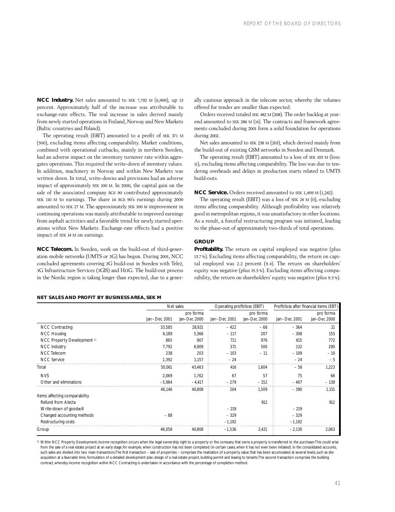**NCC Industry.** Net sales amounted to SEK 7,792 M (6,909), up 13 percent. Approximately half of the increase was attributable to exchange-rate effects. The real increase in sales derived mainly from newly started operations in Finland, Norway and New Markets (Baltic countries and Poland).

The operating result (EBIT) amounted to a profit of SEK 371 M (500), excluding items affecting comparability. Market conditions, combined with operational cutbacks, mainly in northern Sweden, had an adverse impact on the inventory turnover rate within aggregates operations. This required the write-down of inventory values. In addition, machinery in Norway and within New Markets was written down. In total, write-downs and provisions had an adverse impact of approximately SEK 100 M. In 2000, the capital gain on the sale of the associated company RGS 90 contributed approximately SEK 110 M to earnings. The share in RGS 90's earnings during 2000 amounted to SEK 27 M. The approximately SEK 100 M improvement in continuing operations was mainly attributable to improved earnings from asphalt activities and a favorable trend for newly started operations within New Markets. Exchange-rate effects had a positive impact of SEK 14 M on earnings.

**NCC Telecom.** In Sweden, work on the build-out of third-generation mobile networks (UMTS or 3G) has begun. During 2001, NCC concluded agreements covering 3G build-out in Sweden with Tele2, 3G Infrastructure Services (3GIS) and Hi3G. The build-out process in the Nordic region is taking longer than expected, due to a gener-

## **NET SALES AND PROFIT BY BUSINESS AREA, SEK M**

ally cautious approach in the telecom sector, whereby the volumes offered for tender are smaller than expected.

Orders received totaled SEK 482 M (208). The order backlog at yearend amounted to SEK 286 M (14). The contracts and framework agreements concluded during 2001 form a solid foundation for operations during 2002.

Net sales amounted to SEK 238 M (203), which derived mainly from the build-out of existing GSM networks in Sweden and Denmark.

The operating result (EBIT) amounted to a loss of SEK 103 M (loss: 11), excluding items affecting comparability. The loss was due to tendering overheads and delays in production starts related to UMTS build-outs.

**NCC Service.** Orders received amounted to SEK 1,409 M (1,242).

The operating result (EBIT) was a loss of SEK 24 M (0), excluding items affecting comparability. Although profitability was relatively good in metropolitan regions, it was unsatisfactory in other locations. As a result, a forceful restructuring program was initiated, leading to the phase-out of approximately two-thirds of total operations.

## **GROUP**

**Profitability.** The return on capital employed was negative (plus 13.7%). Excluding items affecting comparability, the return on capital employed was 2.2 percent (9.4). The return on shareholders' equity was negative (plus 15.5 %). Excluding items affecting comparability, the return on shareholders' equity was negative (plus 9.3 %).

|                               | Net sales    |              | Operating profit/loss (EBIT) | Profit/loss after financial items (EBT) |              |              |
|-------------------------------|--------------|--------------|------------------------------|-----------------------------------------|--------------|--------------|
|                               |              | pro forma    |                              | pro forma                               |              | pro forma    |
|                               | Jan-Dec 2001 | Jan-Dec 2000 | Jan-Dec 2001                 | Jan-Dec 2000                            | Jan-Dec 2001 | Jan-Dec 2000 |
| <b>NCC Contracting</b>        | 33,585       | 28,921       | $-422$                       | $-68$                                   | $-364$       | 21           |
| <b>NCC Housing</b>            | 6.189        | 5,366        | $-117$                       | 207                                     | $-308$       | 155          |
| NCC Property Development 1)   | 865          | 907          | 711                          | 976                                     | 615          | 772          |
| NCC Industry                  | 7,792        | 6,909        | 371                          | 500                                     | 132          | 290          |
| NCC Telecom                   | 238          | 203          | $-103$                       | $-11$                                   | $-109$       | $-10$        |
| <b>NCC Service</b>            | 1,392        | 1,157        | $-24$                        |                                         | $-24$        | $-5$         |
| Total                         | 50,061       | 43,463       | 416                          | 1,604                                   | $-58$        | 1,223        |
| <b>NVS</b>                    | 2,069        | 1,762        | 67                           | 57                                      | 75           | 66           |
| Other and eliminations        | $-5,984$     | $-4,417$     | $-279$                       | $-152$                                  | $-407$       | $-138$       |
|                               | 46,146       | 40,808       | 204                          | 1,509                                   | $-390$       | 1,151        |
| Items affecting comparability |              |              |                              |                                         |              |              |
| Refund from Alecta            |              |              |                              | 912                                     |              | 912          |
| Write-down of goodwill        |              |              | $-219$                       |                                         | $-219$       |              |
| Changed accounting methods    | $-88$        |              | $-329$                       |                                         | $-329$       |              |
| Restructuring costs           |              |              | $-1,192$                     |                                         | $-1,192$     |              |
| Group                         | 46,058       | 40,808       | $-1,536$                     | 2,421                                   | $-2,130$     | 2,063        |

1) Within NCC Property Development, income recognition occurs when the legal ownership right to a property or the company that owns a property is transferred to the purchaser. This could arise from the sale of a real estate project at an early stage; for example, when construction has not been completed (in certain cases, when it has not even been initiated). In the consolidated accounts, such sales are divided into two main transactions.The first transaction – sale of properties – comprises the realization of a property value that has been accumulated at several levels, such as site acquisition at a favorable time, formulation of a detailed development plan, design of a real estate project, building permit and leasing to tenants. The second transaction comprises the building contract, whereby income recognition within NCC Contracting is undertaken in accordance with the percentage of completion method.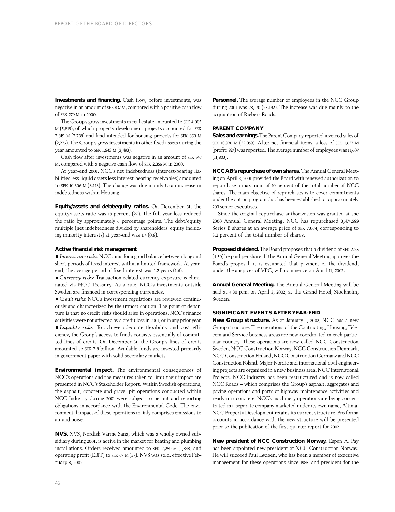**Investments and financing.** Cash flow, before investments, was negative in an amount of SEK 837 M, compared with a positive cash flow of SEK 279 M in 2000.

The Group's gross investments in real estate amounted to SEK 4,005 M (5,819), of which property-development projects accounted for SEK 2,819 M (2,738) and land intended for housing projects for SEK 860 M (2,276). The Group's gross investments in other fixed assets during the year amounted to SEK 1,943 M (3,493).

Cash flow after investments was negative in an amount of SEK 746 M, compared with a negative cash flow of SEK 2,356 M in 2000.

At year-end 2001, NCC's net indebtedness (interest-bearing liabilities less liquid assets less interest-bearing receivables) amounted to SEK 10,306 M (8,118). The change was due mainly to an increase in indebtedness within Housing.

**Equity/assets and debt/equity ratios.** On December 31, the equity/assets ratio was 19 percent (27). The full-year loss reduced the ratio by approximately 6 percentage points. The debt/equity multiple (net indebtedness divided by shareholders' equity including minority interests) at year-end was 1.4 (0.8).

## **Active financial risk management**

*Interest-rate risks:* NCC aims for a good balance between long and short periods of fixed interest within a limited framework. At yearend, the average period of fixed interest was 1.2 years (1.6).

*Currency risks:* Transaction-related currency exposure is eliminated via NCC Treasury. As a rule, NCC's investments outside Sweden are financed in corresponding currencies.

*Credit risks:* NCC's investment regulations are reviewed continuously and characterized by the utmost caution. The point of departure is that no credit risks should arise in operations. NCC's finance activities were not affected by a credit loss in 2001, or in any prior year. *Liquidity risks:* To achieve adequate flexibility and cost efficiency, the Group's access to funds consists essentially of committed lines of credit. On December 31, the Group's lines of credit amounted to SEK 2.8 billion. Available funds are invested primarily in government paper with solid secondary markets.

**Environmental impact.** The environmental consequences of NCC's operations and the measures taken to limit their impact are presented in NCC's Stakeholder Report. Within Swedish operations, the asphalt, concrete and gravel pit operations conducted within NCC Industry during 2001 were subject to permit and reporting obligations in accordance with the Environmental Code. The environmental impact of these operations mainly comprises emissions to air and noise.

**NVS.** NVS, Nordisk Värme Sana, which was a wholly owned subsidiary during 2001, is active in the market for heating and plumbing installations. Orders received amounted to SEK 2,259 M (1,848) and operating profit (EBIT) to SEK 67 M (57). NVS was sold, effective February 8, 2002.

**Personnel.** The average number of employees in the NCC Group during 2001 was 28,170 (25,192). The increase was due mainly to the acquisition of Riebers Roads.

## **PARENT COMPANY**

**Sales and earnings.**The Parent Company reported invoiced sales of SEK 18,936 M (22,059). After net financial items, a loss of SEK 1,627 M (profit: 824) was reported. The average number of employees was 11,607 (11,803).

**NCC AB's repurchase of own shares.** The Annual General Meeting on April 3, 2001 provided the Board with renewed authorization to repurchase a maximum of 10 percent of the total number of NCC shares. The main objective of repurchases is to cover commitments under the option program that has been established for approximately 200 senior executives.

Since the original repurchase authorization was granted at the 2000 Annual General Meeting, NCC has repurchased 3,474,589 Series B shares at an average price of SEK 73.64, corresponding to 3.2 percent of the total number of shares.

Proposed dividend. The Board proposes that a dividend of SEK 2.25 (4.50) be paid per share. If the Annual General Meeting approves the Board's proposal, it is estimated that payment of the dividend, under the auspices of VPC, will commence on April 11, 2002.

**Annual General Meeting.** The Annual General Meeting will be held at 4:30 p.m. on April 3, 2002, at the Grand Hotel, Stockholm, Sweden.

## **SIGNIFICANT EVENTS AFTER YEAR-END**

**New Group structure.** As of January 1, 2002, NCC has a new Group structure. The operations of the Contracting, Housing, Telecom and Service business areas are now coordinated in each particular country. These operations are now called NCC Construction Sweden, NCC Construction Norway, NCC Construction Denmark, NCC Construction Finland, NCC Construction Germany and NCC Construction Poland. Major Nordic and international civil engineering projects are organized in a new business area, NCC International Projects. NCC Industry has been restructured and is now called NCC Roads – which comprises the Group's asphalt, aggregates and paving operations and parts of highway maintenance activities and ready-mix concrete. NCC's machinery operations are being concentrated in a separate company marketed under its own name, Altima. NCC Property Development retains its current structure. Pro forma accounts in accordance with the new structure will be presented prior to the publication of the first-quarter report for 2002.

**New president of NCC Construction Norway.** Espen A. Pay has been appointed new president of NCC Construction Norway. He will succeed Paul Lødøen, who has been a member of executive management for these operations since 1985, and president for the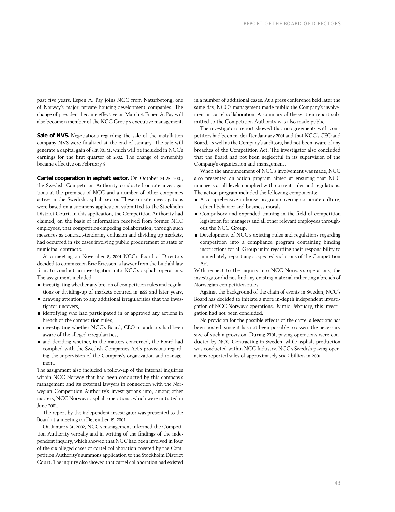past five years. Espen A. Pay joins NCC from Naturbetong, one of Norway's major private housing-development companies. The change of president became effective on March 4. Espen A. Pay will also become a member of the NCC Group's executive management.

Sale of NVS. Negotiations regarding the sale of the installation company NVS were finalized at the end of January. The sale will generate a capital gain of SEK 301 M, which will be included in NCC's earnings for the first quarter of 2002. The change of ownership became effective on February 8.

**Cartel cooperation in asphalt sector.** On October 24-25, 2001, the Swedish Competition Authority conducted on-site investigations at the premises of NCC and a number of other companies active in the Swedish asphalt sector. These on-site investigations were based on a summons application submitted to the Stockholm District Court. In this application, the Competition Authority had claimed, on the basis of information received from former NCC employees, that competition-impeding collaboration, through such measures as contract-tendering collusion and dividing up markets, had occurred in six cases involving public procurement of state or municipal contracts.

At a meeting on November 8, 2001 NCC's Board of Directors decided to commission Eric Ericsson, a lawyer from the Lindahl law firm, to conduct an investigation into NCC's asphalt operations. The assignment included:

- investigating whether any breach of competition rules and regulations or dividing-up of markets occured in 1999 and later years,
- drawing attention to any additional irregularities that the investigator uncovers,
- identifying who had participated in or approved any actions in breach of the competition rules,
- investigating whether NCC's Board, CEO or auditors had been aware of the alleged irregularities,
- and deciding whether, in the matters concerned, the Board had complied with the Swedish Companies Act's provisions regarding the supervision of the Company's organization and management.

The assignment also included a follow-up of the internal inquiries within NCC Norway that had been conducted by this company's management and its external lawyers in connection with the Norwegian Competition Authority's investigations into, among other matters, NCC Norway's asphalt operations, which were initiated in June 2001.

The report by the independent investigator was presented to the Board at a meeting on December 19, 2001.

On January 31, 2002, NCC's management informed the Competition Authority verbally and in writing of the findings of the independent inquiry, which showed that NCC had been involved in four of the six alleged cases of cartel collaboration covered by the Competition Authority's summons application to the Stockholm District Court. The inquiry also showed that cartel collaboration had existed in a number of additional cases. At a press conference held later the same day, NCC's management made public the Company's involvement in cartel collaboration. A summary of the written report submitted to the Competition Authority was also made public.

The investigator's report showed that no agreements with competitors had been made after January 2001 and that NCC's CEO and Board, as well as the Company's auditors, had not been aware of any breaches of the Competition Act. The investigator also concluded that the Board had not been neglectful in its supervision of the Company's organization and management.

When the announcement of NCC's involvement was made, NCC also presented an action program aimed at ensuring that NCC managers at all levels complied with current rules and regulations. The action program included the following components:

- A comprehensive in-house program covering corporate culture, ethical behavior and business morals.
- Compulsory and expanded training in the field of competition legislation for managers and all other relevant employees throughout the NCC Group.
- Development of NCC's existing rules and regulations regarding competition into a compliance program containing binding instructions for all Group units regarding their responsibility to immediately report any suspected violations of the Competition Act.

With respect to the inquiry into NCC Norway's operations, the investigator did not find any existing material indicating a breach of Norwegian competition rules.

Against the background of the chain of events in Sweden, NCC's Board has decided to initiate a more in-depth independent investigation of NCC Norway's operations. By mid-February, this investigation had not been concluded.

No provision for the possible effects of the cartel allegations has been posted, since it has not been possible to assess the necessary size of such a provision. During 2001, paving operations were conducted by NCC Contracting in Sweden, while asphalt production was conducted within NCC Industry. NCC's Swedish paving operations reported sales of approximately SEK 2 billion in 2001.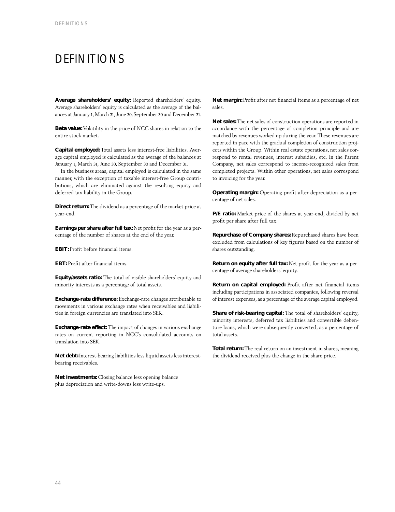## DEFINITIONS

**Average shareholders' equity:** Reported shareholders' equity. Average shareholders' equity is calculated as the average of the balances at January 1, March 31, June 30, September 30 and December 31.

**Beta value:** Volatility in the price of NCC shares in relation to the entire stock market.

**Capital employed:** Total assets less interest-free liabilities. Average capital employed is calculated as the average of the balances at January 1, March 31, June 30, September 30 and December 31.

In the business areas, capital employed is calculated in the same manner, with the exception of taxable interest-free Group contributions, which are eliminated against the resulting equity and deferred tax liability in the Group.

**Direct return:** The dividend as a percentage of the market price at year-end.

**Earnings per share after full tax:** Net profit for the year as a percentage of the number of shares at the end of the year.

**EBIT:** Profit before financial items.

**EBT:** Profit after financial items.

**Equity/assets ratio:** The total of visible shareholders' equity and minority interests as a percentage of total assets.

**Exchange-rate difference:** Exchange-rate changes attributable to movements in various exchange rates when receivables and liabilities in foreign currencies are translated into SEK.

**Exchange-rate effect:** The impact of changes in various exchange rates on current reporting in NCC's consolidated accounts on translation into SEK.

**Net debt:**Interest-bearing liabilities less liquid assets less interestbearing receivables.

**Net investments:** Closing balance less opening balance plus depreciation and write-downs less write-ups.

**Net margin:** Profit after net financial items as a percentage of net sales.

**Net sales:** The net sales of construction operations are reported in accordance with the percentage of completion principle and are matched by revenues worked up during the year. These revenues are reported in pace with the gradual completion of construction projects within the Group. Within real estate operations, net sales correspond to rental revenues, interest subsidies, etc. In the Parent Company, net sales correspond to income-recognized sales from completed projects. Within other operations, net sales correspond to invoicing for the year.

**Operating margin:** Operating profit after depreciation as a percentage of net sales.

**P/E ratio:** Market price of the shares at year-end, divided by net profit per share after full tax.

**Repurchase of Company shares:** Repurchased shares have been excluded from calculations of key figures based on the number of shares outstanding.

**Return on equity after full tax:** Net profit for the year as a percentage of average shareholders' equity.

**Return on capital employed:** Profit after net financial items including participations in associated companies, following reversal of interest expenses, as a percentage of the average capital employed.

**Share of risk-bearing capital:** The total of shareholders' equity, minority interests, deferred tax liabilities and convertible debenture loans, which were subsequently converted, as a percentage of total assets.

**Total return:** The real return on an investment in shares, meaning the dividend received plus the change in the share price.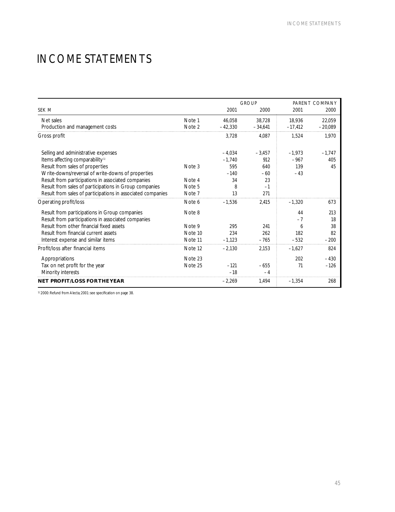## INCOME STATEMENTS

|                                                             |         |           | <b>GROUP</b> | PARENT COMPANY |           |  |
|-------------------------------------------------------------|---------|-----------|--------------|----------------|-----------|--|
| SEK M                                                       |         | 2001      | 2000         | 2001           | 2000      |  |
| Net sales                                                   | Note 1  | 46.058    | 38.728       | 18.936         | 22.059    |  |
| Production and management costs                             | Note 2  | $-42,330$ | $-34,641$    | $-17,412$      | $-20.089$ |  |
| Gross profit                                                |         | 3,728     | 4.087        | 1,524          | 1,970     |  |
| Selling and administrative expenses                         |         | $-4.034$  | $-3.457$     | $-1.973$       | $-1.747$  |  |
| Items affecting comparability <sup>1)</sup>                 |         | $-1.740$  | 912          | $-967$         | 405       |  |
| Result from sales of properties                             | Note 3  | 595       | 640          | 139            | 45        |  |
| Write-downs/reversal of write-downs of properties           |         | $-140$    | $-60$        | $-43$          |           |  |
| Result from participations in associated companies          | Note 4  | 34        | 23           |                |           |  |
| Result from sales of participations in Group companies      | Note 5  | 8         | $-1$         |                |           |  |
| Result from sales of participations in associated companies | Note 7  | 13        | 271          |                |           |  |
| Operating profit/loss                                       | Note 6  | $-1.536$  | 2.415        | $-1.320$       | 673       |  |
| Result from participations in Group companies               | Note 8  |           |              | 44             | 213       |  |
| Result from participations in associated companies          |         |           |              | $-7$           | 18        |  |
| Result from other financial fixed assets                    | Note 9  | 295       | 241          | 6              | 38        |  |
| Result from financial current assets                        | Note 10 | 234       | 262          | 182            | 82        |  |
| Interest expense and similar items                          | Note 11 | $-1,123$  | $-765$       | $-532$         | $-200$    |  |
| Profit/loss after financial items                           | Note 12 | $-2,130$  | 2,153        | $-1.627$       | 824       |  |
| Appropriations                                              | Note 23 |           |              | 202            | $-430$    |  |
| Tax on net profit for the year                              | Note 25 | $-121$    | $-655$       | 71             | $-126$    |  |
| Minority interests                                          |         | $-18$     | $-4$         |                |           |  |
| <b>NET PROFIT/LOSS FOR THE YEAR</b>                         |         | $-2,269$  | 1,494        | $-1,354$       | 268       |  |

1) 2000: Refund from Alecta; 2001: see specification on page 38.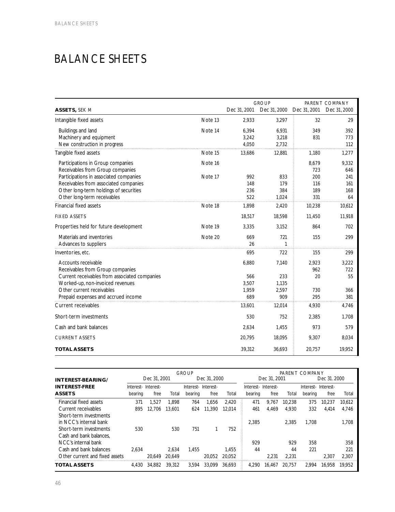## BALANCE SHEETS

|                                                                                                                                                          |         |                              | <b>GROUP</b>                 |                          | PARENT COMPANY          |
|----------------------------------------------------------------------------------------------------------------------------------------------------------|---------|------------------------------|------------------------------|--------------------------|-------------------------|
| ASSETS, SEK M                                                                                                                                            |         | Dec 31, 2001                 | Dec 31, 2000                 | Dec 31, 2001             | Dec 31, 2000            |
| Intangible fixed assets                                                                                                                                  | Note 13 | 2,933                        | 3,297                        | 32                       | 29                      |
| Buildings and land<br>Machinery and equipment<br>New construction in progress                                                                            | Note 14 | 6,394<br>3,242<br>4,050      | 6,931<br>3,218<br>2,732      | 349<br>831               | 392<br>773<br>112       |
| Tangible fixed assets                                                                                                                                    | Note 15 | 13,686                       | 12,881                       | 1,180                    | 1,277                   |
| Participations in Group companies<br>Receivables from Group companies                                                                                    | Note 16 |                              |                              | 8,679<br>723             | 9,332<br>646            |
| Participations in associated companies<br>Receivables from associated companies<br>Other long-term holdings of securities<br>Other long-term receivables | Note 17 | 992<br>148<br>236<br>522     | 833<br>179<br>384<br>1,024   | 200<br>116<br>189<br>331 | 241<br>161<br>168<br>64 |
| <b>Financial fixed assets</b>                                                                                                                            | Note 18 | 1,898                        | 2,420                        | 10,238                   | 10,612                  |
| <b>FIXED ASSETS</b>                                                                                                                                      |         | 18,517                       | 18,598                       | 11,450                   | 11,918                  |
| Properties held for future development                                                                                                                   | Note 19 | 3,335                        | 3.152                        | 864                      | 702                     |
| Materials and inventories<br>Advances to suppliers                                                                                                       | Note 20 | 669<br>26                    | 721<br>1                     | 155                      | 299                     |
| Inventories, etc.                                                                                                                                        |         | 695                          | 722                          | 155                      | 299                     |
| Accounts receivable<br>Receivables from Group companies                                                                                                  |         | 6,880                        | 7,140                        | 2,923<br>962             | 3,222<br>722            |
| Current receivables from associated companies<br>Worked-up, non-invoiced revenues<br>Other current receivables<br>Prepaid expenses and accrued income    |         | 566<br>3,507<br>1,959<br>689 | 233<br>1,135<br>2,597<br>909 | 20<br>730<br>295         | 55<br>366<br>381        |
| <b>Current receivables</b>                                                                                                                               |         | 13,601                       | 12,014                       | 4,930                    | 4,746                   |
| Short-term investments                                                                                                                                   |         | 530                          | 752                          | 2,385                    | 1,708                   |
| Cash and bank balances                                                                                                                                   |         | 2,634                        | 1,455                        | 973                      | 579                     |
| <b>CURRENT ASSETS</b>                                                                                                                                    |         | 20,795                       | 18,095                       | 9,307                    | 8,034                   |
| <b>TOTAL ASSETS</b>                                                                                                                                      |         | 39,312                       | 36,693                       | 20,757                   | 19,952                  |

|                                | <b>GROUP</b>       |              |        |                    |              |        |                    |              | PARENT COMPANY |                     |              |        |
|--------------------------------|--------------------|--------------|--------|--------------------|--------------|--------|--------------------|--------------|----------------|---------------------|--------------|--------|
| INTEREST BEARING/              |                    | Dec 31, 2001 |        |                    | Dec 31, 2000 |        |                    | Dec 31, 2001 |                |                     | Dec 31, 2000 |        |
| <b>INTEREST-FREE</b>           | Interest-Interest- |              |        | Interest-Interest- |              |        | Interest-Interest- |              |                | Interest- Interest- |              |        |
| <b>ASSETS</b>                  | bearing            | free         | Total  | bearing            | free         | Total  | bearing            | free         | Total          | bearing             | free         | Total  |
| Financial fixed assets         | 371                | 1,527        | 1.898  | 764                | 1.656        | 2.420  | 471                | 9.767        | 10.238         | 375                 | 10.237       | 10.612 |
| Current receivables            | 895                | 12.706       | 13,601 | 624                | 11.390       | 12.014 | 461                | 4.469        | 4.930          | 332                 | 4.414        | 4.746  |
| Short-term investments         |                    |              |        |                    |              |        |                    |              |                |                     |              |        |
| in NCC's internal bank         |                    |              |        |                    |              |        | 2,385              |              | 2.385          | 1.708               |              | 1.708  |
| Short-term investments         | 530                |              | 530    | 751                |              | 752    |                    |              |                |                     |              |        |
| Cash and bank balances.        |                    |              |        |                    |              |        |                    |              |                |                     |              |        |
| NCC's internal bank            |                    |              |        |                    |              |        | 929                |              | 929            | 358                 |              | 358    |
| Cash and bank balances         | 2.634              |              | 2.634  | 1.455              |              | 1.455  | 44                 |              | 44             | 221                 |              | 221    |
| Other current and fixed assets |                    | 20.649       | 20.649 |                    | 20.052       | 20.052 |                    | 2.231        | 2.231          |                     | 2.307        | 2.307  |
| TOTAL ASSETS                   | 4.430              | 34.882       | 39.312 | 3.594              | 33.099       | 36.693 | 4.290              | 16.467       | 20.757         | 2.994               | 16.958       | 19.952 |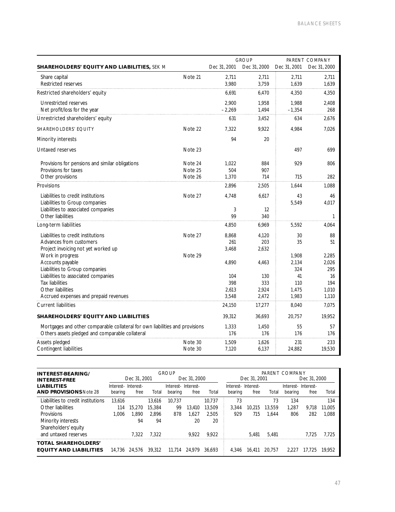|                                                                              |         |              | <b>GROUP</b> |              | PARENT COMPANY |
|------------------------------------------------------------------------------|---------|--------------|--------------|--------------|----------------|
| <b>SHAREHOLDERS' EQUITY AND LIABILITIES, SEK M</b>                           |         | Dec 31, 2001 | Dec 31, 2000 | Dec 31, 2001 | Dec 31, 2000   |
| Share capital                                                                | Note 21 | 2,711        | 2,711        | 2,711        | 2,711          |
| Restricted reserves                                                          |         | 3,980        | 3,759        | 1,639        | 1.639          |
| Restricted shareholders' equity                                              |         | 6,691        | 6,470        | 4,350        | 4,350          |
| Unrestricted reserves                                                        |         | 2,900        | 1,958        | 1,988        | 2,408          |
| Net profit/loss for the year                                                 |         | $-2,269$     | 1,494        | $-1,354$     | 268            |
| Unrestricted shareholders' equity                                            |         | 631          | 3,452        | 634          | 2,676          |
| <b>SHAREHOLDERS' EQUITY</b>                                                  | Note 22 | 7,322        | 9,922        | 4,984        | 7,026          |
| Minority interests                                                           |         | 94           | 20           |              |                |
| Untaxed reserves                                                             | Note 23 |              |              | 497          | 699            |
| Provisions for pensions and similar obligations                              | Note 24 | 1.022        | 884          | 929          | 806            |
| Provisions for taxes                                                         | Note 25 | 504          | 907          |              |                |
| Other provisions                                                             | Note 26 | 1,370        | 714          | 715          | 282            |
| Provisions                                                                   |         | 2,896        | 2,505        | 1.644        | 1,088          |
| Liabilities to credit institutions                                           | Note 27 | 4.748        | 6.617        | 43           | 46             |
| Liabilities to Group companies                                               |         |              |              | 5,549        | 4,017          |
| Liabilities to associated companies                                          |         | 3            | 12           |              |                |
| Other liabilities                                                            |         | 99           | 340          |              | 1              |
| Long-term liabilities                                                        |         | 4,850        | 6,969        | 5,592        | 4,064          |
| Liabilities to credit institutions                                           | Note 27 | 8,868        | 4,120        | 30           | 88             |
| Advances from customers                                                      |         | 261          | 203          | 35           | 51             |
| Project invoicing not yet worked up                                          |         | 3,468        | 2,632        |              |                |
| Work in progress                                                             | Note 29 |              |              | 1,908        | 2,285          |
| Accounts payable                                                             |         | 4.890        | 4.463        | 2,134        | 2.026<br>295   |
| Liabilities to Group companies<br>Liabilities to associated companies        |         | 104          | 130          | 324<br>41    | 16             |
| Tax liabilities                                                              |         | 398          | 333          | 110          | 194            |
| Other liabilities                                                            |         | 2,613        | 2,924        | 1,475        | 1,010          |
| Accrued expenses and prepaid revenues                                        |         | 3,548        | 2.472        | 1,983        | 1,110          |
| <b>Current liabilities</b>                                                   |         | 24,150       | 17,277       | 8.040        | 7,075          |
| <b>SHAREHOLDERS' EQUITY AND LIABILITIES</b>                                  |         | 39,312       | 36.693       | 20,757       | 19,952         |
| Mortgages and other comparable collateral for own liabilities and provisions |         | 1,333        | 1,450        | 55           | 57             |
| Others assets pledged and comparable collateral                              |         | 176          | 176          | 176          | 176            |
| Assets pledged                                                               | Note 30 | 1,509        | 1,626        | 231          | 233            |
| Contingent liabilities                                                       | Note 30 | 7,120        | 6,137        | 24,882       | 19,530         |

| <b>INTEREST BEARING/</b>            |                    | <b>GROUP</b> |        |                    |              | PARENT COMPANY |                    |              |        |                    |              |        |
|-------------------------------------|--------------------|--------------|--------|--------------------|--------------|----------------|--------------------|--------------|--------|--------------------|--------------|--------|
| <b>INTEREST-FREE</b>                |                    | Dec 31, 2001 |        |                    | Dec 31, 2000 |                |                    | Dec 31, 2001 |        |                    | Dec 31, 2000 |        |
| <b>LIABILITIES</b>                  | Interest-Interest- |              |        | Interest-Interest- |              |                | Interest-Interest- |              |        | Interest-Interest- |              |        |
| <b>AND PROVISIONS Note 28</b>       | bearing            | free         | Total  | bearing            | free         | Total          | bearing            | free         | Total  | bearing            | free         | Total  |
| Liabilities to credit institutions. | 13.616             |              | 13.616 | 10.737             |              | 10.737         | 73                 |              | 73     | 134                |              | 134    |
| Other liabilities                   | 114                | 15,270       | 15,384 | 99                 | 13.410       | 13.509         | 3.344              | 10.215       | 13,559 | 1.287              | 9.718        | 11.005 |
| Provisions                          | 1.006              | .890         | 2.896  | 878                | .627         | 2.505          | 929                | 715          | 1.644  | 806                | 282          | 1.088  |
| Minority interests                  |                    | 94           | 94     |                    | 20           | 20             |                    |              |        |                    |              |        |
| Shareholders' equity                |                    |              |        |                    |              |                |                    |              |        |                    |              |        |
| and untaxed reserves                |                    | 7.322        | 7.322  |                    | 9.922        | 9.922          |                    | 5.481        | 5.481  |                    | 7.725        | 7.725  |
| <b>TOTAL SHAREHOLDERS'</b>          |                    |              |        |                    |              |                |                    |              |        |                    |              |        |
| <b>EQUITY AND LIABILITIES</b>       | 14.736             | 24.576       | 39.312 | 11.714             | 24.979       | 36.693         | 4.346              | 16.411       | 20.757 | 2221               | 17.725       | 19.952 |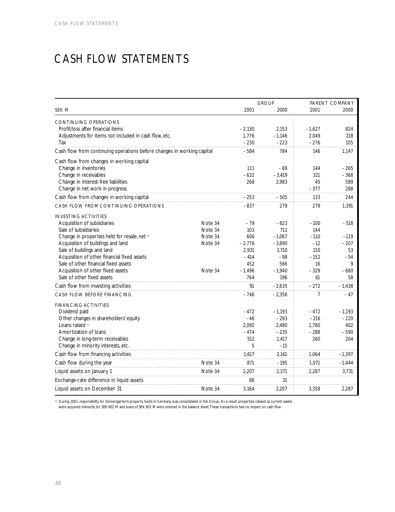## CASH FLOW STATEMENTS

|                                                                        |         |                 | <b>GROUP</b>    | PARENT COMPANY   |               |  |
|------------------------------------------------------------------------|---------|-----------------|-----------------|------------------|---------------|--|
| SEK M                                                                  |         | 2001            | 2000            | 2001             | 2000          |  |
| <b>CONTINUING OPERATIONS</b>                                           |         |                 |                 |                  |               |  |
| Profit/loss after financial items                                      |         | $-2,130$        | 2,153           | $-1,627$         | 824           |  |
| Adjustments for items not included in cash flow, etc.                  |         | 1,776           | $-1,146$        | 2,049            | 218           |  |
| Tax                                                                    |         | $-230$          | $-223$          | $-276$           | 105           |  |
| Cash flow from continuing operations before changes in working capital |         | $-584$          | 784             | 146              | 1,147         |  |
| Cash flow from changes in working capital                              |         |                 |                 |                  |               |  |
| Change in inventories                                                  |         | 111             | $-69$           | 144              | $-265$        |  |
| Change in receivables                                                  |         | $-632$          | $-3,419$        | 321              | $-368$        |  |
| Change in interest-free liabilities                                    |         | 268             | 2,983           | 45               | 589           |  |
| Change in net work in progress                                         |         |                 |                 | $-377$           | 288           |  |
| Cash flow from changes in working capital                              |         | $-253$          | $-505$          | 133              | 244           |  |
| CASH FLOW FROM CONTINUING OPERATIONS                                   |         | $-837$          | 279             | 279              | 1,391         |  |
| <b>INVESTING ACTIVITIES</b>                                            |         |                 |                 |                  |               |  |
| Acquisition of subsidiaries                                            | Note 34 | $-79$           | $-823$          | $-100$           | $-518$        |  |
| Sale of subsidiaries                                                   | Note 34 | 103             | 711             | 144              |               |  |
| Change in properties held for resale, net *)                           | Note 34 | 606             | $-1,067$        | $-110$           | $-119$        |  |
| Acquisition of buildings and land                                      | Note 34 | $-2,776$        | $-3,890$        | $-12$            | $-207$        |  |
| Sale of buildings and land                                             |         | 2.931           | 3.710           | 210              | 53            |  |
| Acquisition of other financial fixed assets                            |         | $-414$          | $-98$           | $-152$           | $-54$         |  |
| Sale of other financial fixed assets                                   |         | 452             | 566             | 16               | 9             |  |
| Acquisition of other fixed assets<br>Sale of other fixed assets        | Note 34 | $-1,496$<br>764 | $-1,940$<br>196 | $-329$<br>61     | $-660$<br>58  |  |
|                                                                        |         |                 |                 |                  |               |  |
| Cash flow from investing activities                                    |         | 91              | $-2,635$        | $-272$           | $-1,438$      |  |
| <b>CASH FLOW BEFORE FINANCING</b>                                      |         | $-746$          | $-2,356$        | 7                | $-47$         |  |
| <b>FINANCING ACTIVITIES</b>                                            |         |                 |                 |                  |               |  |
| Dividend paid                                                          |         | $-472$          | $-1,193$        | $-472$<br>$-216$ | $-1,193$      |  |
| Other changes in shareholders' equity<br>l oans raised *)              |         | $-46$<br>2,092  | $-293$<br>2,480 | 1,780            | $-220$<br>402 |  |
| Amortization of loans                                                  |         | $-474$          | $-235$          | $-288$           | $-590$        |  |
| Change in long-term receivables                                        |         | 512             | 1,417           | 260              | 204           |  |
| Change in minority interests, etc.                                     |         | 5               | $-15$           |                  |               |  |
| Cash flow from financing activities                                    |         | 1,617           | 2,161           | 1,064            | $-1,397$      |  |
| Cash flow during the year                                              | Note 34 | 871             | $-195$          | 1,071            | $-1,444$      |  |
| Liquid assets on January 1                                             | Note 34 | 2,207           | 2,371           | 2,287            | 3,731         |  |
| Exchange-rate difference in liquid assets                              |         | 86              | 31              |                  |               |  |
| Liquid assets on December 31                                           | Note 34 | 3,164           | 2,207           | 3,358            | 2,287         |  |

\*) During 2001, responsibility for Sonnengarten's property funds in Germany was consolidated in the Group. As a result, properties classed as current assets<br>were acquired indirectly for SEK 802 M and loans of SEK 802 M wer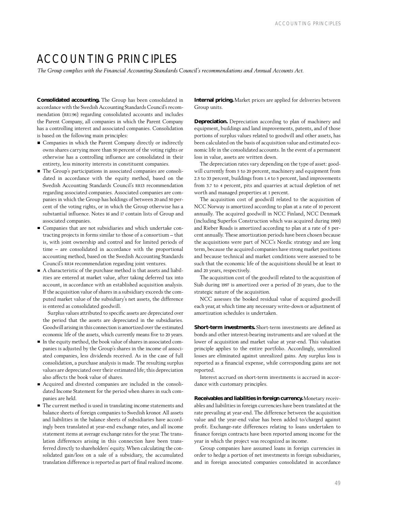## ACCOUNTING PRINCIPI FS

*The Group complies with the Financial Accounting Standards Council's recommendations and Annual Accounts Act.*

**Consolidated accounting.** The Group has been consolidated in accordance with the Swedish Accounting Standards Council's recommendation (RR1:96) regarding consolidated accounts and includes the Parent Company, all companies in which the Parent Company has a controlling interest and associated companies. Consolidation is based on the following main principles:

- Companies in which the Parent Company directly or indirectly owns shares carrying more than 50 percent of the voting rights or otherwise has a controlling influence are consolidated in their entirety, less minority interests in constituent companies.
- The Group's participations in associated companies are consolidated in accordance with the equity method, based on the Swedish Accounting Standards Council's RR13 recommendation regarding associated companies. Associated companies are companies in which the Group has holdings of between 20 and 50 percent of the voting rights, or in which the Group otherwise has a substantial influence. Notes 16 and 17 contain lists of Group and associated companies.
- Companies that are not subsidiaries and which undertake con- $\blacksquare$ tracting projects in forms similar to those of a consortium – that is, with joint ownership and control and for limited periods of time – are consolidated in accordance with the proportional accounting method, based on the Swedish Accounting Standards Council's RR14 recommendation regarding joint ventures.
- A characteristic of the purchase method is that assets and liabilities are entered at market value, after taking deferred tax into account, in accordance with an established acquisition analysis. If the acquisition value of shares in a subsidiary exceeds the computed market value of the subsidiary's net assets, the difference is entered as consolidated goodwill.

Surplus values attributed to specific assets are depreciated over the period that the assets are depreciated in the subsidiaries. Goodwill arising in this connection is amortized over the estimated economic life of the assets, which currently means five to 20 years.

- In the equity method, the book value of shares in associated companies is adjusted by the Group's shares in the income of associated companies, less dividends received. As in the case of full consolidation, a purchase analysis is made. The resulting surplus values are depreciated over their estimated life; this depreciation also affects the book value of shares.
- Acquired and divested companies are included in the consolidated Income Statement for the period when shares in such companies are held.
- The current method is used in translating income statements and balance sheets of foreign companies to Swedish kronor. All assets and liabilities in the balance sheets of subsidiaries have accordingly been translated at year-end exchange rates, and all income statement items at average exchange rates for the year. The translation differences arising in this connection have been transferred directly to shareholders' equity. When calculating the consolidated gain/loss on a sale of a subsidiary, the accumulated translation difference is reported as part of final realized income.

**Internal pricing.** Market prices are applied for deliveries between Group units.

**Depreciation.** Depreciation according to plan of machinery and equipment, buildings and land improvements, patents, and of those portions of surplus values related to goodwill and other assets, has been calculated on the basis of acquisition value and estimated economic life in the consolidated accounts. In the event of a permanent loss in value, assets are written down.

The depreciation rates vary depending on the type of asset: goodwill currently from 5 to 20 percent, machinery and equipment from 2.5 to 33 percent, buildings from 1.4 to 5 percent, land improvements from 3.7 to 4 percent, pits and quarries at actual depletion of net worth and managed properties at 1 percent.

The acquisition cost of goodwill related to the acquisition of NCC Norway is amortized according to plan at a rate of 10 percent annually. The acquired goodwill in NCC Finland, NCC Denmark (including Superfos Construction which was acquired during 1999) and Rieber Roads is amortized according to plan at a rate of 5 percent annually. These amortization periods have been chosen because the acquisitions were part of NCC's Nordic strategy and are long term, because the acquired companies have strong market positions and because technical and market conditions were assessed to be such that the economic life of the acquisitions should be at least 10 and 20 years, respectively.

The acquisition cost of the goodwill related to the acquisition of Siab during 1997 is amortized over a period of 20 years, due to the strategic nature of the acquisition.

NCC assesses the booked residual value of acquired goodwill each year, at which time any necessary write-down or adjustment of amortization schedules is undertaken.

**Short-term investments.** Short-term investments are defined as bonds and other interest-bearing instruments and are valued at the lower of acquisition and market value at year-end. This valuation principle applies to the entire portfolio. Accordingly, unrealized losses are eliminated against unrealized gains. Any surplus loss is reported as a financial expense, while corresponding gains are not reported.

Interest accrued on short-term investments is accrued in accordance with customary principles.

**Receivables and liabilities in foreign currency.**Monetary receivables and liabilities in foreign currencies have been translated at the rate prevailing at year-end. The difference between the acquisition value and the year-end value has been added to/charged against profit. Exchange-rate differences relating to loans undertaken to finance foreign contracts have been reported among income for the year in which the project was recognized as income.

Group companies have assumed loans in foreign currencies in order to hedge a portion of net investments in foreign subsidiaries, and in foreign associated companies consolidated in accordance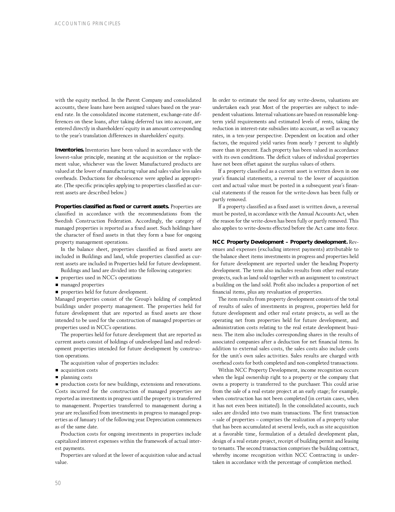with the equity method. In the Parent Company and consolidated accounts, these loans have been assigned values based on the yearend rate. In the consolidated income statement, exchange-rate differences on these loans, after taking deferred tax into account, are entered directly in shareholders' equity in an amount corresponding to the year's translation differences in shareholders' equity.

**Inventories.** Inventories have been valued in accordance with the lowest-value principle, meaning at the acquisition or the replacement value, whichever was the lower. Manufactured products are valued at the lower of manufacturing value and sales value less sales overheads. Deductions for obsolescence were applied as appropriate. (The specific principles applying to properties classified as current assets are described below.)

**Properties classified as fixed or current assets.** Properties are classified in accordance with the recommendations from the Swedish Construction Federation. Accordingly, the category of managed properties is reported as a fixed asset. Such holdings have the character of fixed assets in that they form a base for ongoing property management operations.

In the balance sheet, properties classified as fixed assets are included in Buildings and land, while properties classified as current assets are included in Properties held for future development.

- Buildings and land are divided into the following categories:
- **properties used in NCC's operations**
- managed properties
- properties held for future development.

Managed properties consist of the Group's holding of completed buildings under property management. The properties held for future development that are reported as fixed assets are those intended to be used for the construction of managed properties or properties used in NCC's operations.

The properties held for future development that are reported as current assets consist of holdings of undeveloped land and redevelopment properties intended for future development by construction operations.

- The acquisition value of properties includes:
- acquisition costs
- planning costs

production costs for new buildings, extensions and renovations. Costs incurred for the construction of managed properties are reported as investments in progress until the property is transferred to management. Properties transferred to management during a year are reclassified from investments in progress to managed properties as of January 1 of the following year. Depreciation commences as of the same date.

Production costs for ongoing investments in properties include capitalized interest expenses within the framework of actual interest payments.

Properties are valued at the lower of acquisition value and actual value.

In order to estimate the need for any write-downs, valuations are undertaken each year. Most of the properties are subject to independent valuations. Internal valuations are based on reasonable longterm yield requirements and estimated levels of rents, taking the reduction in interest-rate subsidies into account, as well as vacancy rates, in a ten-year perspective. Dependent on location and other factors, the required yield varies from nearly 7 percent to slightly more than 10 percent. Each property has been valued in accordance with its own conditions. The deficit values of individual properties have not been offset against the surplus values of others.

If a property classified as a current asset is written down in one year's financial statements, a reversal to the lower of acquisition cost and actual value must be posted in a subsequent year's financial statements if the reason for the write-down has been fully or partly removed.

If a property classified as a fixed asset is written down, a reversal must be posted, in accordance with the Annual Accounts Act, when the reason for the write-down has been fully or partly removed. This also applies to write-downs effected before the Act came into force.

## **NCC Property Development – Property development.** Rev-

enues and expenses (excluding interest payments) attributable to the balance sheet items investments in progress and properties held for future development are reported under the heading Property development. The term also includes results from other real estate projects, such as land sold together with an assignment to construct a building on the land sold. Profit also includes a proportion of net financial items, plus any revaluation of properties.

The item results from property development consists of the total of results of sales of investments in progress, properties held for future development and other real estate projects, as well as the operating net from properties held for future development, and administration costs relating to the real estate development business. The item also includes corresponding shares in the results of associated companies after a deduction for net financial items. In addition to external sales costs, the sales costs also include costs for the unit's own sales activities. Sales results are charged with overhead costs for both completed and non-completed transactions.

Within NCC Property Development, income recognition occurs when the legal ownership right to a property or the company that owns a property is transferred to the purchaser. This could arise from the sale of a real estate project at an early stage; for example, when construction has not been completed (in certain cases, when it has not even been initiated). In the consolidated accounts, such sales are divided into two main transactions. The first transaction – sale of properties – comprises the realization of a property value that has been accumulated at several levels, such as site acquisition at a favorable time, formulation of a detailed development plan, design of a real estate project, receipt of building permit and leasing to tenants. The second transaction comprises the building contract, whereby income recognition within NCC Contracting is undertaken in accordance with the percentage of completion method.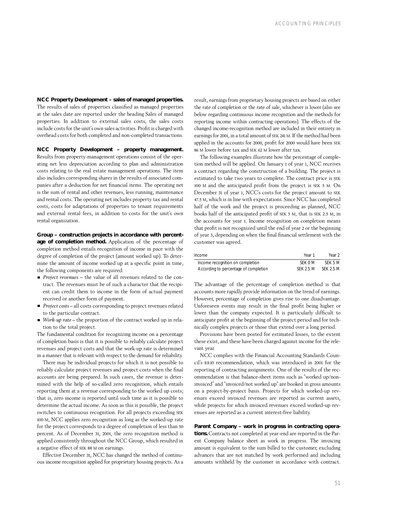**NCC Property Development – sales of managed properties.** The results of sales of properties classified as managed properties at the sales date are reported under the heading Sales of managed properties. In addition to external sales costs, the sales costs include costs for the unit's own sales activities. Profit is charged with overhead costs for both completed and non-completed transactions.

**NCC Property Development – property management.** Results from property-management operations consist of the operating net less depreciation according to plan and administration costs relating to the real estate management operations. The item also includes corresponding shares in the results of associated companies after a deduction for net financial items. The operating net is the sum of rental and other revenues, less running, maintenance and rental costs. The operating net includes property tax and rental costs, costs for adaptations of properties to tenant requirements and external rental fees, in addition to costs for the unit's own rental organization.

**Group – construction projects in accordance with percentage of completion method.** Application of the percentage of completion method entails recognition of income in pace with the degree of completion of the project (amount worked up). To determine the amount of income worked up at a specific point in time, the following components are required:

- *Project revenues*  the value of all revenues related to the contract. The revenues must be of such a character that the recipient can credit them to income in the form of actual payment received or another form of payment.
- *Project costs* all costs corresponding to project revenues related to the particular contract.
- *Work-up rate* the proportion of the contract worked up in relation to the total project.

The fundamental condition for recognizing income on a percentage of completion basis is that it is possible to reliably calculate project revenues and project costs and that the work-up rate is determined in a manner that is relevant with respect to the demand for reliability.

There may be individual projects for which it is not possible to reliably calculate project revenues and project costs when the final accounts are being prepared. In such cases, the revenue is determined with the help of so-called zero recognition, which entails reporting them at a revenue corresponding to the worked up costs; that is, zero income is reported until such time as it is possible to determine the actual income. As soon as this is possible, the project switches to continuous recognition. For all projects exceeding SEK 100 M, NCC applies zero recognition as long as the worked-up rate for the project corresponds to a degree of completion of less than 50 percent. As of December 31, 2001, the zero recognition method is applied consistently throughout the NCC Group, which resulted in a negative effect of SEK 88 M on earnings.

Effective December 31, NCC has changed the method of continuous income recognition applied for proprietary housing projects. As a result, earnings from proprietary housing projects are based on either the rate of completion or the rate of sale, whichever is lower (also see below regarding continuous income recognition and the methods for reporting income within contracting operations). The effects of the changed income-recognition method are included in their entirety in earnings for 2001, in a total amount of SEK 241 M. If the method had been applied in the accounts for 2000, profit for 2000 would have been SEK 86 M lower before tax and SEK 62 M lower after tax.

The following examples illustrate how the percentage of completion method will be applied. On January 1 of year 1, NCC receives a contract regarding the construction of a building. The project is estimated to take two years to complete. The contract price is SEK 100 M and the anticipated profit from the project is SEK 5 M. On December 31 of year 1, NCC's costs for the project amount to SEK 47.5 M, which is in line with expectations. Since NCC has completed half of the work and the project is proceeding as planned, NCC books half of the anticipated profit of SEK 5 M, that is SEK 2.5 M, in the accounts for year 1. Income recognition on completion means that profit is not recognized until the end of year 2 or the beginning of year 3, depending on when the final financial settlement with the customer was agreed.

| Income                                | Year 1           | Year 2    |
|---------------------------------------|------------------|-----------|
| Income recognition on completion      | SFK 0 M          | SFK 5 M   |
| According to percentage of completion | <b>SFK 2.5 M</b> | SFK 2.5 M |

The advantage of the percentage of completion method is that accounts more rapidly provide information on the trend of earnings. However, percentage of completion gives rise to one disadvantage. Unforeseen events may result in the final profit being higher or lower than the company expected. It is particularly difficult to anticipate profit at the beginning of the project period and for technically complex projects or those that extend over a long period.

Provisions have been posted for estimated losses, to the extent these exist, and these have been charged against income for the relevant year.

NCC complies with the Financial Accounting Standards Council's RR10 recommendation, which was introduced in 2001 for the reporting of contracting assignments. One of the results of the recommendation is that balance-sheet items such as "worked up/noninvoiced" and "invoiced/not worked up" are booked in gross amounts on a project-by-project basis. Projects for which worked-up revenues exceed invoiced revenues are reported as current assets, while projects for which invoiced revenues exceed worked-up revenues are reported as a current interest-free liability.

## **Parent Company – work in progress in contracting operations.** Contracts not completed at year-end are reported in the Par-

ent Company balance sheet as work in progress. The invoicing amount is equivalent to the sum billed to the customer, excluding advances that are not matched by work performed and including amounts withheld by the customer in accordance with contract.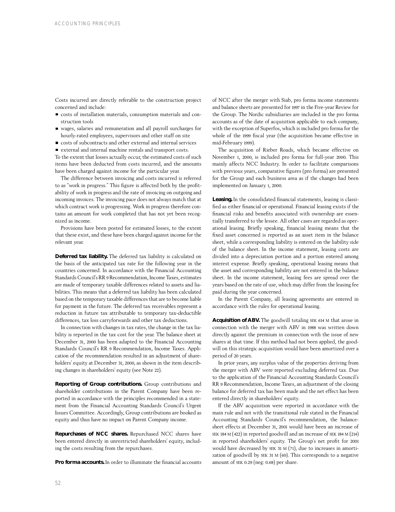Costs incurred are directly referable to the construction project concerned and include:

- costs of installation materials, consumption materials and construction tools
- wages, salaries and remuneration and all payroll surcharges for hourly-rated employees, supervisors and other staff on site
- costs of subcontracts and other external and internal services
- external and internal machine rentals and transport costs.

To the extent that losses actually occur, the estimated costs of such items have been deducted from costs incurred, and the amounts have been charged against income for the particular year.

The difference between invoicing and costs incurred is referred to as "work in progress." This figure is affected both by the profitability of work in progress and the rate of invoicing on outgoing and incoming invoices. The invoicing pace does not always match that at which contract work is progressing. Work in progress therefore contains an amount for work completed that has not yet been recognized as income.

Provisions have been posted for estimated losses, to the extent that these exist, and these have been charged against income for the relevant year.

**Deferred tax liability.** The deferred tax liability is calculated on the basis of the anticipated tax rate for the following year in the countries concerned. In accordance with the Financial Accounting Standards Council's RR 9 Recommendation, Income Taxes, estimates are made of temporary taxable differences related to assets and liabilities. This means that a deferred tax liability has been calculated based on the temporary taxable differences that are to become liable for payment in the future. The deferred tax receivables represent a reduction in future tax attributable to temporary tax-deductible differences, tax loss carryforwards and other tax deductions.

In connection with changes in tax rates, the change in the tax liability is reported in the tax cost for the year. The balance sheet at December 31, 2000 has been adapted to the Financial Accounting Standards Council's RR 9 Recommendation, Income Taxes. Application of the recommendation resulted in an adjustment of shareholders' equity at December 31, 2000, as shown in the item describing changes in shareholders' equity (see Note 22).

**Reporting of Group contributions.** Group contributions and shareholder contributions in the Parent Company have been reported in accordance with the principles recommended in a statement from the Financial Accounting Standards Council's Urgent Issues Committee. Accordingly, Group contributions are booked as equity and thus have no impact on Parent Company income.

**Repurchases of NCC shares.** Repurchased NCC shares have been entered directly in unrestricted shareholders' equity, including the costs resulting from the repurchases.

**Pro forma accounts.** In order to illuminate the financial accounts

of NCC after the merger with Siab, pro forma income statements and balance sheets are presented for 1997 in the Five-year Review for the Group. The Nordic subsidiaries are included in the pro forma accounts as of the date of acquisition applicable to each company, with the exception of Superfos, which is included pro forma for the whole of the 1999 fiscal year (the acquisition became effective in mid-February 1999).

The acquisition of Rieber Roads, which became effective on November 1, 2000, is included pro forma for full-year 2000. This mainly affects NCC Industry. In order to facilitate comparisons with previous years, comparative figures (pro forma) are presented for the Group and each business area as if the changes had been implemented on January 1, 2000.

Leasing. In the consolidated financial statements, leasing is classified as either financial or operational. Financial leasing exists if the financial risks and benefits associated with ownership are essentially transferred to the lessee. All other cases are regarded as operational leasing. Briefly speaking, financial leasing means that the fixed asset concerned is reported as an asset item in the balance sheet, while a corresponding liability is entered on the liability side of the balance sheet. In the income statement, leasing costs are divided into a depreciation portion and a portion entered among interest expense. Briefly speaking, operational leasing means that the asset and corresponding liability are not entered in the balance sheet. In the income statement, leasing fees are spread over the years based on the rate of use, which may differ from the leasing fee paid during the year concerned.

In the Parent Company, all leasing agreements are entered in accordance with the rules for operational leasing.

**Acquisition of ABV.** The goodwill totaling SEK 614 M that arose in connection with the merger with ABV in 1988 was written down directly against the premium in connection with the issue of new shares at that time. If this method had not been applied, the goodwill on this strategic acquisition would have been amortized over a period of 20 years.

In prior years, any surplus value of the properties deriving from the merger with ABV were reported excluding deferred tax. Due to the application of the Financial Accounting Standards Council's RR 9 Recommendation, Income Taxes, an adjustment of the closing balance for deferred tax has been made and the net effect has been entered directly in shareholders' equity.

If the ABV acquisition were reported in accordance with the main rule and not with the transitional rule stated in the Financial Accounting Standards Council's recommendation, the balancesheet effects at December 31, 2001 would have been an increase of SEK 184 M (422) in reported goodwill and an increase of SEK 184 M (214) in reported shareholders' equity. The Group's net profit for 2001 would have decreased by SEK 31 M (71), due to increases in amortization of goodwill by SEK 31 M (60). This corresponds to a negative amount of SEK 0.29 (neg: 0.68) per share.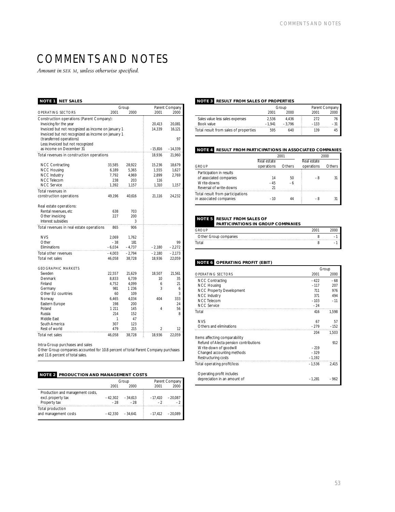## COMMENTS AND NOTES

*Amount in SEK M, unless otherwise specified.*

## **NOTE 1 NET SALES**

|                                                    |          | Group    |           | Parent Company |
|----------------------------------------------------|----------|----------|-----------|----------------|
| <b>OPERATING SECTORS</b>                           | 2001     | 2000     | 2001      | 2000           |
| Construction operations (Parent Company):          |          |          |           |                |
| Invoicing for the year                             |          |          | 20,413    | 20,081         |
| Invoiced but not recognized as income on January 1 |          |          | 14,339    | 16,121         |
| Invoiced but not recognized as income on January 1 |          |          |           |                |
| (transferred operations)                           |          |          |           | 97             |
| Less: Invoiced but not recognized                  |          |          |           |                |
| as income on December 31                           |          |          | $-15,816$ | $-14,339$      |
| Total revenues in construction operations          |          |          | 18,936    | 21,960         |
|                                                    |          |          |           |                |
| <b>NCC Contracting</b>                             | 33,585   | 28,922   | 15,236    | 18,679         |
| <b>NCC Housing</b>                                 | 6,189    | 5,365    | 1,555     | 1,627          |
| <b>NCC Industry</b>                                | 7,792    | 4,969    | 2,899     | 2,769          |
| <b>NCC</b> Telecom                                 | 238      | 203      | 116       |                |
| <b>NCC Service</b>                                 | 1,392    | 1,157    | 1,310     | 1,157          |
| Total revenues in                                  |          |          |           |                |
| construction operations                            | 49,196   | 40,616   | 21,116    | 24,232         |
|                                                    |          |          |           |                |
| Real estate operations:                            |          |          |           |                |
| Rental revenues, etc                               | 638      | 703      |           |                |
| Other invoicing                                    | 227      | 200      |           |                |
| Interest subsidies                                 |          | 3        |           |                |
| Total revenues in real estate operations           | 865      | 906      |           |                |
|                                                    |          |          |           |                |
| <b>NVS</b>                                         | 2,069    | 1,762    |           |                |
| Other                                              | $-38$    | 181      |           | 99             |
| Eliminations                                       | $-6,034$ | -4,737   | -2,180    | $-2,272$       |
| Total other revenues                               | $-4,003$ | $-2,794$ | $-2,180$  | $-2,173$       |
| Total net sales                                    | 46,058   | 38,728   | 18,936    | 22,059         |
|                                                    |          |          |           |                |
| <b>GEOGRAPHIC MARKETS</b>                          |          |          |           |                |
| Sweden                                             | 22,557   | 21,629   | 18,507    | 21,561         |
| Denmark                                            | 8,833    | 6,739    | 10        | 35             |
| Finland                                            | 4,752    | 4,099    | 6         | 21             |
| Germany                                            | 981      | 1 2 3 6  | 3         | 6              |
| Other EU countries                                 | 60       | 109      |           | 3              |
| Norway                                             | 6,465    | 4,034    | 404       | 333            |
| Eastern Europe                                     | 198      | 200      |           | 24             |
| Poland                                             | 1 2 1 1  | 145      | 4         | 56             |
| Russia                                             | 214      | 152      |           | 8              |
| Middle East                                        | 1        | 47       |           |                |
| South America                                      | 307      | 123      |           |                |
| Rest of world                                      | 479      | 215      | 2         | 12             |
| Total net sales                                    | 46.058   | 38.728   | 18,936    | 22.059         |

## Intra-Group purchases and sales

Other Group companies accounted for 10.8 percent of total Parent Company purchases and 11.6 percent of total sales.

## **NOTE 2 PRODUCTION AND MANAGEMENT COSTS**

| 2000      |           |           |
|-----------|-----------|-----------|
|           | 2001      | 2000      |
|           |           |           |
| $-34.613$ | $-17.410$ | $-20.087$ |
| $-28$     | $-2$      | $-2$      |
| $-34.641$ | $-17.412$ | $-20.089$ |
|           |           |           |

## **NOTE 3 RESULT FROM SALES OF PROPERTIES**

|                                       |          | Group   | Parent Company |    |  |
|---------------------------------------|----------|---------|----------------|----|--|
|                                       | 2001     | 2000    | 2001           |    |  |
| Sales value less sales expenses       | 2.536    | 4.436   | 272            | 76 |  |
| Book value                            | $-1.941$ | $-3796$ | $-133$         |    |  |
| Total result from sales of properties | 595      | 640     | 139            |    |  |
|                                       |          |         |                |    |  |

## **NOTE 4 RESULT FROM PARTICIPATIONS IN ASSOCIATED COMPANIES**

|                                  |             | 2001   | 2000        |        |  |
|----------------------------------|-------------|--------|-------------|--------|--|
|                                  | Real estate |        | Real estate |        |  |
| GROUP                            | operations  | Others | operations  | Others |  |
| Participation in results         |             |        |             |        |  |
| of associated companies          | 14          | 50     | -8          | 31     |  |
| Write-downs                      | $-45$       | -6     |             |        |  |
| Reversal of write-downs          | 21          |        |             |        |  |
| Total result from participations |             |        |             |        |  |
| in associated companies          | $-10$       |        | -8          |        |  |

## **NOTE 5 RESULT FROM SALES OF**

**PARTICIPATIONS IN GROUP COMPANIES**

| <b>GROUP</b>          | 200. |        |
|-----------------------|------|--------|
| Other Group companies |      |        |
| Total                 |      | $\sim$ |

## **NOTE 6 OPERATING PROFIT (EBIT)**

|                                        |          | Group  |
|----------------------------------------|----------|--------|
| OPERATING SECTORS                      | 2001     | 2000   |
| <b>NCC Contracting</b>                 | $-422$   | $-68$  |
| <b>NCC Housing</b>                     | $-117$   | 207    |
| <b>NCC Property Development</b>        | 711      | 976    |
| <b>NCC Industry</b>                    | 371      | 494    |
| <b>NCC</b> Telecom                     | $-103$   | $-11$  |
| <b>NCC Service</b>                     | $-24$    |        |
| Total                                  | 416      | 1.598  |
|                                        |          |        |
| <b>NVS</b>                             | 67       | 57     |
| Others and eliminations                | $-279$   | $-152$ |
|                                        | 204      | 1.503  |
| Items affecting comparability          |          |        |
| Refund of Alecta pension contributions |          | 912    |
| Write-down of goodwill                 | $-219$   |        |
| Changed accounting methods             | $-329$   |        |
| Restructuring costs                    | $-1,192$ |        |
| Total operating profit/loss            | $-1,536$ | 2.415  |
|                                        |          |        |
| Operating profit includes              |          |        |
| depreciation in an amount of           | $-1,281$ | $-962$ |
|                                        |          |        |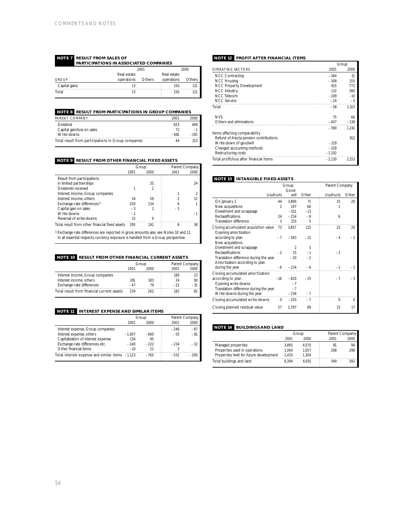### **NOTE 7 RESULT FROM SALES OF PARTICIPATIONS IN ASSOCIATED COMPANIES**

|               |             | 2001   |             | 2000   |
|---------------|-------------|--------|-------------|--------|
|               | Real estate |        | Real estate |        |
| <b>GROUP</b>  | operations  | Others | operations  | Others |
| Capital gains | 13          |        | 150         | 121    |
| Total         | 13          |        | 150         | 121    |
|               |             |        |             |        |

## **NOTE 8 RESULT FROM PARTICIPATIONS IN GROUP COMPANIES**

| PARENT COMPANY                                      | 2001   | 2000   |
|-----------------------------------------------------|--------|--------|
| <b>Dividend</b>                                     | 653    | 409    |
| Capital gain/loss on sales                          | 72     | $-1$   |
| Write-downs                                         | $-681$ | $-195$ |
| Total result from participations in Group companies | 44     |        |

## **NOTE 9 RESULT FROM OTHER FINANCIAL FIXED ASSETS**

|                                                                                                  |      | Group          | Parent Company |           |
|--------------------------------------------------------------------------------------------------|------|----------------|----------------|-----------|
|                                                                                                  | 2001 | 2000           | 2001           | 2000      |
| Result from participations                                                                       |      |                |                |           |
| in limited partnerships                                                                          |      | 35             |                | 24        |
| Dividends received                                                                               |      | $\mathfrak{D}$ |                |           |
| Interest income, Group companies                                                                 |      |                |                |           |
| Interest income, others                                                                          | 34   | 59             |                | $12^{12}$ |
| Exchange-rate differences <sup>1)</sup>                                                          | 250  | 134            | 6              |           |
| Capital gain on sales                                                                            | $-3$ |                | $-3$           |           |
| Write-downs                                                                                      | $-2$ |                |                | -         |
| Reversal of write-downs                                                                          | 15   | 9              |                |           |
| Total result from other financial fixed assets                                                   | 295  | 241            | 6              | 38        |
| <sup>1)</sup> Exchange-rate differences are reported in gross amounts; also see Notes 10 and 11. |      |                |                |           |

<sup>1)</sup> Exchange-rate differences are reported in gross amounts; also see Notes 10 and 11.<br>In all essential respects, currency exposure is handled from a Group perspective.

## **NOTE 10 RESULT FROM OTHER FINANCIAL CURRENT ASSETS**

|                                            |       | Group | Parent Company |       |  |
|--------------------------------------------|-------|-------|----------------|-------|--|
|                                            | 2001  | 2000  | 2001           | 2000  |  |
| Interest income, Group companies           |       |       | 180            | 23    |  |
| Interest income, others                    | 281   | 183   | 24             | 90    |  |
| Exchange-rate differences                  | $-47$ |       | $-22$          | $-31$ |  |
| Total result from financial current assets | 234   | 262   | 182            | 82    |  |

## **NOTE 11 INTEREST EXPENSE AND SIMILAR ITEMS**

|                                                 |          | Group  |        | Parent Company |
|-------------------------------------------------|----------|--------|--------|----------------|
|                                                 | 2001     | 2000   | 2001   | 2000           |
| Interest expense, Group companies               |          |        | $-246$ | $-87$          |
| Interest expense, others                        | $-1.007$ | $-660$ | $-55$  | $-81$          |
| Capitalization of interest expense              | 134      | 95     |        |                |
| Exchange-rate differences, etc.                 | $-240$   | $-222$ | $-234$ | $-32$          |
| Other financial items                           | $-10$    | 22     |        |                |
| Total interest expense and similar items -1,123 |          | $-765$ | $-532$ | $-200$         |

## **NOTE 12 PROFIT AFTER FINANCIAL ITEMS**

| 2001<br>$-364$<br>$-308$<br>615 | 2000<br>21<br>155 |
|---------------------------------|-------------------|
|                                 |                   |
|                                 |                   |
|                                 |                   |
|                                 | 772               |
| 132                             | 380               |
| $-109$                          | $-10$             |
| $-24$                           | $-5$              |
| $-58$                           | 1,313             |
| 75                              | 66                |
| $-407$                          | $-138$            |
| $-390$                          | 1.241             |
|                                 |                   |
|                                 | 912               |
| $-219$                          |                   |
|                                 |                   |
| $-329$                          |                   |
| $-1,192$                        |                   |
|                                 |                   |

## **NOTE 13 INTANGIBLE FIXED ASSETS**

|                                          | Group            | Parent Company |       |                  |             |
|------------------------------------------|------------------|----------------|-------|------------------|-------------|
|                                          |                  | Good-          |       |                  |             |
|                                          | <b>Usufructs</b> | will           | Other | <b>Usufructs</b> | Other       |
| On January 1                             | 44               | 3,800          | 71    | 15               | 20          |
| New acquisitions                         | $\mathfrak{D}$   | 197            | 66    |                  |             |
| Divestment and scrappage                 |                  | $-101$         | $-13$ |                  |             |
| Reclassifications                        | 24               | $-254$         | $-8$  | 6                |             |
| Translation difference                   | 3                | 215            | 5     |                  |             |
| Closing accumulated acquisition value    | 73               | 3.857          | 121   | 22               | 20          |
| Opening amor tization                    |                  |                |       |                  |             |
| according to plan                        | $-7$             | $-583$         | $-21$ | $-4$             | $-2$        |
| New acquisitions                         |                  |                |       |                  |             |
| Divestment and scrappage                 |                  | $\mathfrak{D}$ | 5     |                  |             |
| Reclassifications                        | $-2$             | 15             | $-1$  | $-2$             |             |
| Translation difference during the year   |                  | $-20$          | $-2$  |                  |             |
| Amortization according to plan           |                  |                |       |                  |             |
| during the year                          |                  | $-6 - 234$     | $-6$  |                  |             |
| Closing accumulated amortization         |                  |                |       |                  |             |
| according to plan                        |                  | $-16 - 820$    | $-25$ | $-7$             | $-3$        |
| Opening write-downs                      |                  | $-7$           |       |                  |             |
| Translation difference during the year   |                  | $-7$           |       |                  |             |
| Write-downs during the year              |                  | $-236$         | $-7$  |                  |             |
| Closing accumulated write-downs $0 -250$ |                  |                | $-7$  | $\Omega$         | $\mathbf 0$ |
| Closing planned residual value           | 57               | 2.787          | 89    | 15               | 17          |

## **NOTE 14 BUILDINGS AND LAND**

|                                        |       | Group | Parent Compamy |      |  |
|----------------------------------------|-------|-------|----------------|------|--|
|                                        | 2001  | 2000  | 2001           | 2000 |  |
| Managed properties                     | 3.895 | 4.570 | 81             | 94   |  |
| Properties used in operations          | 1.064 | 1.057 | 268            | 298  |  |
| Properties held for future development | 1.435 | 1.304 |                |      |  |
| Total buildings and land               | 6.394 | 6.931 | 349            | 392  |  |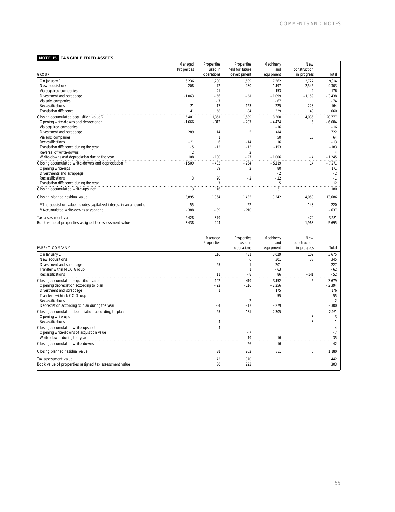## **NOTE 15 TANGIBLE FIXED ASSETS**

|                                                                                   | Managed           | Properties | Properties      | Machinery | <b>New</b>     |          |
|-----------------------------------------------------------------------------------|-------------------|------------|-----------------|-----------|----------------|----------|
|                                                                                   | <b>Properties</b> | used in    | held for future | and       | construction   |          |
| <b>GROUP</b>                                                                      |                   | operations | development     | equipment | in progress    | Total    |
| On January 1                                                                      | 6.236             | 1.280      | 1.509           | 7.562     | 2.727          | 19.314   |
| New acquisitions                                                                  | 208               | 72         | 280             | 1,197     | 2.546          | 4,303    |
| Via acquired companies                                                            |                   | 21         |                 | 153       | $\overline{2}$ | 176      |
| Divestment and scrappage                                                          | $-1.063$          | $-56$      | $-61$           | $-1,099$  | $-1.159$       | $-3,438$ |
| Via sold companies                                                                |                   | $-7$       |                 | $-67$     |                | $-74$    |
| <b>Reclassifications</b>                                                          | $-21$             | $-17$      | $-123$          | 225       | $-228$         | $-164$   |
| Translation difference                                                            | 41                | 58         | 84              | 329       | 148            | 660      |
| Closing accumulated acquisition value <sup>1)</sup>                               | 5.401             | 1.351      | 1.689           | 8.300     | 4.036          | 20,777   |
| Opening write-downs and depreciation                                              | $-1.666$          | $-312$     | $-207$          | $-4.424$  | 5              | $-6.604$ |
| Via acquired companies                                                            |                   |            |                 | $-16$     |                | $-16$    |
| Divestment and scrappage                                                          | 289               | 14         | 5               | 414       |                | 722      |
| Via sold companies                                                                |                   |            |                 | 50        | 13             | 64       |
| Reclassifications                                                                 | $-21$             | 6          | $-14$           | 16        |                | $-13$    |
| Translation difference during the year                                            | $-5$              | $-12$      | $-13$           | $-153$    |                | $-183$   |
| Reversal of write-downs                                                           | $\overline{2}$    |            | $\mathfrak{D}$  |           |                |          |
| Write-downs and depreciation during the year                                      | 108               | $-100$     | $-27$           | $-1.006$  | $-4$           | $-1,245$ |
| Closing accumulated write-downs and depreciation <sup>2)</sup>                    | $-1.509$          | $-403$     | $-254$          | $-5.119$  | 14             | $-7,271$ |
| Opening write-ups                                                                 |                   | 89         | $\mathfrak{D}$  | 80        |                | 171      |
| Divestments and scrappage                                                         |                   |            |                 | $-2$      |                | $-2$     |
| Reclassifications                                                                 | 3                 | 20         | $-2$            | $-22$     |                | $-1$     |
| Translation difference during the year                                            |                   |            |                 | 5         |                | 12       |
| Closing accumulated write-ups, net                                                | 3                 | 116        |                 | 61        |                | 180      |
| Closing planned residual value                                                    | 3.895             | 1,064      | 1.435           | 3,242     | 4.050          | 13,686   |
| <sup>1)</sup> The acquisition value includes capitalized interest in an amount of | 55                |            | 22              |           | 143            | 220      |
| <sup>2)</sup> Accumulated write-downs at year-end                                 | $-388$            | $-39$      | $-210$          |           |                | $-637$   |
| Tax assessment value                                                              | 2.428             | 379        |                 |           | 474            | 3,281    |
| Book value of properties assigned tax assessment value                            | 3,438             | 294        |                 |           | 1,963          | 5,695    |
|                                                                                   |                   |            |                 |           |                |          |

|                                                        | Managed           | Properties | Machinery | <b>New</b>   |          |
|--------------------------------------------------------|-------------------|------------|-----------|--------------|----------|
|                                                        | <b>Properties</b> | used in    | and       | construction |          |
| PARENT COMPANY                                         |                   | operations | equipment | in progress  | Total    |
| On January 1                                           | 116               | 421        | 3,029     | 109          | 3,675    |
| New acquisitions                                       |                   |            | 301       | 38           | 345      |
| Divestment and scrappage                               | $-25$             | $-1$       | $-201$    |              | $-227$   |
| Transfer within NCC Group                              |                   |            | $-63$     |              | $-62$    |
| Reclassifications                                      |                   |            | 86        | $-141$       | $-52$    |
| Closing accumulated acquisition value                  | 102               | 419        | 3.152     | 6            | 3,679    |
| Opening depreciation according to plan                 | $-22$             | $-116$     | $-2,256$  |              | $-2,394$ |
| Divestment and scrappage                               |                   |            | 175       |              | 176      |
| Transfers within NCC Group                             |                   |            | 55        |              | 55       |
| Reclassifications                                      |                   |            |           |              |          |
| Depreciation according to plan during the year         |                   | $-17$      | $-279$    |              | $-300$   |
| Closing accumulated depreciation according to plan     | $-25$             | $-131$     | $-2.305$  |              | $-2.461$ |
| Opening write-ups                                      |                   |            |           | 3            |          |
| Reclassifications                                      |                   |            |           |              |          |
| Closing accumulated write-ups, net                     |                   |            |           |              |          |
| Opening write-downs of acquisition value               |                   | $-7$       |           |              |          |
| Write-downs during the year                            |                   | $-19$      |           |              |          |
| Closing accumulated write-downs                        |                   | $-26$      | $-16$     |              | $-42$    |
| Closing planned residual value                         | 81                | 262        | 831       | 6            | 1.180    |
| Tax assessment value                                   | 72                | 370        |           |              | 442      |
| Book value of properties assigned tax assessment value | 80                | 223        |           |              | 303      |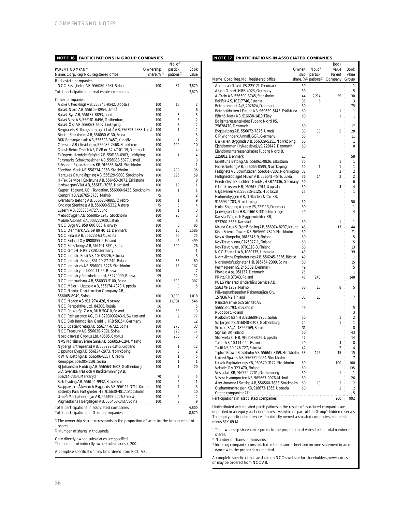## **NOTE 16 PARTICIPATIONS IN GROUP COMPANIES**

|                                                                                                       |             | No. of                |                |
|-------------------------------------------------------------------------------------------------------|-------------|-----------------------|----------------|
| PARENT COMPANY                                                                                        | Ownership   | partici-              | Book           |
| Name, Corp. Reg. No., Registered office                                                               | share, $%1$ | pations <sup>2)</sup> | value          |
| Real estate companies:                                                                                |             |                       |                |
| NCC Fastigheter AB, 556080-5631, Solna                                                                | 100         | 84                    | 3,879          |
| Total participations in real estate companies                                                         |             |                       | 3,879          |
|                                                                                                       |             |                       |                |
| Other companies:<br>Alsike Utvecklings AB, 556245-9542, Uppsala                                       | 100         | 16                    | 2              |
| Ballast Nord AB, 556109-8954, Umeå                                                                    | 100         |                       | 6              |
|                                                                                                       |             | 3                     | 3              |
| Ballast Syd AB, 556137-8893, Lund                                                                     | 100<br>100  | 3                     | $\overline{2}$ |
| Ballast Väst AB, 556181-6496, Gothenburg                                                              | 100         | 8                     | $\overline{c}$ |
| Ballast Ost AB, 556063-6697, Linköping<br>Bergnäsets Ställningsmontage i Luleå AB, 556393-2838, Luleå | 100         | 1                     | $\overline{2}$ |
| Binab i Stockholm AB, 556050-6130, Solna                                                              | 100         |                       | 5              |
| BKK Betongkonsult AB, 556508-3457, Kungälv                                                            | 100         | 1                     | $\overline{2}$ |
| Cressida AB i likvidation, 556085-2468, Stockholm                                                     | 100         | 100                   | 10             |
| Dansk Beton Teknik AS, CVR.nr 62 47 01 19, Denmark                                                    | 100         |                       | 4              |
| Ekängens Handelsträdgård AB, 556188-6903, Linköping                                                   | 100         | 1                     | 4              |
| Forsmarks Schaktmaskiner AB, 556083-5877, Umeå                                                        | 100         |                       | 3              |
| Frösunda Exploaterings KB, 916636-6451, Stockholm                                                     | 100         |                       | 1              |
| Fågelbro Mark AB, 556234-0868, Stockholm                                                              | 100         | 200                   | 35             |
| Hercules Grundläggning AB, 556129-9800, Stockholm                                                     | 100         | 196                   | 59             |
| H-Tek Service i Eskilstuna AB, 556453-3072, Eskilstuna                                                | 100         |                       | 8              |
| Jordskorpan Väst AB, 556171-7058, Halmstad                                                            | 100         | 10                    | 1              |
| Kasper Höglund, AB i likvidation, 556009-9433, Stockholm                                              | 100         | 1                     | 1              |
| Kompri HB, 916765-5738, Malmö                                                                         | 75          |                       | $\overline{2}$ |
| Kvarntorp Betong AB, 556523-9885, Orebro                                                              | 100         | 1                     | 9              |
| Kvidinge Stenkross AB, 556090-5332, Astorp                                                            | 75          | 5                     | 4              |
| Luzern, AB, 556336-4727, Lund                                                                         | 100         | 1                     | 3              |
| Metodbyggen AB, 556085-3243, Stockholm                                                                | 100         | 20                    | 3              |
| Mobile Asphalt SIA, 003222930, Latvia                                                                 | 60          |                       | 3              |
| NCC Bygg AS, 959 606 803, Norway                                                                      | 100         | 6                     | 85             |
| NCC Denmark A/S, 69 89 40 11, Denmark                                                                 | 100         | 10                    | 1,586          |
| NCC Finans AB, 556223-6371, Solna                                                                     | 100         | 60                    | 75             |
| NCC Finland Oy, 0988855-2, Finland                                                                    | 100         | $\overline{2}$        | 499            |
| NCC Försäkrings AB, 516401-8151, Solna                                                                | 100         | 500                   | 76             |
| NCC GmbH, HRB 7808, Germany                                                                           | 100         |                       | 1              |
| NCC Industri Eesti AS, 10489226, Estonia                                                              | 100         |                       | 3              |
| NCC Industri Polska, 851-10-27-240, Poland                                                            | 100         | 38                    | 69             |
| NCC Industries AB, 556001-8276, Stockholm                                                             | 100         | 15                    | 107            |
| NCC Industry Ltd, 000 11 55, Russia                                                                   | 100         |                       | 7              |
| NCC Industry Petrobeton Ltd, 53279999, Russia                                                         | 99          |                       | 12             |
| NCC International AB, 556033-5100, Solna                                                              | 100         | 500                   | 307            |
| NCC Måleri i Uppsala AB, 556174-4078, Uppsala                                                         | 100         | 3                     | 5              |
| NCC Nordic Construction Company AB,                                                                   |             |                       |                |
| 556065-8949, Solna                                                                                    | 100         | 3,809                 | 1,018          |
| NCC Norge AS, 911 274 426, Norway                                                                     | 100         | 11,731                | 546            |
| NCC Perspektiva Ltd., 84308, Russia                                                                   | 56          |                       | 5              |
| NCC Polska Sp. Z.o.o, RHB 50410, Poland                                                               | 100         | 65                    | 13             |
| NCC Reinsurance AG, CH-0203003243-9, Switzerland                                                      | 100         | 2                     | 77             |
| NCC Siab Immobilien GmbH, HRB 59164, Germany                                                          | 100         |                       | 12             |
| NCC Specialföretag AB, 556144-6732, Solna                                                             | 100         | 275                   | 33             |
| NCC Treasury AB, 556030-7091, Solna                                                                   | 100         | 120                   | 17             |
| Nordic Invest Cyprus Ltd, 40505, Cyprus                                                               | 100         | 250                   | 3              |
| NVS Nordiska Värme Sana AB, 556053-6194, Malmö                                                        | 100         |                       |                |
| Nybergs Entreprenad AB, 556222-1845, Gotland                                                          | 100         | 1                     | 12             |
| Oppunda Bygg AB, 556174-2973, Norrköping                                                              | 100         | 6                     | 2              |
| R W G Betong AB, 556506-8557, Örebro                                                                  | 100         | 1                     | 5              |
| Renopipe, 556305-1191, Solna                                                                          | 100         | 1                     | 1              |
| RJ Johansson Holding AB, 556563-1602, Gothenburg                                                      | 100         | 1                     | 20             |
| SFA Svenska Fräs och Asfaltåter vinning AB,                                                           |             |                       |                |
| 556214-7354, Markaryd                                                                                 | 70          | 5                     | 5              |
| Siab Trading AB, 556104-9932, Stockholm                                                               | 100         | $\overline{2}$        | 1              |
| Svappavaara Åkeri och Byggnads AB, 556111-3712, Kiruna                                                | 100         | 4                     | 3              |
| Söderby Park Fastigheter HB, 916630-4817, Stockholm                                                   | 100         |                       | 10             |
| Umeå Markplaneringar AB, 556195-2226, Umeå                                                            | 100         | $\overline{2}$        | 2              |
| Vägmästarna I Bergslagen AB, 556408-1437, Solna                                                       | 100         | 3                     | 9              |
| Total participations in associated companies                                                          |             |                       | 4,800          |
| Total participations in Group companies                                                               |             |                       | 8,679          |
|                                                                                                       |             |                       |                |

1)The ownership share corresponds to the proportion of votes for the total number of shares.

2) Number of shares in thousands.

Only directly owned subsidiaries are specified.

The number of indirectly owned subsidiaries is 200.

A complete specification may be ordered from NCC AB.

## **NOTE 17 PARTICIPATIONS IN ASSOCIATED COMPANIES**

|                                                     |        |                                               | Book           |                |
|-----------------------------------------------------|--------|-----------------------------------------------|----------------|----------------|
|                                                     | Owner- | No. of                                        | value          | Book           |
|                                                     | ship   | par tici-                                     | Parent         | value          |
| Name, Corp. Reg. No., Registered office             |        | share, % <sup>1</sup> ) pations <sup>2)</sup> | Company        | Group          |
|                                                     |        |                                               |                |                |
| Aabenraa Granit I/S, 225121, Denmark                | 50     |                                               |                | 1              |
| Algon GmbH, HRB 4923, Germany                       | 50     |                                               |                | 5              |
| A-Train AB, 556500-3745, Stockholm                  | 44     | 2,214                                         | 29             | 30             |
| Baltifalt AS, 10217746, Estonia                     | 35     | 6                                             |                | 3              |
| Betonelement A/S, 202624, Denmark                   | 50     |                                               |                | 75             |
| Betongfabriken i E-tuna KB, 969639-5145, Eskilstuna | 50     |                                               | 1              | 1              |
| Björnö Mark KB, 916638-1419, Täby                   | 50     |                                               | 1              | 1              |
| Boliginteressentskabet Tuborg Nord I/S,             |        |                                               |                |                |
| 25628470, Denmark                                   | 50     |                                               |                | 17             |
| Byggbetong AB, 556072-7876, Umeå                    | 38     | 30                                            | 5              | 28             |
| CJP Wohnpark Annafl. GBR, Germany                   | 50     |                                               |                | 11             |
|                                                     | 50     |                                               |                | 1              |
| Dalkarlen, Byggnads AB, 556329-5251, Norrköping     |        |                                               |                |                |
| Ejendommen Hylkedalsvej, I/S, 229142, Denmark       | 50     |                                               |                | 8              |
| Ejendomsinteressentskabet Tuborg Nord B,            |        |                                               |                |                |
| 225802, Denmark                                     | 15     |                                               |                | 58             |
| Eskilstuna Betong AB, 556061-9826, Eskilstuna       | 50     |                                               | 1              | 1              |
| Fabriksbetong AB, 556065-0599, Norrköping           | 50     | 1                                             | 1              | 1              |
| Fastighets AB Strömstaden, 556051-7202, Norrköping  | 32     |                                               | $\overline{2}$ | 2              |
| Fastighetsbolaget Mulön AB, 556541-4546, Luleå      | 36     | 14                                            | $\overline{2}$ | $\overline{2}$ |
| Friedrichspark Lichterf. GmbH, HRB77336, Germany    | 50     |                                               |                | 6              |
| Gladökrossen HB, 969615-7914, Uppsala               | 50     |                                               | 4              | 4              |
| Glysisvallen AB, 556315-5125, Hudiksvall            | 25     |                                               |                | 1              |
| Holmenbyggen AB, Dalkarlen & Co KB,                 |        |                                               |                |                |
|                                                     | 50     |                                               |                | 50             |
| 916693-1783, Norrköping                             |        |                                               |                |                |
| Holst Shipping Agency I/S, 225113, Denmark          | 50     |                                               |                | 1              |
| Järnvägsparken HB, 916618-3310, Norrtälje           | 49     |                                               |                | 4              |
| Karlstad Väg och Byggprodukter KB,                  |        |                                               |                |                |
| 973200-5658, Karlstad                               | 50     |                                               | 1              | 1              |
| Kiruna Grus & Stenförädling AB, 556074-8237, Kiruna | 45     |                                               | 17             | 44             |
| Kista Science Tower KB, 969660-7820, Stockholm      | 50     |                                               |                | 21             |
| Koy Aallonpelto, 0616543-9, Finland                 | 50     |                                               |                | 5              |
| Koy Tar vonlinna, 0746077-1, Finland                | 50     |                                               |                | 5              |
| Koy Tarvonvieri, 0701118-3, Finland                 | 50     |                                               |                | 13             |
| NCC Fegda UAB, 1080175, Lithuania                   | 43     |                                               |                | 39             |
|                                                     | 49     |                                               |                | 1              |
| Norrvikens Exploaterings AB, 556245-3356, Båstad    |        |                                               |                |                |
| Norslundsfastigheter HB, 916464-2309, Solna         | 50     |                                               |                | 15             |
| Permagreen I/S, 245.602, Denmark                    | 49     |                                               |                | 5              |
| Plovleje Aps, 051137, Denmark                       | 25     |                                               |                | 1              |
| PRInz, RHB7343, Poland                              | 47     | 240                                           |                | 148            |
| PULS Planerad Underhålls Service AB,                |        |                                               |                |                |
| 556379-1259, Malmö                                  | 50     | 15                                            | 8              | 5              |
| Pääkaupunkiseudun Rakennusjäte Oy,                  |        |                                               |                |                |
| 1579367-2, Finland                                  | 33     | 10                                            |                | $\overline{1}$ |
| Ransta Värme och Sanitet AB,                        |        |                                               |                |                |
| 556513-1793, Stockholm                              | 49     |                                               |                | 5              |
|                                                     |        |                                               |                | 3              |
| Rudoport, Poland                                    |        |                                               | 1              |                |
| Rydbokrossen HB, 916609-3956, Solna                 | 50     |                                               |                | $\overline{2}$ |
| S:t Jörgen KB, 916840-0407, Gothenburg              | 24     |                                               | 1              | 1              |
| Sicione SA, A-48265169, Spain                       | 31     |                                               |                | 8              |
| Signaali BP, Finland                                | 50     |                                               |                | 43             |
| Storvreta C HB, 916514-6029, Uppsala                | 47     |                                               |                | 14             |
| Talter, AS, 10.114 029, Estonia                     | 49     |                                               | 4              | 8              |
| Tasfil AS, 10 146 727, Estonia                      | 42     |                                               | $\overline{2}$ | 4              |
| Tipton Brown Stockholm AB, 556615-8159, Stockholm   | 33     | 125                                           | 15             | 15             |
| United Spaces AB, 556551-9054, Stockholm            |        |                                               |                | 7              |
| Ursvik Exploaterings KB, 969679-3172, Stockholm     | 50     |                                               | 100            | 100            |
| Valtatie Oy, 323.470, Finland                       | 50     |                                               |                | 135            |
|                                                     |        |                                               |                |                |
| Vestasfalt KB, 916559-2701, Gothenburg              | 50     |                                               | 1              | 1              |
| Västra Hamnporten KB, 969667-0976, Malmö            | 50     |                                               |                | 26             |
| Åter vinnarna i Sverige AB, 556560-7883, Stockholm  | 50     | 10                                            | 2              | 2              |
| Osthammarkrossen KB, 916673-1365, Uppsala           | 50     |                                               | $\overline{c}$ | $\overline{2}$ |
| Other companies: 713)<br>.                          | .      |                                               |                | -5             |
| Participations in associated companies              |        |                                               | 200            | 992            |

Undistributed accumulated participations in the results of associated companies are<br>deposited in an equity participation reserve, which is part of the Group's hidden reserves.<br>The equity participation reserve for directly minus SEK 69 M.

1) The ownership share corresponds to the proportion of votes for the total number of shares.

2) Number of shares in thousands.

3) Including companies consolidated in the balance sheet and income statement in accordance with the proportional method.

A complete specification is available on NCC's website for shareholders, www.ir.ncc.se, or may be ordered from NCC AB.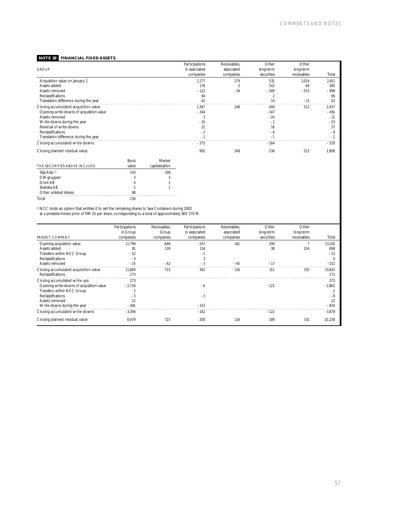## **NOTE 18 FINANCIAL FIXED ASSETS**

| <b>GROUP</b>                             |      |        | <b>Participations</b><br>in associated<br>companies | Receivables.<br>associated<br>companies | Other<br>long-term<br>securities | Other<br>long-term<br>receivables | Total                    |
|------------------------------------------|------|--------|-----------------------------------------------------|-----------------------------------------|----------------------------------|-----------------------------------|--------------------------|
| Acquisition value on January 1           |      |        | 1.177                                               | 179                                     | 531                              | 1,024                             | 2,911                    |
| Assets added                             |      |        | 176                                                 | 3                                       | 142                              | 64                                | 385                      |
| Assets removed                           |      |        | $-122$                                              | $-34$                                   | $-289$                           | $-553$                            | $-998$                   |
| Reclassifications                        |      |        | 94                                                  |                                         |                                  |                                   | 96                       |
| Translation difference during the year   |      |        |                                                     |                                         |                                  | $-13$                             |                          |
| Closing accumulated acquisition value    |      |        | 1.367                                               | 148                                     | 400                              | 522                               | 2,437                    |
| Opening write-downs of acquisition value |      |        | $-344$                                              |                                         | $-147$                           |                                   | $-491$                   |
| Assets removed                           |      |        |                                                     |                                         | $-24$                            |                                   | $-21$                    |
| Write-downs during the year              |      |        | $-51$                                               |                                         | $-2$                             |                                   | $-53$                    |
| Reversal of write-downs                  |      |        |                                                     |                                         | 16                               |                                   | 37                       |
| Reclassifications                        |      |        | $-3$                                                |                                         | $-6$                             |                                   | $-9$                     |
| Translation difference during the year   |      |        |                                                     |                                         |                                  |                                   | $\overline{\phantom{a}}$ |
| Closing accumulated write-downs          |      |        | $-375$                                              |                                         | $-164$                           |                                   | $-539$                   |
| Closing planned residual value           |      |        | 992                                                 | 148                                     | 236                              | 522                               | 1,898                    |
|                                          | Book | Market |                                                     |                                         |                                  |                                   |                          |

| POON  | <b>IVIGI INGL</b> |
|-------|-------------------|
| value | capitalization    |
| 143   | 108               |
|       | 3                 |
|       |                   |
|       |                   |
| 88    |                   |
| 236   |                   |
|       |                   |

1)NCC holds an option that entitles it to sell the remaining shares to Sea Containers during 2002 at a predetermined price of FIM 15 per share, corresponding to a total of approximately SEK 170 M.

|                                          | Participations | Receivables, | <b>Participations</b> | Receivables. | Other      | Other        |          |
|------------------------------------------|----------------|--------------|-----------------------|--------------|------------|--------------|----------|
|                                          | in Group       | Group        | in associated         | associated   | long-term  | long-term    |          |
| PARENT COMPANY                           | companies      | companies    | companies             | companies    | securities | receivables  | Total    |
| Opening acquisition value                | 11.799         | 646          | 247                   | 161          | 290        |              | 13.150   |
| Assets added                             | 81             | 139          | 116                   |              | 38         | 324          | 698      |
| Transfers within NCC Group               | $-52$          |              | $-1$                  |              |            |              | -53      |
| Reclassifications                        | $-3$           |              |                       |              |            |              |          |
| Assets removed                           | $-25$          | $-62$        |                       | $-45$        | $-17$      |              | $-152$   |
| Closing accumulated acquisition value    | 11.800         | 723          | 362                   | 116          | 311        | $33^{\circ}$ | 13.643   |
| Reclassifications                        | 273            |              |                       |              |            |              | 27:      |
| Closing accumulated write-ups            | 273            |              |                       |              |            |              | 273      |
| Opening write-downs of acquisition value | $-2,734$       |              | $-6$                  |              | $-122$     |              | $-2.862$ |
| Transfers within NCC Group               |                |              |                       |              |            |              |          |
| Reclassifications                        |                |              | $-3$                  |              |            |              |          |
| Assets removed                           | 22             |              |                       |              |            |              |          |
| Write-downs during the year              | $-68^\circ$    |              | $-153$                |              |            |              |          |
| Closing accumulated write-downs          | $-3.394$       |              | $-162$                |              | $-122$     |              | $-3.678$ |
| Closing planned residual value           | 8.679          | 723          | 200                   | 116          | 189        | 331          | 10,238   |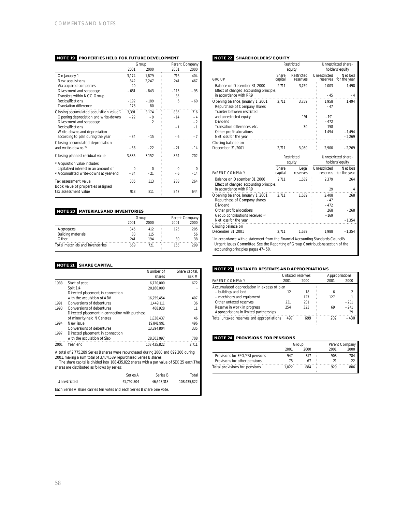|                                                     |          | Group          | Parent Company |          |  |
|-----------------------------------------------------|----------|----------------|----------------|----------|--|
|                                                     | 2001     | 2000           | 2001           | 2000     |  |
| On January 1                                        | 3,174    | 1,879          | 716            | 404      |  |
| New acquisitions                                    | 842      | 2.247          | 241            | 467      |  |
| Via acquired companies                              | 40       |                |                |          |  |
| Divestment and scrappage                            | $-651$   | $-843$         | $-113$         | $-95$    |  |
| Transfers within NCC Group                          |          |                | 35             |          |  |
| Reclassifications                                   | $-192$   | $-189$         | 6              | $-60$    |  |
| Translation difference                              | 178      | 80             |                |          |  |
| Closing accumulated acquisition value <sup>1)</sup> | 3,391    | 3.174          | 885            | 716      |  |
| Opening depreciation and write-downs                | $-22$    | $-9$           | $-14$          | $-4$     |  |
| Divestment and scrappage                            |          | $\mathfrak{D}$ |                | $-2$     |  |
| Reclassifications                                   |          |                | $-1$           | $-1$     |  |
| Write-downs and depreciation                        |          |                |                |          |  |
| according to plan during the year                   | $-34$    | $-15$          | $-6$           | $-7$     |  |
| Closing accumulated depreciation                    |          |                |                |          |  |
| and write-downs <sup>2)</sup>                       | $-56$    | $-22$          | $-21$          | $-14$    |  |
| Closing planned residual value                      | 3,335    | 3.152          | 864            | 702      |  |
| <sup>1)</sup> Acquisition value includes            |          |                |                |          |  |
| capitalized interest in an amount of                | $\Omega$ | $\Omega$       | $\Omega$       | $\Omega$ |  |
| <sup>2)</sup> Accumulated write-downs at year-end   | $-34$    | $-21$          | -6             | $-14$    |  |
| Tax assessment value                                | 305      | 313            | 288            | 264      |  |
| Book value of properties assigned                   |          |                |                |          |  |
| tax assessment value                                | 918      | 811            | 847            | 644      |  |

## **NOTE 20 MATERIALS AND INVENTORIES**

|                                 |      | Group | Parent Company |      |  |
|---------------------------------|------|-------|----------------|------|--|
|                                 | 2001 | 2000  | 2001           | 2000 |  |
| Aggregates                      | 345  | 412   | 125            | 205  |  |
| <b>Building materials</b>       | 83   | 115   |                | 56   |  |
| Other                           | 241  | 194   | 30             | 38   |  |
| Total materials and inventories | 669  |       | 155            | 299  |  |

## **NOTE 21 SHARE CAPITAL**

|      |                                                                                                                                                            |            | Number of   | Share capital, |
|------|------------------------------------------------------------------------------------------------------------------------------------------------------------|------------|-------------|----------------|
|      |                                                                                                                                                            |            | shares      | <b>SEK M</b>   |
| 1988 | Start of year,                                                                                                                                             |            | 6,720,000   | 672            |
|      | Split 1:4                                                                                                                                                  |            | 20,160,000  |                |
|      | Directed placement, in connection                                                                                                                          |            |             |                |
|      | with the acquisition of ABV                                                                                                                                |            | 16,259,454  | 407            |
| 1991 | Conversions of debentures                                                                                                                                  |            | 1,449,111   | 36             |
| 1993 | Conversions of debentures                                                                                                                                  |            | 468,928     | 11             |
|      | Directed placement in connection with purchase                                                                                                             |            |             |                |
|      | of minority-held NK shares                                                                                                                                 |            | 1,838,437   | 46             |
| 1994 | New issue                                                                                                                                                  |            | 19.841.991  | 496            |
|      | Conversions of debentures                                                                                                                                  |            | 13,394,804  | 335            |
| 1997 | Directed placement, in connection                                                                                                                          |            |             |                |
|      | with the acquisition of Siab                                                                                                                               |            | 28,303,097  | 708            |
| 2001 | Year end                                                                                                                                                   |            | 108.435.822 | 2.711          |
|      | A total of 2,775,289 Series B shares were repurchased during 2000 and 699,300 during<br>2001, making a sum total of 3,474,589 repurchased Series B shares. |            |             |                |
|      | The share capital is divided into 108,435,822 shares with a par value of SEK 25 each. The                                                                  |            |             |                |
|      | shares are distributed as follows by series:                                                                                                               |            |             |                |
|      |                                                                                                                                                            | Series A   | Series B    | Total          |
|      | Unrestricted                                                                                                                                               | 61,792,504 | 46,643,318  | 108,435,822    |

Each Series A share carries ten votes and each Series B share one vote.

## **NOTE 22 SHAREHOLDERS' EQUITY**

|                                                                                                                                                                                                                           | Restricted<br>equity |            |  | Unrestricted share-<br>holders' equity |                     |  |  |  |
|---------------------------------------------------------------------------------------------------------------------------------------------------------------------------------------------------------------------------|----------------------|------------|--|----------------------------------------|---------------------|--|--|--|
|                                                                                                                                                                                                                           | Share                | Restricted |  | Unrestricted                           | Net loss            |  |  |  |
| <b>GROUP</b>                                                                                                                                                                                                              | capital              | reserves   |  | reserves                               | for the year        |  |  |  |
| Balance on December 31, 2000                                                                                                                                                                                              | 2.711                | 3,759      |  | 2,003                                  | 1,498               |  |  |  |
| Effect of changed accounting principle,                                                                                                                                                                                   |                      |            |  |                                        |                     |  |  |  |
| in accordance with RR9                                                                                                                                                                                                    |                      |            |  | $-45$                                  | $-4$                |  |  |  |
| Opening balance, January 1, 2001                                                                                                                                                                                          | 2,711                | 3,759      |  | 1,958                                  | 1,494               |  |  |  |
| Repurchase of Company shares                                                                                                                                                                                              |                      |            |  | $-47$                                  |                     |  |  |  |
| Transfer between restricted                                                                                                                                                                                               |                      |            |  |                                        |                     |  |  |  |
| and unrestricted equity                                                                                                                                                                                                   |                      | 191        |  | $-191$                                 |                     |  |  |  |
| Dividend                                                                                                                                                                                                                  |                      |            |  | $-472$                                 |                     |  |  |  |
| Translation differences, etc.<br>Other profit allocations                                                                                                                                                                 |                      | 30         |  | 158                                    | $-1.494$            |  |  |  |
| Net loss for the year                                                                                                                                                                                                     |                      |            |  | 1,494                                  | $-2,269$            |  |  |  |
|                                                                                                                                                                                                                           |                      |            |  |                                        |                     |  |  |  |
| Closing balance on<br>December 31, 2001                                                                                                                                                                                   | 2,711                | 3,980      |  | 2,900                                  | $-2,269$            |  |  |  |
|                                                                                                                                                                                                                           |                      |            |  |                                        |                     |  |  |  |
|                                                                                                                                                                                                                           |                      | Restricted |  |                                        | Unrestricted share- |  |  |  |
|                                                                                                                                                                                                                           |                      | equity     |  | holders' equity                        |                     |  |  |  |
|                                                                                                                                                                                                                           | Share                | Legal      |  | Unrestricted                           | Net loss            |  |  |  |
| PARENT COMPANY                                                                                                                                                                                                            | capital              | reserves   |  | reserves                               | for the year        |  |  |  |
| Balance on December 31, 2000                                                                                                                                                                                              | 2.711                | 1.639      |  | 2.379                                  | 264                 |  |  |  |
| Effect of changed accounting principle,                                                                                                                                                                                   |                      |            |  |                                        |                     |  |  |  |
| in accordance with RR9                                                                                                                                                                                                    |                      |            |  | 29                                     | 4                   |  |  |  |
| Opening balance, January 1, 2001                                                                                                                                                                                          | 2.711                | 1.639      |  | 2.408                                  | 268                 |  |  |  |
| Repurchase of Company shares                                                                                                                                                                                              |                      |            |  | $-47$                                  |                     |  |  |  |
| Dividend                                                                                                                                                                                                                  |                      |            |  | $-472$                                 |                     |  |  |  |
| Other profit allocations                                                                                                                                                                                                  |                      |            |  | 268                                    | $-268$              |  |  |  |
| Group contributions received 1)                                                                                                                                                                                           |                      |            |  | $-169$                                 |                     |  |  |  |
| Net loss for the year                                                                                                                                                                                                     |                      |            |  |                                        | $-1,354$            |  |  |  |
| Closing balance on                                                                                                                                                                                                        |                      |            |  |                                        |                     |  |  |  |
| December 31, 2001                                                                                                                                                                                                         | 2.711                | 1.639      |  | 1.988                                  | $-1.354$            |  |  |  |
| <sup>1)</sup> In accordance with a statement from the Financial Accounting Standards Council's<br>Urgent Issues Committee. See the Reporting of Group Contributions section of the<br>accounting principles, pages 47-50. |                      |            |  |                                        |                     |  |  |  |

## **NOTE 23 UNTAXED RESERVES AND APPROPRIATIONS**

|                                            | Untaxed reserves |      | Appropriations |        |
|--------------------------------------------|------------------|------|----------------|--------|
| PARENT COMPANY                             | 2001             | 2000 | 2001           | 2000   |
| Accumulated depreciation in excess of plan |                  |      |                |        |
| - buildings and land                       | 12               | 18   | 6              |        |
| - machinery and equipment                  |                  | 127  | 127            |        |
| Other untaxed reserves                     | 231              | 231  |                | $-231$ |
| Reserve in work in progress                | 254              | 323  | 69             | $-241$ |
| Appropriations in limited partnerships     |                  |      |                | 39     |
| Total untaxed reserves and appropriations  | 497              | 699  | 202            | $-430$ |

## **NOTE 24 PROVISIONS FOR PENSIONS**

|                                 |       | Group | Parent Company |      |  |
|---------------------------------|-------|-------|----------------|------|--|
|                                 | 2001  | 2000  | 2001           | 2000 |  |
| Provisions for FPG/PRI pensions | 947   | 817   | 908            | 784  |  |
| Provisions for other pensions   | 75    |       |                |      |  |
| Total provisions for pensions   | 1.022 | 884   | 979            | 806  |  |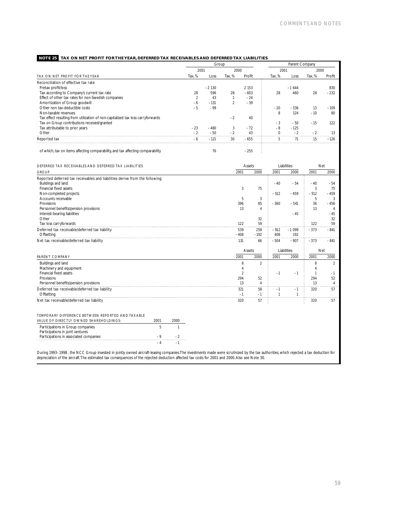## **NOTE 25 TAX ON NET PROFIT FOR THE YEAR, DEFERRED TAX RECEIVABLES AND DEFERRED TAX LIABILITIES**

| Group  |         |                |         | Parent Company |         |        |        |
|--------|---------|----------------|---------|----------------|---------|--------|--------|
|        |         |                |         |                |         | 2000   |        |
| Tax. % | Loss    | Tax. %         | Profit  | Tax. %         | Loss    | Tax. % | Profit |
|        |         |                |         |                |         |        |        |
|        | $-2130$ |                | 2 1 5 3 |                | $-1644$ |        | 830    |
| 28     | 596     | 28             | $-603$  | 28             | 460     | 28     | $-232$ |
|        | 43      |                | $-24$   |                |         |        |        |
| $-6$   | $-131$  | $\overline{2}$ | $-39$   |                |         |        |        |
| $-5$   | $-99$   |                |         | $-20$          | $-336$  | 13     | $-109$ |
|        |         |                |         | 8              | 124     | $-10$  | 80     |
|        |         | $-2$           | 40      |                |         |        |        |
|        |         |                |         | $-3$           | $-50$   | $-15$  | 122    |
| $-23$  | $-480$  | 3              | $-72$   | $-8$           | $-125$  |        |        |
| $-2$   | $-50$   | $-2$           | 43      |                | $-2$    | $-2$   |        |
| $-6$   | $-121$  | 30             | $-655$  | 5              | 71      | 15     | $-126$ |
|        |         |                |         |                |         |        |        |
|        |         | 2001<br>76     |         | 2000<br>$-255$ |         | 2001   |        |

| DEFERRED TAX RECEIVABLES AND DEFERRED TAX LIABILITIES                        |      |      |        | Assets         |              | Liabilities | Net    |                |
|------------------------------------------------------------------------------|------|------|--------|----------------|--------------|-------------|--------|----------------|
| <b>GROUP</b>                                                                 |      |      | 2001   | 2000           | 2001         | 2000        | 2001   | 2000           |
| Reported deferred tax receivables and liabilities derive from the following: |      |      |        |                |              |             |        |                |
| Buildings and land                                                           |      |      |        |                | $-40$        | $-54$       | $-40$  | $-54$          |
| Financial fixed assets                                                       |      |      | 3      | 75             |              |             | 3      | 75             |
| Non-completed projects                                                       |      |      |        |                | $-512$       | $-459$      | $-512$ | $-459$         |
| Accounts receivable                                                          |      |      | 5      | 3              |              |             | 5      | 3              |
| Provisions                                                                   |      |      | 396    | 85             | $-360$       | $-541$      | 36     | $-456$         |
| Personnel benefits/pension provisions                                        |      |      | 13     | $\overline{4}$ |              |             | 13     | $\overline{4}$ |
| Interest-bearing liabilities                                                 |      |      |        |                |              | $-45$       |        | $-45$          |
| Other                                                                        |      |      |        | 32             |              |             |        | 32             |
| Tax loss carryforwards                                                       |      |      | 122    | 59             |              |             | 122    | 59             |
| Deferred tax receivable/deferred tax liability                               |      |      | 539    | 258            | $-912$       | $-1099$     | $-373$ | $-841$         |
| Offsetting                                                                   |      |      | $-408$ | $-192$         | 408          | 192         |        |                |
| Net tax receivable/deferred tax liability                                    |      |      | 131    | 66             | $-504$       | $-907$      | $-373$ | $-841$         |
|                                                                              |      |      |        |                |              |             |        |                |
|                                                                              |      |      |        | Assets         |              | Liabilities | Net    |                |
| PARENT COMPANY                                                               |      |      | 2001   | 2000           | 2001         | 2000        | 2001   | 2000           |
| Buildings and land                                                           |      |      | 8      | $\overline{2}$ |              |             | 8      | 2              |
| Machinery and equipment                                                      |      |      | 4      |                |              |             |        |                |
| Financial fixed assets                                                       |      |      | 2      |                | $-1$         | $-1$        |        | $-1$           |
| Provisions                                                                   |      |      | 294    | 52             |              |             | 294    | 52             |
| Personnel benefits/pension provisions                                        |      |      | 13     | $\overline{4}$ |              |             | 13     | $\overline{4}$ |
| Deferred tax receivable/deferred tax liability                               |      |      | 321    | 58             | $-1$         | $-1$        | 320    | 57             |
| Offsetting                                                                   |      |      | $-1$   | $-1$           | $\mathbf{1}$ | 1           |        |                |
| Net tax receivable/deferred tax liability                                    |      |      | 320    | 57             |              |             | 320    | 57             |
|                                                                              |      |      |        |                |              |             |        |                |
| TEMPORARY DIFFERENCE BETWEEN REPORTED AND TAXABLE                            |      |      |        |                |              |             |        |                |
| VALUE OF DIRECTLY OWNED SHAREHOLDINGS:                                       | 2001 | 2000 |        |                |              |             |        |                |
|                                                                              |      |      |        |                |              |             |        |                |
| Participations in Group companies                                            | 5    |      |        |                |              |             |        |                |
| Participations in joint ventures                                             |      |      |        |                |              |             |        |                |
| Participations in associated companies                                       | $-9$ | $-2$ |        |                |              |             |        |                |
|                                                                              | $-4$ | $-1$ |        |                |              |             |        |                |

During 1993–1998 , the NCC Group invested in jointly owned aircraft-leasing companies.The investments made were scrutinized by the tax authorities, which rejected a tax deduction for<br>depreciation of the aircraft.The estima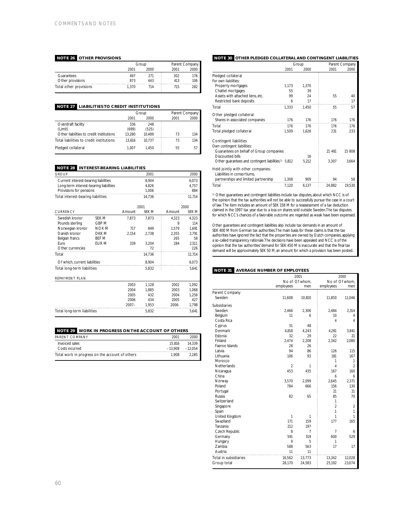## **NOTE 26 OTHER PROVISIONS**

|                        |       | Group | Parent Company |     |  |
|------------------------|-------|-------|----------------|-----|--|
|                        | 2001  | 2000  | 2001           |     |  |
| Guarantees             | 497   |       | 302            |     |  |
| Other provisions       | 873   | 443   | 413            | 106 |  |
| Total other provisions | 1.370 |       | 715            |     |  |

## **NOTE 27 LIABILITIES TO CREDIT INSTITUTIONS**

|                                          |        | Group  |      | Parent Company |  |  |
|------------------------------------------|--------|--------|------|----------------|--|--|
|                                          | 2001   | 2000   | 2001 | 2000           |  |  |
| Overdraft facility                       | 336    | 248    |      |                |  |  |
| (Limit)                                  | (699)  | (525)  |      |                |  |  |
| Other liabilities to credit institutions | 13.280 | 10.489 | 73   | 134            |  |  |
| Total liabilities to credit institutions | 13.616 | 10.737 | 73   | 134            |  |  |
| Pledged collateral                       | 1.007  | 1.450  | 55   | 57             |  |  |

## **NOTE 28 INTEREST-BEARING LIABILITIES**

| <b>GROUP</b>                           |              |          | 2001         |        | 2000   |
|----------------------------------------|--------------|----------|--------------|--------|--------|
| Current interest-bearing liabilities   |              |          | 8.904        |        |        |
| Long-term interest-bearing liabilities |              |          | 4,826        |        | 4,757  |
| Provisions for pensions                |              |          | 1,006        |        | 884    |
| Total interest-bearing liabilities     |              |          | 14.736       |        | 11.714 |
|                                        |              |          |              |        |        |
|                                        |              |          | 2001         |        | 2000   |
| <b>CURRENCY</b>                        |              | Amount   | <b>SEK M</b> | Amount | SEK M  |
| Swedish kronor                         | SEK M        | 7,873    | 7,873        | 4,323  | 4,323  |
| Pounds sterling                        | GBP M        |          |              | 8      | 114    |
| Norwegian kronor                       | <b>NOK M</b> | 717      | 849          | 1.579  | 1.691  |
| Danish kronor                          | DKK M        | 2,154    | 2,738        | 2,355  | 2,791  |
| Belgian francs                         | BEF M        |          |              | 265    | 58     |
| Furo                                   | EUR M        | 339      | 3.204        | 284    | 2,511  |
| Other currencies                       |              |          | 72           |        | 226    |
| Total                                  |              |          | 14,736       |        | 11,714 |
| Of which, current liabilities          |              |          | 8.904        |        | 6,073  |
| Total long-term liabilities            |              |          | 5.832        |        | 5.641  |
| <b>REPAYMENT PLAN</b>                  |              |          |              |        |        |
|                                        |              | 2003     | 1.128        | 2002   | 1.092  |
|                                        |              | 2004     | 1,885        | 2003   | 1,068  |
|                                        |              | 2005     | 432          | 2004   | 1,256  |
|                                        |              | 2006     | 434          | 2005   | 427    |
|                                        |              | $2007 -$ | 1,953        | 2006-  | 1,798  |
| Total long-term liabilities            |              |          | 5,832        |        | 5.641  |
|                                        |              |          |              |        |        |

## **NOTE 29 WORK IN PROGRESS ON THE ACCOUNT OF OTHERS**

| PARENT COMPANY                                  | 2001   | 2000               |
|-------------------------------------------------|--------|--------------------|
| Invoiced sales                                  | 15.816 | 14 3 3 9           |
| Costs incurred                                  |        | $-13.908 - 12.054$ |
| Total work in progress on the account of others | 1.908  | 2.285              |

## **NOTE 30 OTHER PLEDGED COLLATERAL AND CONTINGENT LIABILITIES**

|                                                                   |       | Group |        | Parent Company |
|-------------------------------------------------------------------|-------|-------|--------|----------------|
|                                                                   | 2001  | 2000  | 2001   | 2000           |
| Pledged collateral                                                |       |       |        |                |
| For own liabilities:                                              |       |       |        |                |
| Property mortgages                                                | 1.173 | 1.370 |        |                |
| Chattel mortgages                                                 | 55    | 39    |        |                |
| Assets with attached liens, etc.                                  | 99    | 24    | 55     | 40             |
| Restricted bank deposits                                          | 6     | 17    |        | 17             |
| Total                                                             | 1.333 | 1.450 | 55     | 57             |
| Other pledged collateral:                                         |       |       |        |                |
| Shares in associated companies                                    | 176   | 176   | 176    | 176            |
| Total                                                             | 176   | 176   | 176    | 176            |
| Total pledged collateral                                          | 1,509 | 1,626 | 231    | 233            |
| Contingent liabilities                                            |       |       |        |                |
| Own contingent liabilities:                                       |       |       |        |                |
| Guarantees on behalf of Group companies                           |       |       | 21 481 | 15 808         |
| Discounted bills                                                  |       | 16    |        |                |
| Other guarantees and contingent liabilities <sup>1</sup> ) 5,812  |       | 5.212 | 3.307  | 3,664          |
| Held jointly with other companies:<br>Liabilities in consortiums, |       |       |        |                |
| partnerships and limited partnership                              | 1,308 | 909   | 94     | 58             |
| Total                                                             | 7.120 | 6.137 | 24.882 | 19.530         |

1) Other guarantees and contingent liabilities include tax disputes, about which NCC is of the opinion that the tax authorities will not be able to successfully pursue the case in a court of law.The item includes an amount of SEK 158 M for a reassessment of a tax deduction claimed in the 1997 tax year due to a loss on shares sold outside Sweden.The tax disputes for which NCC's chances of a favorable outcome are regarded as weak have been expensed.

Other guarantees and contingent liabilities also include tax demands in an amount of SEK 400 M from German tax authorities.The main basis for these claims is that the tax authorities have ignored the fact that the properties are owned by Dutch companies, applying a so-called transparency rationale.The decisions have been appealed and NCC is of the opinion that the tax authorities' demand for SEK 450 M is inaccurate and that the final tax demand will be approximately SEK 50 M, an amount for which a provision has been posted.

## **NOTE 31 AVERAGE NUMBER OF EMPLOYEES**

|                       |                | 2001           | 2000           |                |
|-----------------------|----------------|----------------|----------------|----------------|
|                       |                | No of Of whom. |                | No of Of whom. |
|                       | employees      | men            | employees      | men            |
| Parent Company        |                |                |                |                |
| Sweden                | 11,608         | 10,810         | 11,850         | 11,046         |
| Subsidiaries          |                |                |                |                |
| Sweden                | 2,466          | 2,306          | 2,484          | 2,314          |
| Belgium               | 11             | 6              | 10             | 4              |
| Costa Rica            |                |                | 4              | 4              |
| Cyprus                | 51             | 48             |                |                |
| Denmark               | 4,818          | 4,243          | 4,281          | 3,841          |
| Estonia               | 32             | 29             | 22             | 21             |
| Finland               | 2,474          | 2,208          | 2,342          | 2,080          |
| Faeroe Islands        | 28             | 26             |                |                |
| Latvia                | 94             | 86             | 126            | 115            |
| Lithuania             | 106            | 93             | 181            | 167            |
| Morocco               |                |                | 1              | 1              |
| Netherlands           | $\overline{2}$ | 1              | $\overline{4}$ | $\overline{2}$ |
| Nicaragua             | 453            | 435            | 167            | 160            |
| China                 |                |                | 6              | 6              |
| Norway                | 3,570          | 2,099          | 2.645          | 2,371          |
| Poland                | 784            | 666            | 156            | 130            |
| Portugal              |                |                | 21             | 21             |
| Russia                | 82             | 65             | 85             | 70             |
| Switzerland           |                |                | 1              |                |
| Singapore             |                |                | $\mathfrak{D}$ | $\overline{2}$ |
| Spain                 |                |                | 1              | 1              |
| United Kingdom        | 1              | 1              | 1              | 1              |
| Swaziland             | 171            | 159            | 177            | 165            |
| Tanzania              | 212            | 197            |                |                |
| Czech Republic        | 8              | $\overline{7}$ | 7              | 6              |
| Germany               | 591            | 519            | 600            | 529            |
| Hungary               | 9              | 5              | 1              |                |
| <b>Zambia</b>         | 588            | 563            | 17             | 17             |
| Austria               | 11             | 11             |                |                |
| Total in subsidiaries | 16,562         | 13,773         | 13,342         | 12,028         |
| Group total           | 28,170         | 24,583         | 25,192         | 23,074         |
|                       |                |                |                |                |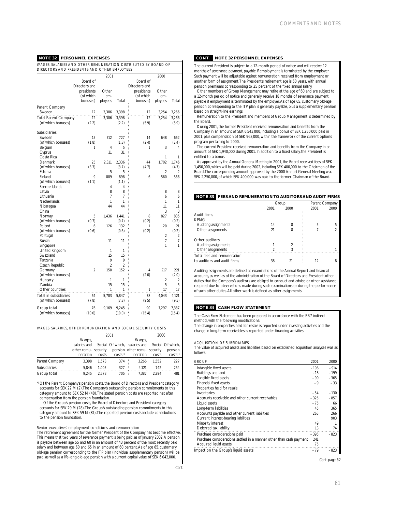## **NOTE 32 PERSONNEL EXPENSES**

WAGES, SALARIES AND OTHER REMUNERATION DISTRIBUTED BY BOARD OF DIRECTORS AND PRESIDENTS AND OTHER EMPLOYEES

|                             |                | 2001           |                |               | 2000           |                |
|-----------------------------|----------------|----------------|----------------|---------------|----------------|----------------|
|                             | Board of       |                |                | Board of      |                |                |
|                             | Directors and  |                |                | Directors and |                |                |
|                             | presidents     | Other          |                | presidents    | Other          |                |
|                             | (of which      | em-            |                | (of which     | em-            |                |
|                             | bonuses)       | ployees        | Total          | bonuses)      | ployees        | Total          |
| Parent Company              |                |                |                |               |                |                |
| Sweden                      | 12             | 3.386          | 3,398          | 12            | 3.254          | 3.266          |
| <b>Total Parent Company</b> | 12             | 3,386          | 3,398          | 12            | 3,254          | 3,266          |
| (of which bonuses)          | (2.2)          |                | (2.2)          | (5.9)         |                | (5.9)          |
|                             |                |                |                |               |                |                |
| Subsidiaries                |                |                |                |               |                |                |
| Sweden                      | 15             | 712            | 727            | 14            | 648            | 662            |
| (of which bonuses)          | (1.8)          |                | (1.8)          | (2.4)         |                | (2.4)          |
| Belgium                     | 1              | 4              | 5              | 1             | 3              | $\overline{4}$ |
| Cyprus                      |                | 31             | 31             |               |                |                |
| Costa Rica                  |                |                |                |               | 1              | 1              |
| Denmark                     | 25             | 2,311          | 2,336          | 44            | 1,702          | 1,746          |
| (of which bonuses)          | (3.7)          |                | (3.7)          | (4.7)         |                | (4.7)          |
| Estonia                     |                | 5              | 5              |               | $\overline{2}$ | $\overline{2}$ |
| Finland                     | 9              | 889            | 898            | 6             | 560            | 566            |
| (of which bonuses)          | (1.1)          |                | (1.1)          |               |                |                |
| Faeroe Islands              |                | 4              | 4              |               |                |                |
| Latvia                      |                | 8              | 8              |               | 8              | 8              |
| Lithuania                   |                | $\overline{1}$ | $\overline{7}$ |               | 6              | 6              |
| Netherlands                 |                | 1              | 1              |               | 1              | 1              |
| Nicaragua                   |                | 44             | 44             |               | 11             | 11             |
| China                       |                |                |                |               | 3              | 3              |
| Norway                      | 5              | 1,436          | 1,441          | 8             | 827            | 835            |
| (of which bonuses)          | (0.7)          |                | (0.7)          | (0.2)         |                | (0.2)          |
| Poland                      | 6              | 126            | 132            | 1             | 20             | 21             |
| (of which bonuses)          | (0.6)          |                | (0.6)          | (0.2)         |                | (0.2)          |
| Portugal                    |                |                |                |               | 2              | 2              |
| Russia                      |                | 11             | 11             |               | 7              | 7              |
| Singapore                   |                |                |                |               | 1              | 1              |
| United Kingdom              |                | 1              | 1              |               |                |                |
| Swaziland                   |                | 15             | 15             |               |                |                |
| Tanzania                    |                | 9              | 9              |               |                |                |
| Czech Republic              |                | 2              | $\mathfrak z$  |               |                |                |
| Germany                     | $\mathfrak{p}$ | 150            | 152            | 4             | 217            | 221            |
| (of which bonuses)          |                |                |                | (2.0)         |                | (2.0)          |
| <b>Hungary</b>              |                | 1              | 1              |               | $\overline{2}$ | 2              |
| Zambia                      |                | 15             | 15             |               | 5              | 5              |
| Other countries             |                | 1              | 1              | 1             | 17             | 17             |
| Total in subsidiaries       | 64             | 5,783          | 5,847          | 78            | 4,043          | 4,121          |
| (of which bonuses)          | (7.8)          |                | (7.8)          | (9.5)         |                | (9.5)          |
|                             |                |                |                |               |                |                |
| Group total                 | 76             | 9,169          | 9,245          | 90            | 7,297          | 7,387          |
| (of which bonuses)          | (10.0)         |                | (10.0)         | (15.4)        |                | (15.4)         |

### WAGES, SALARIES, OTHER REMUNERATION AND SOCIAL SECURITY COSTS

|                |                      | 2001  |                  |                             | 2000  |                       |
|----------------|----------------------|-------|------------------|-----------------------------|-------|-----------------------|
|                | Wages,               |       |                  | Wages,                      |       |                       |
|                | salaries and         |       | Social Of which. | salaries and                |       | Social Of which.      |
|                | other remu- security |       |                  | pension other remu-security |       | pension               |
|                | neration             | costs | $costs*$         | neration                    | costs | $costs$ <sup>*)</sup> |
| Parent Company | 3.398                | 1.573 | 374              | 3.266                       | 1.552 | 227                   |
| Subsidiaries   | 5.846                | 1.005 | 327              | 4.121                       | 742   | 254                   |
| Group total    | 9.245                | 2.578 | 705              | 7.387                       | 2.294 | 481                   |

\*) Of the Parent Company's pension costs, the Board of Directors and President category accounts for SEK 22 M (2).The Company's outstanding pension commitments to this category amount to SEK 52 M (48).The stated pension costs are reported net after compensation from the pension foundation.

Of the Group's pension costs, the Board of Directors and President category accounts for SEK 29 M (28).The Group's outstanding pension commitments to this category amount to SEK 59 M (81).The reported pension costs include contributions to the pension foundation.

### Senior executives' employment conditions and remuneration

The retirement agreement for the former President of the Company has become effective. This means that two years of severance payment is being paid, as of January 2002.A pension is payable between age 55 and 60 in an amount of 43 percent of the most recently paid salary and between age 60 and 65 in an amount of 60 percent. As of age 65, customary old-age pension corresponding to the ITP plan (individual supplementary pension) will be paid, as well as a life-long old-age pension with a current capital value of SEK 6,042,000.

## **CONT. NOTE 32 PERSONNEL EXPENSES**

The current President is subject to a 12-month period of notice and will receive 12 months of severance payment, payable if employment is terminated by the employer. Such payment will be adjustable against remuneration received from employment or another form of assignment.The President's retirement age is 60 years, with annual pension premiums corresponding to 25 percent of the fixed annual salary.

Other members of Group Management may retire at the age of 60 and are subject to a 12-month period of notice and generally receive 18 months of severance payment, payable if employment is terminated by the employer. As of age 65, customary old-age by the employment is terminated by the employer. pension corresponding to the ITP plan is generally payable, plus a supplementary pension based on straight-line earnings.

Remuneration to the President and members of Group Management is determined by the Board.

During 2001, the former President received remuneration and benefits from the Company in an amount of SEK 6,543,000, including a bonus of SEK 1,250,000 paid in 2001, plus compensation of SEK 963,000, within the framework of the current options program pertaining to 2000.

The current President received remuneration and benefits from the Company in an amount of SEK 1,940,000 during 2001. In addition to a fixed salary, the President is entitled to a bonus.

As approved by the Annual General Meeting in 2001, the Board received fees of SEK 1,450,000, which will be paid during 2002, including SEK 400,000 to the Chairman of the Board.The corresponding amount approved by the 2000 Annual General Meeting was SEK 2,250,000, of which SEK 400,000 was paid to the former Chairman of the Board.

## **NOTE 33 FEES AND REMUNERATION TO AUDITORS AND AUDIT FIRMS**

|                                                             | Group |      |      | Parent Company |
|-------------------------------------------------------------|-------|------|------|----------------|
|                                                             | 2001  | 2000 | 2001 | 2000           |
| Audit firms                                                 |       |      |      |                |
| <b>KPMG</b>                                                 |       |      |      |                |
| Auditing assignments                                        | 14    | 8    | 5    | 5              |
| Other assignments                                           | 21    | 8    |      |                |
| Other auditors<br>Auditing assignments<br>Other assignments |       |      |      |                |
| Total fees and remuneration<br>to auditors and audit firms  | 38    |      | 12   | 8              |

Auditing assignments are defined as examinations of the Annual Report and financial accounts, as well as of the administration of the Board of Directors and President, other duties that the Company's auditors are obliged to conduct and advice or other assistance required due to observations made during such examinations or during the performance of such other duties.All other work is defined as other assignments.

## **NOTE 34 CASH FLOW STATEMENT**

The Cash Flow Statement has been prepared in accordance with the RR7 indirect method, with the following modifications:

The change in properties held for resale is reported under investing activities and the change in long-term receivables is reported under financing activities.

### ACQUISITION OF SUBSIDIARIES

The value of acquired assets and liabilities based on established acquisition analyses was as follows:

| GROUP                                                               | 2001   | 2000   |
|---------------------------------------------------------------------|--------|--------|
| Intangible fixed assets                                             | $-196$ | $-914$ |
| Buildings and land                                                  | $-18$  | $-199$ |
| Tangible fixed assets                                               | $-90$  | $-365$ |
| Financial fixed assets                                              | $-9$   | $-33$  |
| Properties held for resale                                          |        |        |
| Inventories                                                         | $-54$  | $-130$ |
| Accounts receivable and other current receivables                   | $-325$ | $-857$ |
| Liquid assets                                                       | $-75$  | 66     |
| Long-term liabilities                                               | 45     | 365    |
| Accounts payable and other current liabilities                      | 265    | 266    |
| Current interest-bearing liabilities                                |        | 903    |
| Minority interest                                                   | 49     |        |
| Deferred tax liability                                              | 13     | 74     |
| Purchase considerations paid                                        | $-395$ | $-823$ |
| Purchase considerations settled in a manner other than cash payment | 241    |        |
| Acquired liquid assets                                              | 75     |        |
| Impact on the Group's liquid assets                                 | $-79$  | $-823$ |
|                                                                     |        |        |

*Cont. page 62*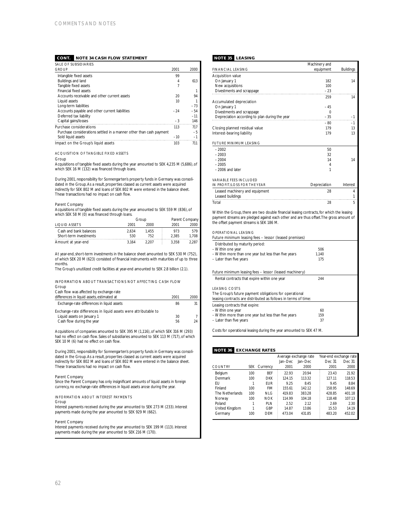## **CONT. NOTE 34 CASH FLOW STATEMENT**

| SALE OF SUBSIDIARIES                                                |       |       |
|---------------------------------------------------------------------|-------|-------|
| <b>GROUP</b>                                                        | 2001  | 2000  |
| Intangible fixed assets                                             | 99    |       |
| Buildings and land                                                  | 4     | 613   |
| Tangible fixed assets                                               | 7     |       |
| Financial fixed assets                                              |       | 1     |
| Accounts receivable and other current assets.                       | 20    | 94    |
| Liquid assets                                                       | 10    |       |
| Long-term liabilities                                               |       | $-73$ |
| Accounts payable and other current liabilities                      | $-24$ | $-54$ |
| Deferred tax liability                                              |       | $-11$ |
| Capital gains/losses                                                | $-3$  | 146   |
| Purchase considerations                                             | 113   | 717   |
| Purchase considerations settled in a manner other than cash payment |       | $-5$  |
| Sold liquid assets                                                  | $-10$ | $-1$  |
| Impact on the Group's liquid assets                                 | 103   | 711   |

### ACQUISITION OF TANGIBLE FIXED ASSETS

### Group

Acquisitions of tangible fixed assets during the year amounted to SEK 4,235 M (5,686), of which SEK 16 M (132) was financed through loans.

During 2001, responsibility for Sonnengarten's property funds in Germany was consolidated in the Group.As a result, properties classed as current assets were acquired indirectly for SEK 802 M and loans of SEK 802 M were entered in the balance sheet. These transactions had no impact on cash flow.

## Parent Company

Acquisitions of tangible fixed assets during the year amounted to SEK 559 M (836), of which SEK 58 M (0) was financed through loans.

|                                                  | Group        |              | Parent Company |              |
|--------------------------------------------------|--------------|--------------|----------------|--------------|
| <b>LIQUID ASSETS</b>                             | 2001         | 2000         | 2001           | 2000         |
| Cash and bank balances<br>Short-term investments | 2.634<br>530 | 1.455<br>752 | 973<br>2.385   | 579<br>1.708 |
| Amount at year-end                               | 3.164        | 2207         | 3.358          | 2.287        |

At year-end, short-term investments in the balance sheet amounted to SEK 530 M (752), of which SEK 20 M (623) consisted of financial instruments with maturities of up to three months.

The Group's unutilized credit facilities at year-end amounted to SEK 2.8 billion (2.1).

### INFORMATION ABOUT TRANSACTIONS NOT AFFECTING CASH FLOW Group

Cash flow was affected by exchange-rate

| differences in liquid assets, estimated at                      | 2001 | 2000 |
|-----------------------------------------------------------------|------|------|
| Exchange-rate differences in liquid assets                      | 86   | 31   |
| Exchange-rate differences in liquid assets were attributable to |      |      |
| Liquid assets on January 1                                      | 30   |      |
| Cash flow during the year                                       | 56   | 24   |

Acquisitions of companies amounted to SEK 395 M (1,116), of which SEK 316 M (293) had no effect on cash flow. Sales of subsidiaries amounted to SEK 113 M (717), of which SEK 10 M (6) had no effect on cash flow.

During 2001, responsibility for Sonnengarten's property funds in Germany was consolidated in the Group.As a result, properties classed as current assets were acquired indirectly for SEK 802 M and loans of SEK 802 M were entered in the balance sheet. These transactions had no impact on cash flow.

Parent Company Since the Parent Company has only insignificant amounts of liquid assets in foreign currency, no exchange-rate differences in liquid assets arose during the year.

### INFORMATION ABOUT INTEREST PAYMENTS

## Group

Interest payments received during the year amounted to SEK 273 M (233). Interest payments made during the year amounted to SEK 929 M (662).

## Parent Company

Interest payments received during the year amounted to SEK 199 M (113). Interest payments made during the year amounted to SEK 216 M (170).

## **NOTE 35 LEASING**

|                                                                                                                                                                                                                                  | Machinery and |                  |
|----------------------------------------------------------------------------------------------------------------------------------------------------------------------------------------------------------------------------------|---------------|------------------|
| <b>FINANCIAL LEASING</b>                                                                                                                                                                                                         | equipment     | <b>Buildings</b> |
| <b>Acquisition value</b>                                                                                                                                                                                                         |               |                  |
| On January 1                                                                                                                                                                                                                     | 182           | 14               |
| New acquisitions                                                                                                                                                                                                                 | 100           |                  |
| Divestments and scrappage                                                                                                                                                                                                        | $-23$         |                  |
|                                                                                                                                                                                                                                  | 259           | 14               |
| Accumulated depreciation                                                                                                                                                                                                         |               |                  |
| On January 1                                                                                                                                                                                                                     | $-45$         |                  |
| Divestments and scrappage                                                                                                                                                                                                        | $\Omega$      |                  |
| Depreciation according to plan during the year                                                                                                                                                                                   | $-35$         | $-1$             |
|                                                                                                                                                                                                                                  | $-80$         | $-1$             |
| Closing planned residual value                                                                                                                                                                                                   | 179           | 13               |
| Interest-bearing liability                                                                                                                                                                                                       | 179           | 13               |
| <b>FUTURE MINIMUM LEASING</b>                                                                                                                                                                                                    |               |                  |
| $-2002$                                                                                                                                                                                                                          | 50            |                  |
| $-2003$                                                                                                                                                                                                                          | 32            |                  |
| $-2004$                                                                                                                                                                                                                          | 14            | 14               |
| $-2005$                                                                                                                                                                                                                          | 4             |                  |
| $-2006$ and later                                                                                                                                                                                                                | 1             |                  |
|                                                                                                                                                                                                                                  |               |                  |
| <b>VARIABLE FFFS INCLUDED</b>                                                                                                                                                                                                    |               |                  |
| IN PROFIT/LOSS FOR THE YEAR                                                                                                                                                                                                      | Depreciation  | Interest         |
| Leased machinery and equipment                                                                                                                                                                                                   | 28            | 4                |
| Leased buildings                                                                                                                                                                                                                 |               | 1                |
| Total                                                                                                                                                                                                                            | 28            | 5                |
| Within the Group, there are two double financial leasing contracts, for which the leasing<br>payment streams are pledged against each other and are thus offset. The gross amount of<br>the offset payment streams is SEK 186 M. |               |                  |

## OPERATIONAL LEASING

| Future minimum leasing fees - lessor (leased premises)  |       |  |
|---------------------------------------------------------|-------|--|
| Distributed by maturity period:                         |       |  |
| - Within one year                                       | 506   |  |
| - Within more than one year but less than five years    | 1.140 |  |
| - Later than five years                                 | 175   |  |
| Future minimum leasing fees - lessor (leased machinery) |       |  |
| Rental contracts that expire within one year            | 244   |  |
|                                                         |       |  |

## LEASING COSTS

| The Group's future payment obligations for operational<br>leasing contracts are distributed as follows in terms of time: |     |  |  |
|--------------------------------------------------------------------------------------------------------------------------|-----|--|--|
| Leasing contracts that expire:<br>- Within one year                                                                      | 60  |  |  |
| - Within more than one year but less than five years                                                                     | 159 |  |  |
| - Later than five years                                                                                                  | 37  |  |  |

Costs for operational leasing during the year amounted to SEK 47 M.

## **NOTE 36 EXCHANGE RATES**

|                 |            |            | Average exchange rate |           | Year-end exchange rate |        |
|-----------------|------------|------------|-----------------------|-----------|------------------------|--------|
|                 |            |            | Jan-Dec               | $lan-Dec$ | Dec 31                 | Dec 31 |
| <b>COUNTRY</b>  | <b>SEK</b> | Currency   | 2001                  | 2000      | 2001                   | 2000   |
| Belgium         | $100 -$    | <b>BFF</b> | 22.93                 | 20.94     | 23.43                  | 21.92  |
| Denmark         | 100        | <b>DKK</b> | 124.15                | 113.32    | 127.11                 | 118.53 |
| FU              |            | <b>FUR</b> | 9.25                  | 8.45      | 9.45                   | 8.84   |
| Finland         | $100 -$    | <b>FIM</b> | 155.61                | 142.12    | 158.95                 | 148.69 |
| The Netherlands | 100        | NIG        | 419.83                | 383.28    | 428.85                 | 401.18 |
| Norway          | $100 -$    | <b>NOK</b> | 114.99                | 104.18    | 118.48                 | 107.13 |
| Poland          |            | PI N       | 2.52                  | 2.12      | 2.69                   | 2.30   |
| United Kingdom  |            | GBP        | 14.87                 | 13.86     | 15.53                  | 14.19  |
| Germany         | 100        | <b>DFM</b> | 473.04                | 431.85    | 483.20                 | 452.02 |
|                 |            |            |                       |           |                        |        |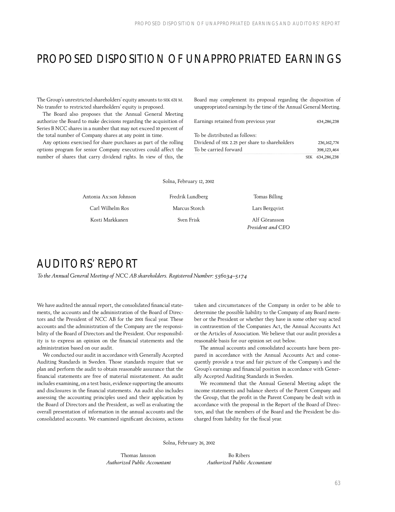## PROPOSED DISPOSITION OF UNAPPROPRIATED EARNINGS

The Group's unrestricted shareholders' equity amounts to SEK 631 M. No transfer to restricted shareholders' equity is proposed.

The Board also proposes that the Annual General Meeting authorize the Board to make decisions regarding the acquisition of Series B NCC shares in a number that may not exceed 10 percent of the total number of Company shares at any point in time.

Any options exercised for share purchases as part of the rolling options program for senior Company executives could affect the number of shares that carry dividend rights. In view of this, the Board may complement its proposal regarding the disposition of unappropriated earnings by the time of the Annual General Meeting.

| Earnings retained from previous year           | 634,286,238   |
|------------------------------------------------|---------------|
| To be distributed as follows:                  |               |
| Dividend of SEK 2.25 per share to shareholders | 236, 162, 774 |
| To be carried forward                          | 398,123,464   |
|                                                | 634.286.238   |

|  | Solna, February 12, 2002 |  |  |
|--|--------------------------|--|--|
|--|--------------------------|--|--|

| Antonia Ax:son Johnson | Fredrik Lundberg | Tomas Billing     |
|------------------------|------------------|-------------------|
| Carl Wilhelm Ros       | Marcus Storch    | Lars Bergqvist    |
| Kosti Markkanen        | Sven Frisk       | Alf Göransson     |
|                        |                  | President and CEO |

## AUDITORS' REPORT

*To the Annual General Meeting of NCC AB shareholders. Registered Number: 556034–5174*

We have audited the annual report, the consolidated financial statements, the accounts and the administration of the Board of Directors and the President of NCC AB for the 2001 fiscal year. These accounts and the administration of the Company are the responsibility of the Board of Directors and the President. Our responsibility is to express an opinion on the financial statements and the administration based on our audit.

We conducted our audit in accordance with Generally Accepted Auditing Standards in Sweden. Those standards require that we plan and perform the audit to obtain reasonable assurance that the financial statements are free of material misstatement. An audit includes examining, on a test basis, evidence supporting the amounts and disclosures in the financial statements. An audit also includes assessing the accounting principles used and their application by the Board of Directors and the President, as well as evaluating the overall presentation of information in the annual accounts and the consolidated accounts. We examined significant decisions, actions taken and circumstances of the Company in order to be able to determine the possible liability to the Company of any Board member or the President or whether they have in some other way acted in contravention of the Companies Act, the Annual Accounts Act or the Articles of Association. We believe that our audit provides a reasonable basis for our opinion set out below.

The annual accounts and consolidated accounts have been prepared in accordance with the Annual Accounts Act and consequently provide a true and fair picture of the Company's and the Group's earnings and financial position in accordance with Generally Accepted Auditing Standards in Sweden.

We recommend that the Annual General Meeting adopt the income statements and balance sheets of the Parent Company and the Group, that the profit in the Parent Company be dealt with in accordance with the proposal in the Report of the Board of Directors, and that the members of the Board and the President be discharged from liability for the fiscal year.

Solna, February 26, 2002

Thomas Jansson *Authorized Public Accountant*

Bo Ribers *Authorized Public Accountant*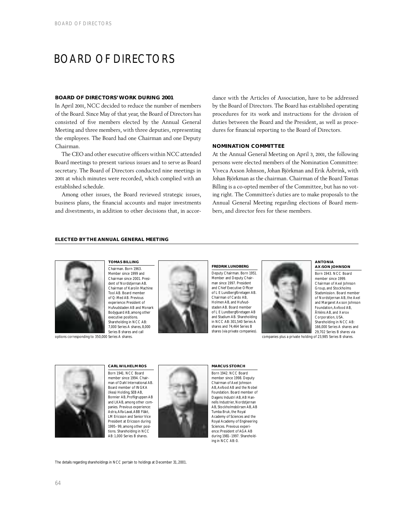## BOARD OF DIRECTORS

## **BOARD OF DIRECTORS' WORK DURING 2001**

In April 2001, NCC decided to reduce the number of members of the Board. Since May of that year, the Board of Directors has consisted of five members elected by the Annual General Meeting and three members, with three deputies, representing the employees. The Board had one Chairman and one Deputy Chairman.

The CEO and other executive officers within NCC attended Board meetings to present various issues and to serve as Board secretary. The Board of Directors conducted nine meetings in 2001 at which minutes were recorded, which complied with an established schedule.

Among other issues, the Board reviewed strategic issues, business plans, the financial accounts and major investments and divestments, in addition to other decisions that, in accordance with the Articles of Association, have to be addressed by the Board of Directors. The Board has established operating procedures for its work and instructions for the division of duties between the Board and the President, as well as procedures for financial reporting to the Board of Directors.

## **NOMINATION COMMITTEE**

At the Annual General Meeting on April 3, 2001, the following persons were elected members of the Nomination Committee: Viveca Axson Johnson, Johan Björkman and Erik Åsbrink, with Johan Björkman as the chairman. Chairman of the Board Tomas Billing is a co-opted member of the Committee, but has no voting right. The Committee's duties are to make proposals to the Annual General Meeting regarding elections of Board members, and director fees for these members.

## **ELECTED BY THE ANNUAL GENERAL MEETING**



**TOMAS BILLING** Chairman. Born 1963. Member since 1999 and Chairman since 2001. President of Nordstjernan AB. Chairman of Karolin Machine Tool AB. Board member of Q-Med AB. Previous experience: President of Hufvudstaden AB and Monark Bodyguard AB, among other executive positions. Shareholding in NCC AB: 7,000 Series A shares, 8,000 Series B shares and call





Deputy Chairman. Born 1951. Member and Deputy Chairman since 1997. President and Chief Executive Officer of L E Lundbergföretagen AB. Chairman of Cardo AB, Holmen AB, and Hufvudstaden AB. Board member of L E Lundbergföretagen AB and Stadium AB. Shareholding in NCC AB: 301,540 Series A shares and 74,464 Series B shares (via private companies).



### **ANTONIA AX:SON JOHNSON**

Born 1943. NCC Board member since 1999. Chairman of Axel Johnson Group, and Stockholms Stadsmission. Board member of Nordstjernan AB, the Axel and Margaret Ax:son Johnson Foundation, Axfood AB, Åhléns AB, and Xerox Corporation, USA. Shareholding in NCC AB: 166,000 Series A shares and 29,702 Series B shares via companies plus a private holding of 23,985 Series B shares.



**CARL WILHELM ROS** Born 1941. NCC Board member since 1994. Chairman of Dahl International AB. Board member of INGKA (Ikea) Holding, SEB AB, Bonnier AB, Profilgruppen AB and LKAB, among other companies. Previous experience: Astra,Alfa-Laval,ABB Fläkt, LM Ericsson and Senior Vice President at Ericsson during 1995–99, among other positions. Shareholding in NCC AB: 1,000 Series B shares.



### **MARCUS STORCH**

Born 1942. NCC Board member since 1998. Deputy Chairman of Axel Johnson AB,Axfood AB and the Nobel Foundation. Board member of Dagens Industri AB, AB Hannells Industrier, Nordstiernan AB, Stockholmsbörsen AB, AB Tumba Bruk, the Royal Academy of Sciences and the Royal Academy of Engineering Sciences. Previous experience: President of AGA AB during 1981–1997. Shareholding in NCC AB: 0.

The details regarding shareholdings in NCC pertain to holdings at December 31, 2001.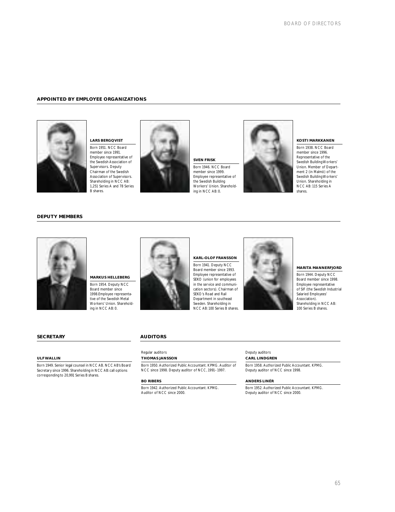## **APPOINTED BY EMPLOYEE ORGANIZATIONS**



**LARS BERGQVIST** Born 1951. NCC Board member since 1991. Employee representative of the Swedish Association of Supervisors. Deputy Chairman of the Swedish Association of Supervisors. Shareholding in NCC AB: 1,251 Series A and 78 Series B shares.



**SVEN FRISK** Born 1946. NCC Board member since 1999. Employee representative of the Swedish Building Workers' Union. Shareholding in NCC AB: 0.



## **KOSTI MARKKANEN**

Born 1938. NCC Board member since 1996. Representative of the Swedish Building Workers' Union. Member of Department 2 (in Malmö) of the Swedish Building Workers' Union. Shareholding in NCC AB: 115 Series A shares.

## **DEPUTY MEMBERS**



**MARKUS HELLEBERG** Born 1954. Deputy NCC Board member since 1998.Employee representative of the Swedish Metal Workers' Union. Shareholding in NCC AB: 0.



**KARL-OLOF FRANSSON**  Born 1941. Deputy NCC Board member since 1993. Employee representative of SEKO (union for employees in the service and communication sectors). Chairman of SEKO's Road and Rail Department in southeast Sweden. Shareholding in NCC AB: 100 Series B shares.



**MARITA MANNERFJORD**

Born 1944. Deputy NCC Board member since 1998. Employee representative of SIF (the Swedish Industrial Salaried Employees' Association). Shareholding in NCC AB: 100 Series B shares.

## **SECRETARY**

## **ULF WALLIN**

Born 1949. Senior legal counsel in NCC AB. NCC AB's Board Secretary since 1996. Shareholding in NCC AB: call options corresponding to 20,991 Series B shares.

## **AUDITORS**

## Regular auditors **THOMAS JANSSON**

Born 1950. Authorized Public Accountant. KPMG. Auditor of NCC since 1998. Deputy auditor of NCC, 1991–1997.

### **BO RIBERS**

Born 1942. Authorized Public Accountant. KPMG. Auditor of NCC since 2000.

## Deputy auditors **CARL LINDGREN**

Born 1958. Authorized Public Accountant. KPMG. Deputy auditor of NCC since 1998.

### **ANDERS LINÉR**

Born 1952. Authorized Public Accountant. KPMG. Deputy auditor of NCC since 2000.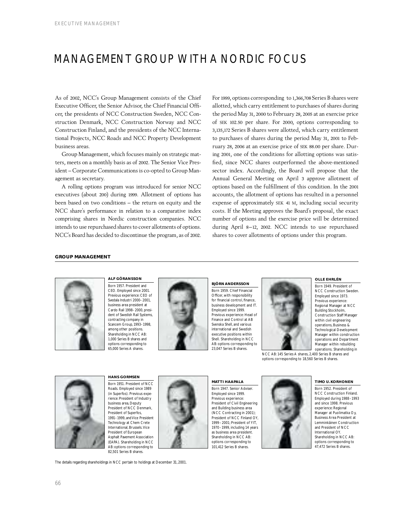## MANAGEMENT GROUP WITH A NORDIC FOCUS

As of 2002, NCC's Group Management consists of the Chief Executive Officer, the Senior Advisor, the Chief Financial Officer, the presidents of NCC Construction Sweden, NCC Construction Denmark, NCC Construction Norway and NCC Construction Finland, and the presidents of the NCC International Projects, NCC Roads and NCC Property Development business areas.

Group Management, which focuses mainly on strategic matters, meets on a monthly basis as of 2002. The Senior Vice President – Corporate Communications is co-opted to Group Management as secretary.

A rolling options program was introduced for senior NCC executives (about 200) during 1999. Allotment of options has been based on two conditions – the return on equity and the NCC share's performance in relation to a comparative index comprising shares in Nordic construction companies. NCC intends to use repurchased shares to cover allotments of options. NCC's Board has decided to discontinue the program, as of 2002.

For 1999, options corresponding to 1,366,708 Series B shares were allotted, which carry entitlement to purchases of shares during the period May 31, 2000 to February 28, 2005 at an exercise price of SEK 102.50 per share. For 2000, options corresponding to 3,135,172 Series B shares were allotted, which carry entitlement to purchases of shares during the period May 31, 2001 to February 28, 2006 at an exercise price of SEK 88.00 per share. During 2001, one of the conditions for allotting options was satisfied, since NCC shares outperformed the above-mentioned sector index. Accordingly, the Board will propose that the Annual General Meeting on April 3 approve allotment of options based on the fulfillment of this condition. In the 2001 accounts, the allotment of options has resulted in a personnel expense of approximately SEK 41 M, including social security costs. If the Meeting approves the Board's proposal, the exact number of options and the exercise price will be determined during April 8–12, 2002. NCC intends to use repurchased shares to cover allotments of options under this program.

## **GROUP MANAGEMENT**



**ALF GÖRANSSON** Born 1957. President and CEO. Employed since 2001. Previous experience: CEO of Svedala Industri 2000–2001, business area president at Cardo Rail 1998–2000, president of Swedish Rail Systems, contracting company in Scancem Group, 1993–1998, among other positions. Shareholding in NCC AB: 1,000 Series B shares and options corresponding to 65,000 Series A shares.



## **BJÖRN ANDERSSON** Born 1959. Chief Financial

Officer, with responsibility for financial control, finance, business development and IT. Employed since 1999. Previous experience: Head of Finance and Control at AB Svenska Shell, and various international and Swedish executive positions within Shell. Shareholding in NCC AB: options corresponding to 23,047 Series B shares.



## **OLLE EHRLÉN**

Born 1949. President of NCC Construction Sweden. Employed since 1973. Previous experience: Regional Manager at NCC Building Stockholm, Construction Staff Manager within civil engineering operations, Business & Technological Development Manager within construction operations and Department Manager within rebuilding operations. Shareholding in

NCC AB: 145 Series A shares, 2,400 Series B shares and options corresponding to 18,560 Series B shares.



**HANS GORMSEN** Born 1951. President of NCC Roads. Employed since 1989 (in Superfos). Previous experience: President of Industry business area, Deputy President of NCC Denmark, President of Superfos, 1991–1999, and Vice President Technology at Chem Crete International, Brussels.Vice President of European Asphalt Pavement Association (EAPA). Shareholding in NCC AB: options corresponding to 82,501 Series B shares.

### **MATTI HAAPALA**

Born 1947. Senior Adviser. Employed since 1999. Previous experience: President of Civil Engineering and Building business area (NCC Contracting in 2001); President of NCC Finland OY, 1999–2001; President of YIT, 1970–1999, including 14 years as business area president. Shareholding in NCC AB: options corresponding to 101,412 Series B shares.



Born 1952. President of NCC Construction Finland. Employed during 1988–1993 and since 1998. Previous experience: Regional Manager at Puolimatka Oy, Business Area President at Lemminkäinen Construction and President of NCC International OY. Shareholding in NCC AB: options corresponding to 47,472 Series B shares.

The details regarding shareholdings in NCC pertain to holdings at December 31, 2001.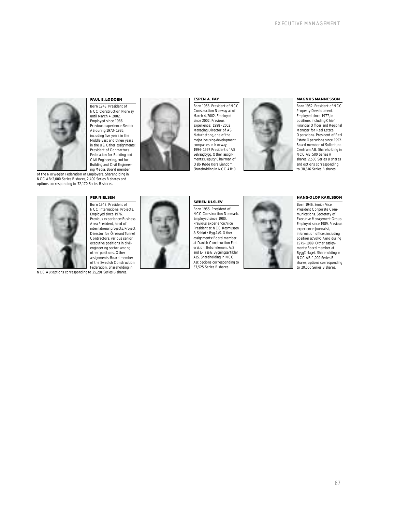

## **PAUL E. LØDØEN**

Born 1948. President of NCC Construction Norway until March 4, 2002. Employed since 1986. Previous experience: Selmer AS during 1973–1986, including five years in the Middle East and three years in the US. Other assignments: President of Contractors Federation for Building and Civil Engineering, and for Building and Civil Engineer-ing Media. Board member

of the Norwegian Federation of Employers. Shareholding in NCC AB: 2,000 Series B shares, 2,400 Series B shares and options corresponding to 72,170 Series B shares.





NCC AB: options corresponding to 25,291 Series B shares.



### **ESPEN A. PAY**

Born 1958. President of NCC Construction Norway as of March 4, 2002. Employed since 2002. Previous experience: 1998–2002 Managing Director of AS Naturbetong, one of the major housing-development companies in Norway; 1994–1997 President of AS Selvaagbygg. Other assignments: Deputy Chairman of Oslo Røde Kors Eiendom. Shareholding in NCC AB: 0.



### **MAGNUS MANNESSON**

Born 1952. President of NCC Property Development. Employed since 1977, in positions including Chief Financial Officer and Regional Manager for Real Estate Operations. President of Real Estate Operations since 1992. Board member of Sollentuna Centrum AB. Shareholding in NCC AB: 500 Series A shares, 2,500 Series B shares and options corresponding to 38,616 Series B shares.



Born 1955. President of NCC Construction Denmark. Employed since 1980. Previous experience: Vice President at NCC Rasmusser & Schiøtz Byg A/S. Other assignments: Board member at Danish Construction Federation, Betonelement A/S and E-Træ & Bygningsartikler A/S. Shareholding in NCC AB: options corresponding to 57,525 Series B shares.



### **HANS-OLOF KARLSSON**

Born 1946. Senior Vice President Corporate Communications. Secretary of Executive Management Group. Employed since 1989. Previous experience: journalist, information officer, including position at Volvo Aero during 1975–1989. Other assignments: Board member at Byggförlaget. Shareholding in NCC AB: 1,000 Series B shares; options corresponding to 20,056 Series B shares.